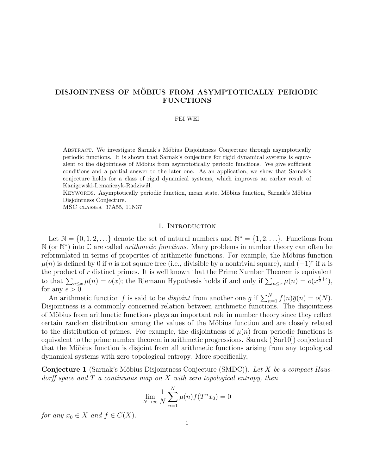# DISJOINTNESS OF MÖBIUS FROM ASYMPTOTICALLY PERIODIC FUNCTIONS

#### FEI WEI

ABSTRACT. We investigate Sarnak's Möbius Disjointness Conjecture through asymptotically periodic functions. It is shown that Sarnak's conjecture for rigid dynamical systems is equivalent to the disjointness of Möbius from asymptotically periodic functions. We give sufficient conditions and a partial answer to the later one. As an application, we show that Sarnak's conjecture holds for a class of rigid dynamical systems, which improves an earlier result of Kanigowski-Lemanczyk-Radziwiłł.

KEYWORDS. Asymptotically periodic function, mean state, Möbius function, Sarnak's Möbius Disjointness Conjecture.

MSC classes. 37A55, 11N37

### 1. INTRODUCTION

Let  $\mathbb{N} = \{0, 1, 2, \ldots\}$  denote the set of natural numbers and  $\mathbb{N}^* = \{1, 2, \ldots\}$ . Functions from N (or N<sup>\*</sup>) into C are called *arithmetic functions*. Many problems in number theory can often be reformulated in terms of properties of arithmetic functions. For example, the Möbius function  $\mu(n)$  is defined by 0 if n is not square free (i.e., divisible by a nontrivial square), and  $(-1)^r$  if n is the product of  $r$  distinct primes. It is well known that the Prime Number Theorem is equivalent to that  $\sum_{n\leq x}\mu(n) = o(x)$ ; the Riemann Hypothesis holds if and only if  $\sum_{n\leq x}\mu(n) = o(x^{\frac{1}{2}+\epsilon})$ , for any  $\epsilon > 0$ .

An arithmetic function f is said to be disjoint from another one g if  $\sum_{n=1}^{N} f(n)\overline{g}(n) = o(N)$ . Disjointness is a commonly concerned relation between arithmetic functions. The disjointness of Möbius from arithmetic functions plays an important role in number theory since they reflect certain random distribution among the values of the Möbius function and are closely related to the distribution of primes. For example, the disjointness of  $\mu(n)$  from periodic functions is equivalent to the prime number theorem in arithmetic progressions. Sarnak ([\[Sar10\]](#page-46-0)) conjectured that the Möbius function is disjoint from all arithmetic functions arising from any topological dynamical systems with zero topological entropy. More specifically,

**Conjecture 1** (Sarnak's Möbius Disjointness Conjecture (SMDC)). Let X be a compact Hausdorff space and  $T$  a continuous map on  $X$  with zero topological entropy, then

$$
\lim_{N \to \infty} \frac{1}{N} \sum_{n=1}^{N} \mu(n) f(T^n x_0) = 0
$$

for any  $x_0 \in X$  and  $f \in C(X)$ .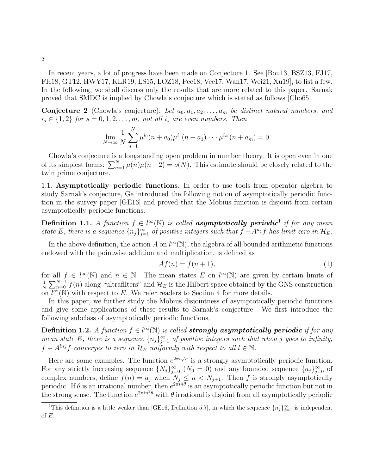In recent years, a lot of progress have been made on Conjecture 1. See [\[Bou13,](#page-44-0) [BSZ13,](#page-45-0) [FJ17,](#page-45-1) [FH18,](#page-45-2) [GT12,](#page-45-3) [HWY17,](#page-45-4) [KLR19,](#page-45-5) [LS15,](#page-46-1) [LOZ18,](#page-46-2) [Pec18,](#page-46-3) [Vee17,](#page-46-4) [Wan17,](#page-46-5) [Wei21,](#page-46-6) [Xu19\]](#page-46-7), to list a few. In the following, we shall discuss only the results that are more related to this paper. Sarnak proved that SMDC is implied by Chowla's conjecture which is stated as follows [\[Cho65\]](#page-45-6).

**Conjecture 2** (Chowla's conjecture). Let  $a_0, a_1, a_2, \ldots, a_m$  be distinct natural numbers, and  $i_s \in \{1,2\}$  for  $s = 0, 1, 2, \ldots, m$ , not all  $i_s$  are even numbers. Then

$$
\lim_{N \to \infty} \frac{1}{N} \sum_{n=1}^{N} \mu^{i_0} (n+a_0) \mu^{i_1} (n+a_1) \cdots \mu^{i_m} (n+a_m) = 0.
$$

Chowla's conjecture is a longstanding open problem in number theory. It is open even in one of its simplest forms:  $\sum_{n=1}^{N} \mu(n)\mu(n+2) = o(N)$ . This estimate should be closely related to the twin prime conjecture.

1.1. Asymptotically periodic functions. In order to use tools from operator algebra to study Sarnak's conjecture, Ge introduced the following notion of asymptotically periodic func-tion in the survey paper [\[GE16\]](#page-45-7) and proved that the Möbius function is disjoint from certain asymptotically periodic functions.

<span id="page-1-2"></span>**Definition [1](#page-1-0).1.** A function  $f \in l^{\infty}(\mathbb{N})$  is called **asymptotically periodic**<sup>1</sup> if for any mean state E, there is a sequence  $\{n_j\}_{j=1}^{\infty}$  of positive integers such that  $f - A^{n_j}f$  has limit zero in  $\mathcal{H}_E$ .

In the above definition, the action A on  $l^{\infty}(\mathbb{N})$ , the algebra of all bounded arithmetic functions endowed with the pointwise addition and multiplication, is defined as

<span id="page-1-1"></span>
$$
Af(n) = f(n+1),\tag{1}
$$

for all  $f \in l^{\infty}(\mathbb{N})$  and  $n \in \mathbb{N}$ . The mean states E on  $l^{\infty}(\mathbb{N})$  are given by certain limits of 1  $\frac{1}{N}\sum_{n=0}^{N-1}f(n)$  along "ultrafilters" and  $\mathcal{H}_E$  is the Hilbert space obtained by the GNS construction on  $\overline{l^{\infty}(\mathbb{N})}$  with respect to E. We refer readers to Section [4](#page-10-0) for more details.

In this paper, we further study the Möbius disjointness of asymptotically periodic functions and give some applications of these results to Sarnak's conjecture. We first introduce the following subclass of asymptotically periodic functions.

<span id="page-1-3"></span>**Definition 1.2.** A function  $f \in l^{\infty}(\mathbb{N})$  is called **strongly asymptotically periodic** if for any mean state E, there is a sequence  $\{n_j\}_{j=1}^{\infty}$  of positive integers such that when j goes to infinity,  $f - A^{ln_j}f$  converges to zero in  $\mathcal{H}_E$  uniformly with respect to all  $l \in \mathbb{N}$ .

Here are some examples. The function  $e^{2\pi i\sqrt{n}}$  is a strongly asymptotically periodic function. For any strictly increasing sequence  $\{N_j\}_{j=0}^{\infty}$   $(N_0 = 0)$  and any bounded sequence  $\{a_j\}_{j=0}^{\infty}$  of complex numbers, define  $f(n) = a_j$  when  $N_j \leq n \lt N_{j+1}$ . Then f is strongly asymptotically periodic. If  $\theta$  is an irrational number, then  $e^{2\pi i n\theta}$  is an asymptotically periodic function but not in the strong sense. The function  $e^{2\pi i n^2 \theta}$  with  $\theta$  irrational is disjoint from all asymptotically periodic

2

<span id="page-1-0"></span><sup>&</sup>lt;sup>1</sup>This definition is a little weaker than [\[GE16,](#page-45-7) Definition 5.7], in which the sequence  $\{n_j\}_{j=1}^{\infty}$  is independent of E.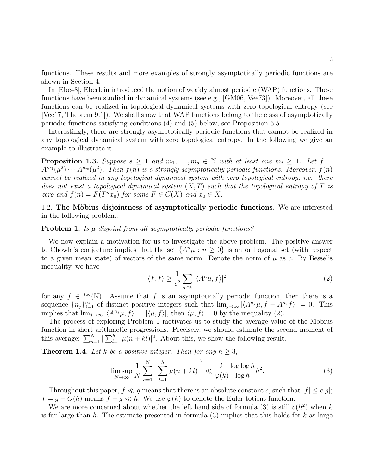functions. These results and more examples of strongly asymptotically periodic functions are shown in Section [4.](#page-10-0)

In [\[Ebe48\]](#page-45-8), Eberlein introduced the notion of weakly almost periodic (WAP) functions. These functions have been studied in dynamical systems (see e.g., [\[GM06,](#page-45-9) [Vee73\]](#page-46-8)). Moreover, all these functions can be realized in topological dynamical systems with zero topological entropy (see [\[Vee17,](#page-46-4) Theorem 9.1]). We shall show that WAP functions belong to the class of asymptotically periodic functions satisfying conditions [\(4\)](#page-3-0) and [\(5\)](#page-3-1) below, see Proposition [5.5.](#page-20-0)

Interestingly, there are strongly asymptotically periodic functions that cannot be realized in any topological dynamical system with zero topological entropy. In the following we give an example to illustrate it.

<span id="page-2-4"></span>**Proposition 1.3.** Suppose  $s \geq 1$  and  $m_1, \ldots, m_s \in \mathbb{N}$  with at least one  $m_i \geq 1$ . Let  $f =$  $A^{m_1}(\mu^2) \cdots A^{m_s}(\mu^2)$ . Then  $f(n)$  is a strongly asymptotically periodic functions. Moreover,  $f(n)$ cannot be realized in any topological dynamical system with zero topological entropy, i.e., there does not exist a topological dynamical system  $(X, T)$  such that the topological entropy of T is zero and  $f(n) = F(T^n x_0)$  for some  $F \in C(X)$  and  $x_0 \in X$ .

1.2. The Möbius disjointness of asymptotically periodic functions. We are interested in the following problem.

### <span id="page-2-1"></span>**Problem 1.** Is  $\mu$  disjoint from all asymptotically periodic functions?

We now explain a motivation for us to investigate the above problem. The positive answer to Chowla's conjecture implies that the set  $\{A^n\mu : n \geq 0\}$  is an orthogonal set (with respect to a given mean state) of vectors of the same norm. Denote the norm of  $\mu$  as c. By Bessel's inequality, we have

<span id="page-2-0"></span>
$$
\langle f, f \rangle \ge \frac{1}{c^2} \sum_{n \in \mathbb{N}} |\langle A^n \mu, f \rangle|^2 \tag{2}
$$

for any  $f \in l^{\infty}(\mathbb{N})$ . Assume that f is an asymptotically periodic function, then there is a sequence  ${n_j}_{j=1}^{\infty}$  of distinct positive integers such that  $\lim_{j\to\infty} |\langle A^{n_j}\mu, f - A^{n_j}f \rangle| = 0$ . This implies that  $\lim_{j\to\infty} |\langle A^{n_j}\mu, f \rangle| = |\langle \mu, f \rangle|$ , then  $\langle \mu, f \rangle = 0$  by the inequality [\(2\)](#page-2-0).

The process of exploring Problem [1](#page-2-1) motivates us to study the average value of the Möbius function in short arithmetic progressions. Precisely, we should estimate the second moment of this average:  $\sum_{n=1}^{N} |\sum_{l=1}^{h} \mu(n+kl)|^2$ . About this, we show the following result.

<span id="page-2-3"></span>**Theorem 1.4.** Let k be a positive integer. Then for any  $h \geq 3$ ,

<span id="page-2-2"></span>
$$
\limsup_{N \to \infty} \frac{1}{N} \sum_{n=1}^{N} \left| \sum_{l=1}^{h} \mu(n+kl) \right|^2 \ll \frac{k}{\varphi(k)} \frac{\log \log h}{\log h} h^2.
$$
 (3)

Throughout this paper,  $f \ll g$  means that there is an absolute constant c, such that  $|f| \le c|g|$ ;  $f = q + O(h)$  means  $f - q \ll h$ . We use  $\varphi(k)$  to denote the Euler totient function.

We are more concerned about whether the left hand side of formula [\(3\)](#page-2-2) is still  $o(h^2)$  when k is far large than h. The estimate presented in formula [\(3\)](#page-2-2) implies that this holds for k as large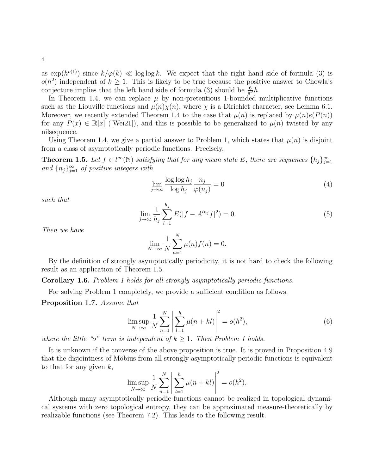as  $\exp(h^{o(1)})$  since  $k/\varphi(k) \ll \log \log k$ . We expect that the right hand side of formula [\(3\)](#page-2-2) is  $o(h^2)$  independent of  $k \geq 1$ . This is likely to be true because the positive answer to Chowla's conjecture implies that the left hand side of formula [\(3\)](#page-2-2) should be  $\frac{6}{\pi^2}h$ .

In Theorem [1.4,](#page-2-3) we can replace  $\mu$  by non-pretentious 1-bounded multiplicative functions such as the Liouville functions and  $\mu(n)\chi(n)$ , where  $\chi$  is a Dirichlet character, see Lemma [6.1.](#page-22-0) Moreover, we recently extended Theorem [1.4](#page-2-3) to the case that  $\mu(n)$  is replaced by  $\mu(n)e(P(n))$ for any  $P(x) \in \mathbb{R}[x]$  ([\[Wei21\]](#page-46-6)), and this is possible to be generalized to  $\mu(n)$  twisted by any nilsequence.

Using Theorem [1.4,](#page-2-3) we give a partial answer to Problem [1,](#page-2-1) which states that  $\mu(n)$  is disjoint from a class of asymptotically periodic functions. Precisely,

<span id="page-3-2"></span>**Theorem 1.5.** Let  $f \in l^{\infty}(\mathbb{N})$  satisfying that for any mean state E, there are sequences  $\{h_j\}_{j=1}^{\infty}$ and  ${n_j}_{j=1}^{\infty}$  of positive integers with

<span id="page-3-0"></span>
$$
\lim_{j \to \infty} \frac{\log \log h_j}{\log h_j} \frac{n_j}{\varphi(n_j)} = 0 \tag{4}
$$

such that

<span id="page-3-1"></span>
$$
\lim_{j \to \infty} \frac{1}{h_j} \sum_{l=1}^{h_j} E(|f - A^{ln_j} f|^2) = 0.
$$
\n(5)

Then we have

$$
\lim_{N \to \infty} \frac{1}{N} \sum_{n=1}^{N} \mu(n) f(n) = 0.
$$

By the definition of strongly asymptotically periodicity, it is not hard to check the following result as an application of Theorem [1.5.](#page-3-2)

Corollary 1.6. Problem [1](#page-2-1) holds for all strongly asymptotically periodic functions.

For solving Problem [1](#page-2-1) completely, we provide a sufficient condition as follows.

<span id="page-3-3"></span>Proposition 1.7. Assume that

<span id="page-3-4"></span>
$$
\limsup_{N \to \infty} \frac{1}{N} \sum_{n=1}^{N} \left| \sum_{l=1}^{h} \mu(n+kl) \right|^2 = o(h^2),\tag{6}
$$

where the little "o" term is independent of  $k > 1$  $k > 1$ . Then Problem 1 holds.

It is unknown if the converse of the above proposition is true. It is proved in Proposition [4.9](#page-14-0) that the disjointness of Möbius from all strongly asymptotically periodic functions is equivalent to that for any given  $k$ ,

$$
\limsup_{N \to \infty} \frac{1}{N} \sum_{n=1}^{N} \left| \sum_{l=1}^{h} \mu(n+kl) \right|^{2} = o(h^{2}).
$$

Although many asymptotically periodic functions cannot be realized in topological dynamical systems with zero topological entropy, they can be approximated measure-theoretically by realizable functions (see Theorem [7.2\)](#page-26-0). This leads to the following result.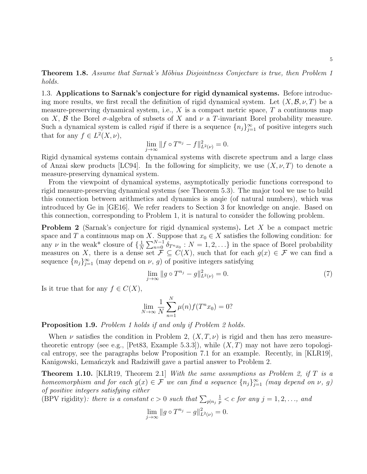<span id="page-4-2"></span>**Theorem [1](#page-2-1).8.** Assume that Sarnak's Möbius Disjointness Conjecture is true, then Problem 1 holds.

1.3. Applications to Sarnak's conjecture for rigid dynamical systems. Before introducing more results, we first recall the definition of rigid dynamical system. Let  $(X, \mathcal{B}, \nu, T)$  be a measure-preserving dynamical system, i.e.,  $X$  is a compact metric space,  $T$  a continuous map on X, B the Borel  $\sigma$ -algebra of subsets of X and  $\nu$  a T-invariant Borel probability measure. Such a dynamical system is called *rigid* if there is a sequence  $\{n_j\}_{j=1}^{\infty}$  of positive integers such that for any  $f \in L^2(X, \nu)$ ,

$$
\lim_{j \to \infty} ||f \circ T^{n_j} - f||_{L^2(\nu)}^2 = 0.
$$

Rigid dynamical systems contain dynamical systems with discrete spectrum and a large class of Anzai skew products [\[LC94\]](#page-45-10). In the following for simplicity, we use  $(X, \nu, T)$  to denote a measure-preserving dynamical system.

From the viewpoint of dynamical systems, asymptotically periodic functions correspond to rigid measure-preserving dynamical systems (see Theorem [5.3\)](#page-18-0). The major tool we use to build this connection between arithmetics and dynamics is anqie (of natural numbers), which was introduced by Ge in [\[GE16\]](#page-45-7). We refer readers to Section [3](#page-8-0) for knowledge on anqie. Based on this connection, corresponding to Problem [1,](#page-2-1) it is natural to consider the following problem.

<span id="page-4-0"></span>**Problem 2** (Sarnak's conjecture for rigid dynamical systems). Let  $X$  be a compact metric space and T a continuous map on X. Suppose that  $x_0 \in X$  satisfies the following condition: for any  $\nu$  in the weak<sup>\*</sup> closure of  $\{\frac{1}{N}\}$  $\frac{1}{N}\sum_{n=0}^{N-1} \delta_{T^n x_0} : N = 1, 2, \ldots$  in the space of Borel probability measures on X, there is a dense set  $\mathcal{F} \subseteq C(X)$ , such that for each  $g(x) \in \mathcal{F}$  we can find a sequence  ${n_j}_{j=1}^{\infty}$  (may depend on  $\nu$ , g) of positive integers satisfying

$$
\lim_{j \to \infty} \|g \circ T^{n_j} - g\|_{L^2(\nu)}^2 = 0. \tag{7}
$$

Is it true that for any  $f \in C(X)$ ,

$$
\lim_{N \to \infty} \frac{1}{N} \sum_{n=1}^{N} \mu(n) f(T^n x_0) = 0?
$$

<span id="page-4-3"></span>Proposition [1](#page-2-1).9. Problem 1 holds if and only if Problem [2](#page-4-0) holds.

When  $\nu$  satisfies the condition in Problem [2,](#page-4-0)  $(X, T, \nu)$  is rigid and then has zero measure-theoretic entropy (see e.g., [\[Pet83,](#page-46-9) Example 5.3.3]), while  $(X, T)$  may not have zero topological entropy, see the paragraphs below Proposition [7.1](#page-25-0) for an example. Recently, in [\[KLR19\]](#page-45-5), Kanigowski, Lemanczyk and Radziwiłl gave a partial answer to Problem [2.](#page-4-0)

<span id="page-4-1"></span>**Theorem 1.10.** [\[KLR19,](#page-45-5) Theorem 2.1] With the same assumptions as Problem [2,](#page-4-0) if T is a homeomorphism and for each  $g(x) \in \mathcal{F}$  we can find a sequence  $\{n_j\}_{j=1}^{\infty}$  (may depend on  $\nu$ , g) of positive integers satisfying either

(BPV rigidity): there is a constant  $c > 0$  such that  $\sum_{p|n_j}$ 1  $\frac{1}{p} < c$  for any  $j = 1, 2, \ldots,$  and

$$
\lim_{j \to \infty} \|g \circ T^{n_j} - g\|_{L^2(\nu)}^2 = 0.
$$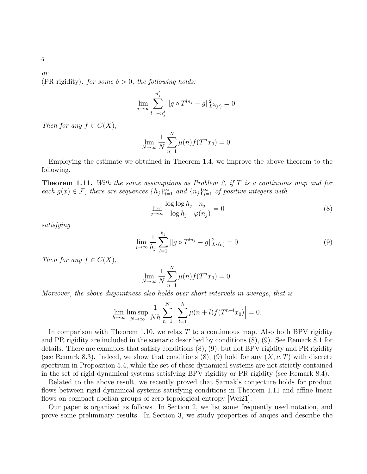(PR rigidity): for some  $\delta > 0$ , the following holds:

$$
\lim_{j \to \infty} \sum_{l=-n_j^{\delta}}^{n_j^{\delta}} \|g \circ T^{l n_j} - g\|_{L^2(\nu)}^2 = 0.
$$

Then for any  $f \in C(X)$ ,

$$
\lim_{N \to \infty} \frac{1}{N} \sum_{n=1}^{N} \mu(n) f(T^n x_0) = 0.
$$

Employing the estimate we obtained in Theorem [1.4,](#page-2-3) we improve the above theorem to the following.

<span id="page-5-2"></span>**Theorem 1.11.** With the same assumptions as Problem [2,](#page-4-0) if  $T$  is a continuous map and for each  $g(x) \in \mathcal{F}$ , there are sequences  $\{h_j\}_{j=1}^{\infty}$  and  $\{n_j\}_{j=1}^{\infty}$  of positive integers with

<span id="page-5-0"></span>
$$
\lim_{j \to \infty} \frac{\log \log h_j}{\log h_j} \frac{n_j}{\varphi(n_j)} = 0
$$
\n(8)

satisfying

<span id="page-5-1"></span>
$$
\lim_{j \to \infty} \frac{1}{h_j} \sum_{l=1}^{h_j} \|g \circ T^{ln_j} - g\|_{L^2(\nu)}^2 = 0.
$$
\n(9)

Then for any  $f \in C(X)$ ,

$$
\lim_{N \to \infty} \frac{1}{N} \sum_{n=1}^{N} \mu(n) f(T^n x_0) = 0.
$$

Moreover, the above disjointness also holds over short intervals in average, that is

$$
\lim_{h \to \infty} \lim_{N \to \infty} \frac{1}{Nh} \sum_{n=1}^{N} \left| \sum_{l=1}^{h} \mu(n+l) f(T^{n+l} x_0) \right| = 0.
$$

In comparison with Theorem [1.10,](#page-4-1) we relax  $T$  to a continuous map. Also both BPV rigidity and PR rigidity are included in the scenario described by conditions [\(8\)](#page-5-0), [\(9\)](#page-5-1). See Remark [8.1](#page-29-0) for details. There are examples that satisfy conditions [\(8\)](#page-5-0), [\(9\)](#page-5-1), but not BPV rigidity and PR rigidity (see Remark [8.3\)](#page-30-0). Indeed, we show that conditions  $(8)$ ,  $(9)$  hold for any  $(X, \nu, T)$  with discrete spectrum in Proposition [5.4,](#page-19-0) while the set of these dynamical systems are not strictly contained in the set of rigid dynamical systems satisfying BPV rigidity or PR rigidity (see Remark [8.4\)](#page-31-0).

Related to the above result, we recently proved that Sarnak's conjecture holds for product flows between rigid dynamical systems satisfying conditions in Theorem [1.11](#page-5-2) and affine linear flows on compact abelian groups of zero topological entropy [\[Wei21\]](#page-46-6).

Our paper is organized as follows. In Section [2,](#page-6-0) we list some frequently used notation, and prove some preliminary results. In Section [3,](#page-8-0) we study properties of anqies and describe the

or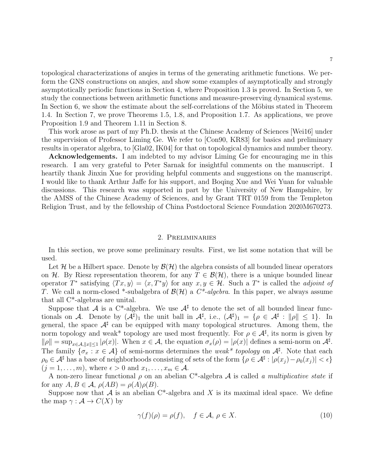topological characterizations of anqies in terms of the generating arithmetic functions. We perform the GNS constructions on anqies, and show some examples of asymptotically and strongly asymptotically periodic functions in Section [4,](#page-10-0) where Proposition [1.3](#page-2-4) is proved. In Section [5,](#page-17-0) we study the connections between arithmetic functions and measure-preserving dynamical systems. In Section [6,](#page-21-0) we show the estimate about the self-correlations of the Möbius stated in Theorem [1.4.](#page-2-3) In Section [7,](#page-24-0) we prove Theorems [1.5,](#page-3-2) [1.8,](#page-4-2) and Proposition [1.7.](#page-3-3) As applications, we prove Proposition [1.9](#page-4-3) and Theorem [1.11](#page-5-2) in Section [8.](#page-27-0)

This work arose as part of my Ph.D. thesis at the Chinese Academy of Sciences [\[Wei16\]](#page-46-10) under the supervision of Professor Liming Ge. We refer to [\[Con90,](#page-45-11) [KR83\]](#page-45-12) for basics and preliminary results in operator algebra, to [\[Gla02,](#page-45-13) [IK04\]](#page-45-14) for that on topological dynamics and number theory.

Acknowledgements. I am indebted to my advisor Liming Ge for encouraging me in this research. I am very grateful to Peter Sarnak for insightful comments on the manuscript. I heartily thank Jinxin Xue for providing helpful comments and suggestions on the manuscript. I would like to thank Arthur Jaffe for his support, and Boqing Xue and Wei Yuan for valuable discussions. This research was supported in part by the University of New Hampshire, by the AMSS of the Chinese Academy of Sciences, and by Grant TRT 0159 from the Templeton Religion Trust, and by the fellowship of China Postdoctoral Science Foundation 2020M670273.

#### 2. Preliminaries

<span id="page-6-0"></span>In this section, we prove some preliminary results. First, we list some notation that will be used.

Let H be a Hilbert space. Denote by  $\mathcal{B}(\mathcal{H})$  the algebra consists of all bounded linear operators on H. By Riesz representation theorem, for any  $T \in \mathcal{B}(\mathcal{H})$ , there is a unique bounded linear operator T<sup>\*</sup> satisfying  $\langle Tx, y \rangle = \langle x, T^*y \rangle$  for any  $x, y \in \mathcal{H}$ . Such a T<sup>\*</sup> is called the *adjoint of* T. We call a norm-closed \*-subalgebra of  $\mathcal{B}(\mathcal{H})$  a  $C^*$ -algebra. In this paper, we always assume that all C\*-algebras are unital.

Suppose that A is a C<sup>\*</sup>-algebra. We use  $A^{\sharp}$  to denote the set of all bounded linear functionals on A. Denote by  $(A^{\sharp})_1$  the unit ball in  $A^{\sharp}$ , i.e.,  $(A^{\sharp})_1 = \{ \rho \in A^{\sharp} : ||\rho|| \leq 1 \}$ . In general, the space  $A^{\sharp}$  can be equipped with many topological structures. Among them, the norm topology and weak\* topology are used most frequently. For  $\rho \in \mathcal{A}^{\sharp}$ , its norm is given by  $\|\rho\| = \sup_{x \in \mathcal{A}, \|x\| \le 1} |\rho(x)|$ . When  $x \in \mathcal{A}$ , the equation  $\sigma_x(\rho) = |\rho(x)|$  defines a semi-norm on  $\mathcal{A}^{\sharp}$ . The family  $\{\sigma_x : x \in \mathcal{A}\}\$  of semi-norms determines the weak\* topology on  $\mathcal{A}^{\sharp}$ . Note that each  $\rho_0 \in \mathcal{A}^\sharp$  has a base of neighborhoods consisting of sets of the form  $\{\rho \in \mathcal{A}^\sharp : |\rho(x_j) - \rho_0(x_j)| < \epsilon\}$  $(j = 1, \ldots, m)$ , where  $\epsilon > 0$  and  $x_1, \ldots, x_m \in \mathcal{A}$ .

A non-zero linear functional  $\rho$  on an abelian C<sup>\*</sup>-algebra A is called a multiplicative state if for any  $A, B \in \mathcal{A}, \rho(AB) = \rho(A)\rho(B)$ .

Suppose now that  $A$  is an abelian  $C^*$ -algebra and X is its maximal ideal space. We define the map  $\gamma : A \to C(X)$  by

<span id="page-6-1"></span>
$$
\gamma(f)(\rho) = \rho(f), \quad f \in \mathcal{A}, \ \rho \in X. \tag{10}
$$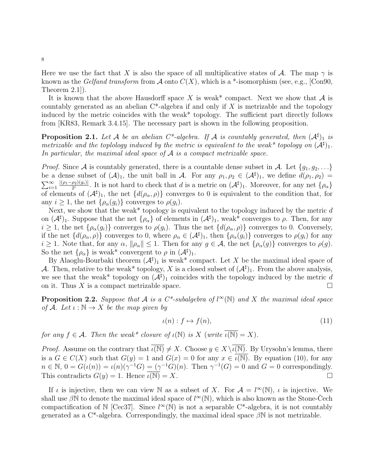Here we use the fact that X is also the space of all multiplicative states of A. The map  $\gamma$  is known as the *Gelfand transform* from A onto  $C(X)$ , which is a \*-isomorphism (see, e.g., [\[Con90,](#page-45-11) Theorem 2.1]).

It is known that the above Hausdorff space X is weak\* compact. Next we show that  $A$  is countably generated as an abelian  $C^*$ -algebra if and only if X is metrizable and the topology induced by the metric coincides with the weak\* topology. The sufficient part directly follows from [\[KR83,](#page-45-12) Remark 3.4.15]. The necessary part is shown in the following proposition.

<span id="page-7-2"></span>**Proposition 2.1.** Let A be an abelian  $C^*$ -algebra. If A is countably generated, then  $(A^{\sharp})_1$  is metrizable and the toplology induced by the metric is equivalent to the weak\* topology on  $(\mathcal{A}^{\sharp})_1$ . In particular, the maximal ideal space of  $A$  is a compact metrizable space.

*Proof.* Since A is countably generated, there is a countable dense subset in A. Let  $\{g_1, g_2, \ldots\}$ be a dense subset of  $(\mathcal{A})_1$ , the unit ball in  $\mathcal{A}$ . For any  $\rho_1, \rho_2 \in (\mathcal{A}^{\sharp})_1$ , we define  $d(\rho_1, \rho_2)$  $\sum_{i=1}^{\infty}$  $|(\rho_1-\rho_2)(g_i)|$  $\frac{\rho_2(g_i)}{2^i}$ . It is not hard to check that d is a metric on  $(\mathcal{A}^{\sharp})_1$ . Moreover, for any net  $\{\rho_{\alpha}\}$ of elements of  $(\mathcal{A}^{\sharp})_1$ , the net  $\{d(\rho_{\alpha},\rho)\}\)$  converges to 0 is equivalent to the condition that, for any  $i \geq 1$ , the net  $\{\rho_{\alpha}(g_i)\}\)$  converges to  $\rho(g_i)$ .

Next, we show that the weak\* topology is equivalent to the topology induced by the metric  $d$ on  $(\mathcal{A}^{\sharp})_1$ . Suppose that the net  $\{\rho_{\alpha}\}\$  of elements in  $(\mathcal{A}^{\sharp})_1$ , weak\* converges to  $\rho$ . Then, for any  $i \geq 1$ , the net  $\{\rho_{\alpha}(g_i)\}$  converges to  $\rho(g_i)$ . Thus the net  $\{d(\rho_{\alpha}, \rho)\}$  converges to 0. Conversely, if the net  $\{d(\rho_{\alpha}, \rho)\}\)$  converges to 0, where  $\rho_{\alpha} \in (A^{\sharp})_1$ , then  $\{\rho_{\alpha}(g_i)\}\)$  converges to  $\rho(g_i)$  for any  $i \geq 1$ . Note that, for any  $\alpha$ ,  $\|\rho_{\alpha}\| \leq 1$ . Then for any  $g \in \mathcal{A}$ , the net  $\{\rho_{\alpha}(g)\}$  converges to  $\rho(g)$ . So the net  $\{\rho_{\alpha}\}\$ is weak\* convergent to  $\rho$  in  $(\mathcal{A}^{\sharp})_1$ .

By Alaoglu-Bourbaki theorem  $(\mathcal{A}^{\sharp})_1$  is weak\* compact. Let X be the maximal ideal space of A. Then, relative to the weak\* topology, X is a closed subset of  $(\mathcal{A}^{\sharp})_1$ . From the above analysis, we see that the weak\* topology on  $(\mathcal{A}^{\sharp})_1$  coincides with the topology induced by the metric d on it. Thus X is a compact metrizable space.

<span id="page-7-1"></span>**Proposition 2.2.** Suppose that A is a  $C^*$ -subalgebra of  $l^{\infty}(\mathbb{N})$  and X the maximal ideal space of A. Let  $\iota : \mathbb{N} \to X$  be the map given by

<span id="page-7-0"></span>
$$
\iota(n): f \mapsto f(n),\tag{11}
$$

for any  $f \in \mathcal{A}$ . Then the weak\* closure of  $\iota(\mathbb{N})$  is X (write  $\overline{\iota(\mathbb{N})} = X$ ).

*Proof.* Assume on the contrary that  $\overline{\iota(N)} \neq X$ . Choose  $y \in X \setminus \overline{\iota(N)}$ . By Urysohn's lemma, there is a  $G \in C(X)$  such that  $G(y) = 1$  and  $G(x) = 0$  for any  $x \in \overline{\iota(\mathbb{N})}$ . By equation [\(10\)](#page-6-1), for any  $n \in \mathbb{N}, 0 = G(\iota(n)) = \iota(n)(\gamma^{-1}G) = (\gamma^{-1}G)(n)$ . Then  $\gamma^{-1}(G) = 0$  and  $G = 0$  correspondingly. This contradicts  $G(y) = 1$ . Hence  $\overline{\iota(N)} = X$ .

If *i* is injective, then we can view N as a subset of X. For  $A = l^{\infty}(\mathbb{N})$ , *i* is injective. We shall use  $\beta \mathbb{N}$  to denote the maximal ideal space of  $l^{\infty}(\mathbb{N})$ , which is also known as the Stone-Čech compactification of N [\[Cec37\]](#page-45-15). Since  $l^{\infty}(\mathbb{N})$  is not a separable C<sup>\*</sup>-algebra, it is not countably generated as a  $C^*$ -algebra. Correspondingly, the maximal ideal space  $\beta N$  is not metrizable.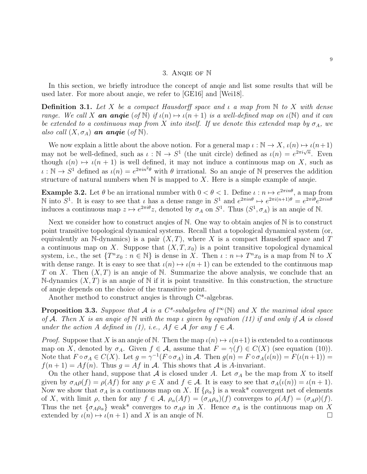#### 3. Anqie of N

<span id="page-8-0"></span>In this section, we briefly introduce the concept of anqie and list some results that will be used later. For more about anqie, we refer to [\[GE16\]](#page-45-7) and [\[Wei18\]](#page-46-11).

**Definition 3.1.** Let X be a compact Hausdorff space and  $\iota$  a map from N to X with dense range. We call X **an anqie** (of N) if  $\iota(n) \mapsto \iota(n + 1)$  is a well-defined map on  $\iota(\mathbb{N})$  and it can be extended to a continuous map from X into itself. If we denote this extended map by  $\sigma_A$ , we also call  $(X, \sigma_A)$  an angie (of N).

We now explain a little about the above notion. For a general map  $\iota : \mathbb{N} \to X$ ,  $\iota(n) \mapsto \iota(n+1)$ may not be well-defined, such as  $\iota : \mathbb{N} \to S^1$  (the unit circle) defined as  $\iota(n) = e^{2\pi i \sqrt{n}}$ . Even though  $\iota(n) \mapsto \iota(n + 1)$  is well defined, it may not induce a continuous map on X, such as  $\iota : \mathbb{N} \to S^1$  defined as  $\iota(n) = e^{2\pi i n^2 \theta}$  with  $\theta$  irrational. So an angie of N preserves the addition structure of natural numbers when  $\mathbb N$  is mapped to X. Here is a simple example of angie.

**Example 3.2.** Let  $\theta$  be an irrational number with  $0 < \theta < 1$ . Define  $\iota : n \mapsto e^{2\pi i n \theta}$ , a map from N into  $S^1$ . It is easy to see that *ι* has a dense range in  $S^1$  and  $e^{2\pi i n\theta} \mapsto e^{2\pi i (n+1)\theta} = e^{2\pi i \theta} e^{2\pi i n\theta}$ induces a continuous map  $z \mapsto e^{2\pi i \theta} z$ , denoted by  $\sigma_A$  on  $S^1$ . Thus  $(S^1, \sigma_A)$  is an anqie of N.

Next we consider how to construct anqies of N. One way to obtain anqies of N is to construct point transitive topological dynamical systems. Recall that a topological dynamical system (or, equivalently an N-dynamics) is a pair  $(X, T)$ , where X is a compact Hausdorff space and T a continuous map on X. Suppose that  $(X, T, x_0)$  is a point transitive topological dynamical system, i.e., the set  $\{T^n x_0 : n \in \mathbb{N}\}\$ is dense in X. Then  $\iota : n \mapsto T^n x_0$  is a map from N to X with dense range. It is easy to see that  $\iota(n) \mapsto \iota(n + 1)$  can be extended to the continuous map T on X. Then  $(X, T)$  is an angie of N. Summarize the above analysis, we conclude that an N-dynamics  $(X, T)$  is an angle of N if it is point transitive. In this construction, the structure of anqie depends on the choice of the transitive point.

Another method to construct anqies is through C\*-algebras.

<span id="page-8-1"></span>**Proposition 3.3.** Suppose that A is a C<sup>\*</sup>-subalgebra of  $l^{\infty}(\mathbb{N})$  and X the maximal ideal space of A. Then X is an angie of N with the map  $\iota$  given by equation [\(11\)](#page-7-0) if and only if A is closed under the action A defined in [\(1\)](#page-1-1), i.e.,  $Af \in \mathcal{A}$  for any  $f \in \mathcal{A}$ .

*Proof.* Suppose that X is an angie of N. Then the map  $\iota(n) \mapsto \iota(n+1)$  is extended to a continuous map on X, denoted by  $\sigma_A$ . Given  $f \in \mathcal{A}$ , assume that  $F = \gamma(f) \in C(X)$  (see equation [\(10\)](#page-6-1)). Note that  $F \circ \sigma_A \in C(X)$ . Let  $g = \gamma^{-1}(F \circ \sigma_A)$  in A. Then  $g(n) = F \circ \sigma_A(\iota(n)) = F(\iota(n+1)) =$  $f(n+1) = Af(n)$ . Thus  $q = Af$  in A. This shows that A is A-invariant.

On the other hand, suppose that A is closed under A. Let  $\sigma_A$  be the map from X to itself given by  $\sigma_A \rho(f) = \rho(Af)$  for any  $\rho \in X$  and  $f \in \mathcal{A}$ . It is easy to see that  $\sigma_A(\iota(n)) = \iota(n+1)$ . Now we show that  $\sigma_A$  is a continuous map on X. If  $\{\rho_\alpha\}$  is a weak\* convergent net of elements of X, with limit  $\rho$ , then for any  $f \in \mathcal{A}$ ,  $\rho_{\alpha}(Af) = (\sigma_A \rho_{\alpha})(f)$  converges to  $\rho(Af) = (\sigma_A \rho)(f)$ . Thus the net  $\{\sigma_A \rho_\alpha\}$  weak\* converges to  $\sigma_A \rho$  in X. Hence  $\sigma_A$  is the continuous map on X extended by  $\iota(n) \mapsto \iota(n + 1)$  and X is an angie of N.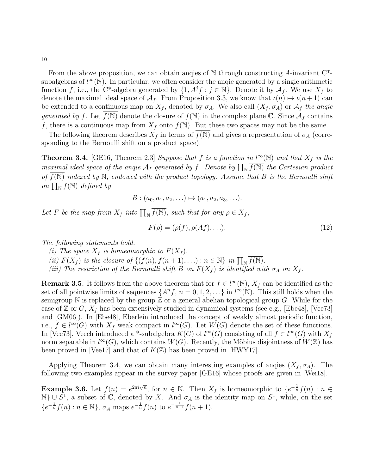From the above proposition, we can obtain angles of  $\mathbb N$  through constructing A-invariant  $C^*$ subalgebras of  $l^{\infty}(\mathbb{N})$ . In particular, we often consider the angie generated by a single arithmetic function f, i.e., the C<sup>\*</sup>-algebra generated by  $\{1, A^{j}f : j \in \mathbb{N}\}\$ . Denote it by  $\mathcal{A}_f$ . We use  $X_f$  to denote the maximal ideal space of  $A_f$ . From Proposition [3.3,](#page-8-1) we know that  $\iota(n) \mapsto \iota(n+1)$  can be extended to a continuous map on  $X_f$ , denoted by  $\sigma_A$ . We also call  $(X_f, \sigma_A)$  or  $\mathcal{A}_f$  the angie generated by f. Let  $f(N)$  denote the closure of  $f(N)$  in the complex plane C. Since  $\mathcal{A}_f$  contains f, there is a continuous map from  $X_f$  onto  $f(N)$ . But these two spaces may not be the same.

The following theorem describes  $X_f$  in terms of  $f(N)$  and gives a representation of  $\sigma_A$  (corresponding to the Bernoulli shift on a product space).

<span id="page-9-0"></span>**Theorem 3.4.** [\[GE16,](#page-45-7) Theorem 2.3] Suppose that f is a function in  $l^{\infty}(\mathbb{N})$  and that  $X_f$  is the maximal ideal space of the anqie  $A_f$  generated by f. Denote by  $\prod_{\mathbb{N}} \overline{f(\mathbb{N})}$  the Cartesian product of  $f(N)$  indexed by N, endowed with the product topology. Assume that B is the Bernoulli shift on  $\prod_{\mathbb{N}} \overline{f(\mathbb{N})}$  defined by

$$
B: (a_0, a_1, a_2, \ldots) \mapsto (a_1, a_2, a_3, \ldots).
$$

Let F be the map from  $X_f$  into  $\prod_{\mathbb{N}} \overline{f(\mathbb{N})}$ , such that for any  $\rho \in X_f$ ,

$$
F(\rho) = (\rho(f), \rho(Af), \ldots). \tag{12}
$$

The following statements hold.

(i) The space  $X_f$  is homeomorphic to  $F(X_f)$ .

(ii)  $F(X_f)$  is the closure of  $\{(f(n), f(n+1), \ldots) : n \in \mathbb{N}\}\$ in  $\prod_{\mathbb{N}} \overline{f(\mathbb{N})}.$ 

(iii) The restriction of the Bernoulli shift B on  $F(X_f)$  is identified with  $\sigma_A$  on  $X_f$ .

<span id="page-9-1"></span>**Remark 3.5.** It follows from the above theorem that for  $f \in l^{\infty}(\mathbb{N})$ ,  $X_f$  can be identified as the set of all pointwise limits of sequences  $\{A^n f, n = 0, 1, 2, \ldots\}$  in  $l^{\infty}(\mathbb{N})$ . This still holds when the semigroup N is replaced by the group  $\mathbb Z$  or a general abelian topological group G. While for the case of Z or G,  $X_f$  has been extensively studied in dynamical systems (see e.g., [\[Ebe48\]](#page-45-8), [\[Vee73\]](#page-46-8) and [\[GM06\]](#page-45-9)). In [\[Ebe48\]](#page-45-8), Eberlein introduced the concept of weakly almost periodic function, i.e.,  $f \in l^{\infty}(G)$  with  $X_f$  weak compact in  $l^{\infty}(G)$ . Let  $W(G)$  denote the set of these functions. In [\[Vee73\]](#page-46-8), Veech introduced a \*-subalgebra  $K(G)$  of  $l^{\infty}(G)$  consisting of all  $f \in l^{\infty}(G)$  with  $X_f$ norm separable in  $l^{\infty}(G)$ , which contains  $W(G)$ . Recently, the Möbius disjointness of  $W(\mathbb{Z})$  has been proved in [\[Vee17\]](#page-46-4) and that of  $K(\mathbb{Z})$  has been proved in [\[HWY17\]](#page-45-4).

Applying Theorem [3.4,](#page-9-0) we can obtain many interesting examples of angies  $(X_f, \sigma_A)$ . The following two examples appear in the survey paper [\[GE16\]](#page-45-7) whose proofs are given in [\[Wei18\]](#page-46-11).

**Example 3.6.** Let  $f(n) = e^{2\pi i \sqrt{n}}$ , for  $n \in \mathbb{N}$ . Then  $X_f$  is homeomorphic to  $\{e^{-\frac{1}{n}}f(n) : n \in \mathbb{N}\}$  $\mathbb{N}\}\cup S^1$ , a subset of  $\mathbb{C}$ , denoted by X. And  $\sigma_A$  is the identity map on  $S^1$ , while, on the set  $\{e^{-\frac{1}{n}}f(n) : n \in \mathbb{N}\}, \sigma_A$  maps  $e^{-\frac{1}{n}}f(n)$  to  $e^{-\frac{1}{n+1}}f(n+1)$ .

10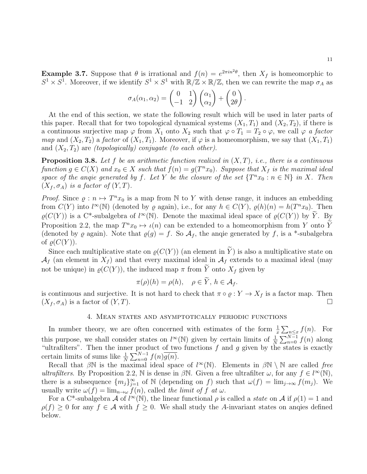**Example 3.7.** Suppose that  $\theta$  is irrational and  $f(n) = e^{2\pi i n^2 \theta}$ , then  $X_f$  is homeomorphic to  $S^1 \times S^1$ . Moreover, if we identify  $S^1 \times S^1$  with  $\mathbb{R}/\mathbb{Z} \times \mathbb{R}/\mathbb{Z}$ , then we can rewrite the map  $\sigma_A$  as

$$
\sigma_A(\alpha_1, \alpha_2) = \begin{pmatrix} 0 & 1 \\ -1 & 2 \end{pmatrix} \begin{pmatrix} \alpha_1 \\ \alpha_2 \end{pmatrix} + \begin{pmatrix} 0 \\ 2\theta \end{pmatrix}.
$$

At the end of this section, we state the following result which will be used in later parts of this paper. Recall that for two topological dynamical systems  $(X_1, T_1)$  and  $(X_2, T_2)$ , if there is a continuous surjective map  $\varphi$  from  $X_1$  onto  $X_2$  such that  $\varphi \circ T_1 = T_2 \circ \varphi$ , we call  $\varphi$  a factor map and  $(X_2, T_2)$  a factor of  $(X_1, T_1)$ . Moreover, if  $\varphi$  is a homeomorphism, we say that  $(X_1, T_1)$ and  $(X_2, T_2)$  are *(topologically)* conjugate *(to each other)*.

<span id="page-10-1"></span>**Proposition 3.8.** Let f be an arithmetic function realized in  $(X, T)$ , i.e., there is a continuous function  $g \in C(X)$  and  $x_0 \in X$  such that  $f(n) = g(T^n x_0)$ . Suppose that  $X_f$  is the maximal ideal space of the angle generated by f. Let Y be the closure of the set  $\{T^n x_0 : n \in \mathbb{N}\}\$ in X. Then  $(X_f, \sigma_A)$  is a factor of  $(Y, T)$ .

*Proof.* Since  $\rho: n \mapsto T^n x_0$  is a map from N to Y with dense range, it induces an embedding from  $C(Y)$  into  $l^{\infty}(\mathbb{N})$  (denoted by  $\varrho$  again), i.e., for any  $h \in C(Y)$ ,  $\varrho(h)(n) = h(T^{n}x_0)$ . Then  $\varrho(C(Y))$  is a C<sup>\*</sup>-subalgebra of  $l^{\infty}(\mathbb{N})$ . Denote the maximal ideal space of  $\varrho(C(Y))$  by  $\widetilde{Y}$ . By Proposition [2.2,](#page-7-1) the map  $T^n x_0 \mapsto \iota(n)$  can be extended to a homeomorphism from Y onto Y (denoted by  $\varrho$  again). Note that  $\varrho(g) = f$ . So  $\mathcal{A}_f$ , the angie generated by f, is a \*-subalgebra of  $\rho(C(Y))$ .

Since each multiplicative state on  $\rho(C(Y))$  (an element in Y) is also a multiplicative state on  $\mathcal{A}_f$  (an element in  $X_f$ ) and that every maximal ideal in  $\mathcal{A}_f$  extends to a maximal ideal (may not be unique) in  $\varrho(C(Y))$ , the induced map  $\pi$  from  $\widetilde{Y}$  onto  $X_f$  given by

$$
\pi(\rho)(h) = \rho(h), \quad \rho \in Y, \, h \in \mathcal{A}_f.
$$

is continuous and surjective. It is not hard to check that  $\pi \circ \varrho : Y \to X_f$  is a factor map. Then  $(X_f, \sigma_A)$  is a factor of  $(Y, T)$ .

#### 4. Mean states and asymptotically periodic functions

<span id="page-10-0"></span>In number theory, we are often concerned with estimates of the form  $\frac{1}{x} \sum_{n \leq x} f(n)$ . For this purpose, we shall consider states on  $l^{\infty}(\mathbb{N})$  given by certain limits of  $\frac{1}{N}\sum_{n=0}^{N-1}f(n)$  along "ultrafilters". Then the inner product of two functions  $f$  and  $g$  given by the states is exactly certain limits of sums like  $\frac{1}{N} \sum_{n=0}^{N-1} f(n) \overline{g(n)}$ .

Recall that  $\beta \mathbb{N}$  is the maximal ideal space of  $l^{\infty}(\mathbb{N})$ . Elements in  $\beta \mathbb{N} \setminus \mathbb{N}$  are called free ultrafilters. By Proposition [2.2,](#page-7-1) N is dense in  $\beta N$ . Given a free ultrafilter  $\omega$ , for any  $f \in l^{\infty}(\mathbb{N})$ , there is a subsequence  $\{m_j\}_{j=1}^\infty$  of N (depending on f) such that  $\omega(f) = \lim_{j\to\infty} f(m_j)$ . We usually write  $\omega(f) = \lim_{n \to \omega} f(n)$ , called the limit of f at  $\omega$ .

For a C<sup>\*</sup>-subalgebra A of  $l^{\infty}(\mathbb{N})$ , the linear functional  $\rho$  is called a *state* on A if  $\rho(1) = 1$  and  $\rho(f) \geq 0$  for any  $f \in \mathcal{A}$  with  $f \geq 0$ . We shall study the A-invariant states on angies defined below.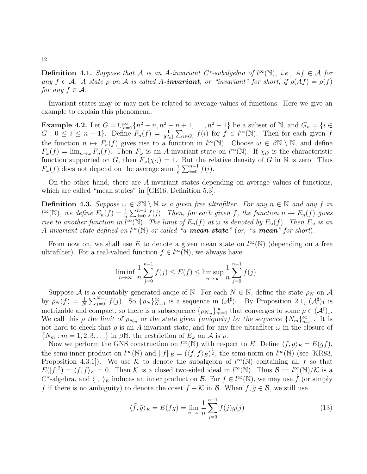**Definition 4.1.** Suppose that A is an A-invariant C\*-subalgebra of  $l^{\infty}(\mathbb{N})$ , i.e.,  $Af \in \mathcal{A}$  for any  $f \in \mathcal{A}$ . A state  $\rho$  on  $\mathcal A$  is called A-invariant, or "invariant" for short, if  $\rho(Af) = \rho(f)$ for any  $f \in \mathcal{A}$ .

Invariant states may or may not be related to average values of functions. Here we give an example to explain this phenomena.

**Example 4.2.** Let  $G = \bigcup_{n=1}^{\infty} \{n^2 - n, n^2 - n + 1, ..., n^2 - 1\}$  be a subset of N, and  $G_n = \{i \in \mathbb{Z}\}$  $G: 0 \leq i \leq n-1$ . Define  $F_n(f) = \frac{1}{|G_n|} \sum_{i \in G_n} f(i)$  for  $f \in l^{\infty}(\mathbb{N})$ . Then for each given f the function  $n \mapsto F_n(f)$  gives rise to a function in  $l^{\infty}(\mathbb{N})$ . Choose  $\omega \in \beta \mathbb{N} \setminus \mathbb{N}$ , and define  $F_{\omega}(f) = \lim_{n \to \omega} F_n(f)$ . Then  $F_{\omega}$  is an A-invariant state on  $l^{\infty}(\mathbb{N})$ . If  $\chi_G$  is the characteristic function supported on G, then  $F_{\omega}(\chi_G) = 1$ . But the relative density of G in N is zero. Thus  $F_{\omega}(f)$  does not depend on the average sum  $\frac{1}{n} \sum_{i=0}^{n-1} f(i)$ .

On the other hand, there are A-invariant states depending on average values of functions, which are called "mean states" in [\[GE16,](#page-45-7) Definition 5.3].

<span id="page-11-0"></span>**Definition 4.3.** Suppose  $\omega \in \beta \mathbb{N} \setminus \mathbb{N}$  is a given free ultrafilter. For any  $n \in \mathbb{N}$  and any f in  $l^{\infty}(\mathbb{N})$ , we define  $E_n(f) = \frac{1}{n} \sum_{j=0}^{n-1} f(j)$ . Then, for each given f, the function  $n \to E_n(f)$  gives rise to another function in  $\tilde{l}^{\infty}(\tilde{N})$ . The limit of  $E_n(f)$  at  $\omega$  is denoted by  $E_{\omega}(f)$ . Then  $E_{\omega}$  is an A-invariant state defined on  $l^{\infty}(\mathbb{N})$  or called "a **mean state**" (or, "a **mean**" for short).

From now on, we shall use E to denote a given mean state on  $l^{\infty}(\mathbb{N})$  (depending on a free ultrafilter). For a real-valued function  $f \in l^{\infty}(\mathbb{N})$ , we always have:

$$
\liminf_{n \to \infty} \frac{1}{n} \sum_{j=0}^{n-1} f(j) \le E(f) \le \limsup_{n \to \infty} \frac{1}{n} \sum_{j=0}^{n-1} f(j).
$$

Suppose A is a countably generated anqie of N. For each  $N \in \mathbb{N}$ , define the state  $\rho_N$  on A by  $\rho_N(f) = \frac{1}{N} \sum_{j=0}^{N-1} f(j)$ . So  $\{\rho_N\}_{N=1}^{\infty}$  is a sequence in  $(\mathcal{A}^{\sharp})_1$ . By Proposition [2.1,](#page-7-2)  $(\mathcal{A}^{\sharp})_1$  is metrizable and compact, so there is a subsequence  $\{\rho_{N_m}\}_{m=1}^{\infty}$  that converges to some  $\rho \in (A^{\sharp})_1$ . We call this  $\rho$  the limit of  $\rho_{N_m}$  or the state given (uniquely) by the sequence  $\{N_m\}_{m=1}^{\infty}$ . It is not hard to check that  $\rho$  is an A-invariant state, and for any free ultrafilter  $\omega$  in the closure of  $\{N_m : m = 1, 2, 3, \ldots\}$  in  $\beta \mathbb{N}$ , the restriction of  $E_\omega$  on  $\mathcal A$  is  $\rho$ .

Now we perform the GNS construction on  $l^{\infty}(\mathbb{N})$  with respect to E. Define  $\langle f, g \rangle_E = E(\bar{g}f)$ , the semi-inner product on  $l^{\infty}(\mathbb{N})$  and  $||f||_E = (\langle f, f \rangle_E)^{\frac{1}{2}}$ , the semi-norm on  $l^{\infty}(\mathbb{N})$  (see [\[KR83,](#page-45-12) Proposition 4.3.1). We use K to denote the subalgebra of  $l^{\infty}(\mathbb{N})$  containing all f so that  $E(|f|^2) = \langle f, f \rangle_E = 0$ . Then K is a closed two-sided ideal in  $l^{\infty}(\mathbb{N})$ . Thus  $\mathcal{B} := l^{\infty}(\mathbb{N})/\mathcal{K}$  is a  $C^*$ -algebra, and  $\langle , \rangle_E$  induces an inner product on B. For  $f \in l^{\infty}(\mathbb{N})$ , we may use  $\tilde{f}$  (or simply f if there is no ambiguity) to denote the coset  $f + \mathcal{K}$  in  $\mathcal{B}$ . When  $f, \tilde{g} \in \mathcal{B}$ , we still use

<span id="page-11-1"></span>
$$
\langle \tilde{f}, \tilde{g} \rangle_E = E(f\overline{g}) = \lim_{n \to \omega} \frac{1}{n} \sum_{j=0}^{n-1} f(j)\overline{g}(j)
$$
(13)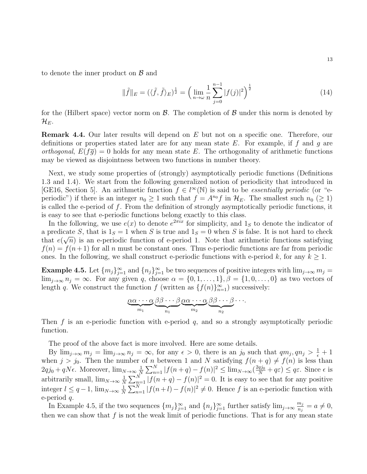to denote the inner product on  $\beta$  and

<span id="page-12-1"></span>
$$
\|\tilde{f}\|_{E} = (\langle \tilde{f}, \tilde{f} \rangle_{E})^{\frac{1}{2}} = \left(\lim_{n \to \omega} \frac{1}{n} \sum_{j=0}^{n-1} |f(j)|^{2}\right)^{\frac{1}{2}}
$$
(14)

for the (Hilbert space) vector norm on  $\mathcal{B}$ . The completion of  $\mathcal{B}$  under this norm is denoted by  $\mathcal{H}_{E}.$ 

**Remark 4.4.** Our later results will depend on E but not on a specific one. Therefore, our definitions or properties stated later are for any mean state  $E$ . For example, if f and g are *orthogonal,*  $E(f\overline{g}) = 0$  holds for any mean state E. The orthogonality of arithmetic functions may be viewed as disjointness between two functions in number theory.

Next, we study some properties of (strongly) asymptotically periodic functions (Definitions 1.3 and 1.4). We start from the following generalized notion of periodicity that introduced in [\[GE16,](#page-45-7) Section 5]. An arithmetic function  $f \in l^{\infty}(\mathbb{N})$  is said to be *essentially periodic* (or "eperiodic") if there is an integer  $n_0 \ge 1$  such that  $f = A^{n_0} f$  in  $\mathcal{H}_E$ . The smallest such  $n_0 \ (\ge 1)$ is called the e-period of  $f$ . From the definition of strongly asymptotically periodic functions, it is easy to see that e-periodic functions belong exactly to this class.

In the following, we use  $e(x)$  to denote  $e^{2\pi ix}$  for simplicity, and  $1<sub>S</sub>$  to denote the indicator of a predicate S, that is  $1_S = 1$  when S is true and  $1_S = 0$  when S is false. It is not hard to check that  $e(\sqrt{n})$  is an e-periodic function of e-period 1. Note that arithmetic functions satisfying  $f(n) = f(n+1)$  for all n must be constant ones. Thus e-periodic functions are far from periodic ones. In the following, we shall construct e-periodic functions with e-period k, for any  $k \geq 1$ .

<span id="page-12-0"></span>**Example 4.5.** Let  $\{m_j\}_{j=1}^{\infty}$  and  $\{n_j\}_{j=1}^{\infty}$  be two sequences of positive integers with  $\lim_{j\to\infty} m_j =$  $\lim_{i\to\infty} n_i = \infty$ . For any given q, choose  $\alpha = \{0, 1, \ldots, 1\}, \beta = \{1, 0, \ldots, 0\}$  as two vectors of length q. We construct the function  $f$  (written as  $\{f(n)\}_{n=1}^{\infty}$ ) successively:

$$
\underbrace{\alpha\alpha\cdots\alpha}_{m_1}\underbrace{\beta\beta\cdots\beta}_{n_1}\underbrace{\alpha\alpha\cdots\alpha}_{m_2}\underbrace{\beta\beta\cdots\beta}_{n_2}\cdots
$$

Then  $f$  is an e-periodic function with e-period  $q$ , and so a strongly asymptotically periodic function.

The proof of the above fact is more involved. Here are some details.

By  $\lim_{j\to\infty} m_j = \lim_{j\to\infty} n_j = \infty$ , for any  $\epsilon > 0$ , there is an j<sub>0</sub> such that  $qm_j, qn_j > \frac{1}{\epsilon} + 1$ when  $j > j_0$ . Then the number of n between 1 and N satisfying  $f(n + q) \neq f(n)$  is less than  $2qj_0 + qN\epsilon$ . Moreover,  $\lim_{N\to\infty}\frac{1}{N}$  $\frac{1}{N} \sum_{n=1}^{N} |f(n+q) - f(n)|^2 \leq \lim_{N \to \infty} \left(\frac{2qj_0}{N} + q\varepsilon\right) \leq q\varepsilon$ . Since  $\epsilon$  is arbitrarily small,  $\lim_{N\to\infty}\frac{1}{N}$  $\frac{1}{N}\sum_{n=1}^{N}|f(n+q)-f(n)|^2=0.$  It is easy to see that for any positive integer  $l \leq q-1$ ,  $\lim_{N \to \infty} \frac{1}{N}$  $\frac{1}{N}\sum_{n=1}^{N}|f(n+l)-f(n)|^2\neq 0.$  Hence f is an e-periodic function with e-period q.

In Example [4.5,](#page-12-0) if the two sequences  $\{m_j\}_{j=1}^{\infty}$  and  $\{n_j\}_{j=1}^{\infty}$  further satisfy  $\lim_{j\to\infty} \frac{m_j}{n_j}$  $\frac{m_j}{n_j}=a\neq 0,$ then we can show that  $f$  is not the weak limit of periodic functions. That is for any mean state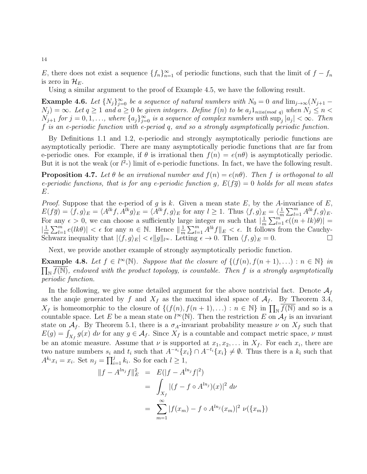E, there does not exist a sequence  $\{f_n\}_{n=1}^{\infty}$  of periodic functions, such that the limit of  $f - f_n$ is zero in  $\mathcal{H}_E$ .

Using a similar argument to the proof of Example [4.5,](#page-12-0) we have the following result.

<span id="page-13-0"></span>**Example 4.6.** Let  $\{N_j\}_{j=0}^{\infty}$  be a sequence of natural numbers with  $N_0 = 0$  and  $\lim_{j\to\infty} (N_{j+1} N_j$  =  $\infty$ . Let  $q \ge 1$  and  $a \ge 0$  be given integers. Define  $f(n)$  to be  $a_j 1_{n \equiv a (mod q)}$  when  $N_j \le n <$  $N_{j+1}$  for  $j = 0, 1, \ldots$ , where  $\{a_j\}_{j=0}^{\infty}$  is a sequence of complex numbers with  $\sup_j |a_j| < \infty$ . Then f is an e-periodic function with e-period q, and so a strongly asymptotically periodic function.

By Definitions [1.1](#page-1-2) and [1.2,](#page-1-3) e-periodic and strongly asymptotically periodic functions are asymptotically periodic. There are many asymptotically periodic functions that are far from e-periodic ones. For example, if  $\theta$  is irrational then  $f(n) = e(n\theta)$  is asymptotically periodic. But it is not the weak (or  $l^2$ -) limit of e-periodic functions. In fact, we have the following result.

**Proposition 4.7.** Let  $\theta$  be an irrational number and  $f(n) = e(n\theta)$ . Then f is orthogonal to all e-periodic functions, that is for any e-periodic function g,  $E(f\overline{g}) = 0$  holds for all mean states E.

*Proof.* Suppose that the e-period of g is k. Given a mean state E, by the A-invariance of E,  $E(f\overline{g}) = \langle f, g \rangle_E = \langle A^{lk}f, A^{lk}g \rangle_E = \langle A^{lk}f, g \rangle_E$  for any  $l \geq 1$ . Thus  $\langle f, g \rangle_E = \langle \frac{1}{m} \rangle_E = \langle f, g \rangle_E = \langle f, g \rangle_E = \langle f, g \rangle_E = \langle f, g \rangle_E = \langle f, g \rangle_E = \langle f, g \rangle_E = \langle f, g \rangle_E = \langle f, g \rangle_E = \langle f, g \rangle_E = \langle f, g \rangle_E = \langle f, g \rangle_E = \langle f, g \rangle_E = \langle f, g \rangle_E = \langle f, g \rangle_E$  $\frac{1}{m}\sum_{l=1}^m A^{lk}f, g\rangle_E.$ For any  $\epsilon > 0$ , we can choose a sufficiently large integer m such that  $\frac{1}{n}$  $\frac{1}{m}\sum_{l=1}^m \overline{e((n+lk)\theta)}$  =  $\frac{1}{\alpha}$  $\frac{1}{m}\sum_{l=1}^{m}e(lk\theta)\vert < \epsilon$  for any  $n \in \mathbb{N}$ . Hence  $\Vert \frac{1}{m}$  $\frac{1}{m}\sum_{l=1}^{m} A^{lk} f \|_{E} < \epsilon$ . It follows from the Cauchy-Schwarz inequality that  $|\langle f, g \rangle_E| < \epsilon ||g||_{l^{\infty}}$ . Letting  $\epsilon \to 0$ . Then  $\langle f, g \rangle_E = 0$ .

Next, we provide another example of strongly asymptotically periodic function.

**Example 4.8.** Let  $f \in l^{\infty}(\mathbb{N})$ . Suppose that the closure of  $\{(f(n), f(n+1), ...) : n \in \mathbb{N}\}\$ in  $\prod_{\mathbb{N}}\overline{f(\mathbb{N})}$ , endowed with the product topology, is countable. Then f is a strongly asymptotically periodic function.

In the following, we give some detailed argument for the above nontrivial fact. Denote  $A_f$ as the anqie generated by f and  $X_f$  as the maximal ideal space of  $A_f$ . By Theorem [3.4,](#page-9-0)  $X_f$  is homeomorphic to the closure of  $\{(f(n), f(n+1), \ldots) : n \in \mathbb{N}\}\$ in  $\prod_{\mathbb{N}} \overline{f(\mathbb{N})}$  and so is a countable space. Let E be a mean state on  $l^{\infty}(\mathbb{N})$ . Then the restriction E on  $\mathcal{A}_f$  is an invariant state on  $\mathcal{A}_f$ . By Theorem [5.1,](#page-17-1) there is a  $\sigma_A$ -invariant probability measure  $\nu$  on  $X_f$  such that  $E(g) = \int_{X_f} g(x) \, d\nu$  for any  $g \in A_f$ . Since  $X_f$  is a countable and compact metric space,  $\nu$  must be an atomic measure. Assume that  $\nu$  is supported at  $x_1, x_2, \ldots$  in  $X_f$ . For each  $x_i$ , there are two nature numbers  $s_i$  and  $t_i$  such that  $A^{-s_i}\{x_i\} \cap A^{-t_i}\{x_i\} \neq \emptyset$ . Thus there is a  $k_i$  such that  $A^{k_i}x_i = x_i$ . Set  $n_j = \prod_{i=1}^j k_i$ . So for each  $l \geq 1$ ,

$$
||f - A^{ln_j}f||_E^2 = E(|f - A^{ln_j}f|^2)
$$
  
= 
$$
\int_{X_f} |(f - f \circ A^{ln_j})(x)|^2 d\nu
$$
  
= 
$$
\sum_{m=1}^{\infty} |f(x_m) - f \circ A^{ln_j}(x_m)|^2 \nu({x_m})
$$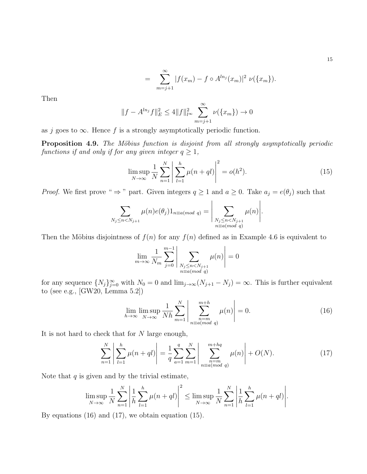$$
= \sum_{m=j+1}^{\infty} |f(x_m) - f \circ A^{ln_j}(x_m)|^2 \nu({x_m}).
$$

Then

$$
||f - A^{ln_j}f||_E^2 \le 4||f||_{l^{\infty}}^2 \sum_{m=j+1}^{\infty} \nu(\lbrace x_m \rbrace) \to 0
$$

as j goes to  $\infty$ . Hence f is a strongly asymptotically periodic function.

<span id="page-14-0"></span>**Proposition 4.9.** The Möbius function is disjoint from all strongly asymptotically periodic functions if and only if for any given integer  $q \geq 1$ ,

<span id="page-14-3"></span>
$$
\limsup_{N \to \infty} \frac{1}{N} \sum_{n=1}^{N} \left| \sum_{l=1}^{h} \mu(n + ql) \right|^{2} = o(h^{2}).
$$
\n(15)

*Proof.* We first prove "  $\Rightarrow$  " part. Given integers  $q \ge 1$  and  $a \ge 0$ . Take  $a_j = e(\theta_j)$  such that

$$
\sum_{N_j \leq n < N_{j+1}} \mu(n) e(\theta_j) 1_{n \equiv a \pmod{q}} = \left| \sum_{\substack{N_j \leq n < N_{j+1} \\ n \equiv a \pmod{q}}} \mu(n) \right|.
$$

Then the Möbius disjointness of  $f(n)$  for any  $f(n)$  defined as in Example [4.6](#page-13-0) is equivalent to

$$
\lim_{m \to \infty} \frac{1}{N_m} \sum_{j=0}^{m-1} \left| \sum_{\substack{N_j \le n < N_{j+1} \\ n \equiv a \pmod{q}}} \mu(n) \right| = 0
$$

for any sequence  $\{N_j\}_{j=0}^{\infty}$  with  $N_0 = 0$  and  $\lim_{j\to\infty} (N_{j+1} - N_j) = \infty$ . This is further equivalent to (see e.g., [\[GW20,](#page-45-16) Lemma 5.2])

<span id="page-14-1"></span>
$$
\lim_{h \to \infty} \limsup_{N \to \infty} \frac{1}{Nh} \sum_{m=1}^{N} \left| \sum_{\substack{n=m \\ n \equiv a \pmod{q}}}^{m+h} \mu(n) \right| = 0.
$$
 (16)

It is not hard to check that for N large enough,

<span id="page-14-2"></span>
$$
\sum_{n=1}^{N} \left| \sum_{l=1}^{h} \mu(n+ql) \right| = \frac{1}{q} \sum_{a=1}^{q} \sum_{m=1}^{N} \left| \sum_{\substack{n=m \\ n \equiv a \pmod{q}}}^{m+hq} \mu(n) \right| + O(N). \tag{17}
$$

Note that  $q$  is given and by the trivial estimate,

$$
\limsup_{N \to \infty} \frac{1}{N} \sum_{n=1}^{N} \left| \frac{1}{h} \sum_{l=1}^{h} \mu(n + ql) \right|^{2} \leq \limsup_{N \to \infty} \frac{1}{N} \sum_{n=1}^{N} \left| \frac{1}{h} \sum_{l=1}^{h} \mu(n + ql) \right|.
$$

By equations [\(16\)](#page-14-1) and [\(17\)](#page-14-2), we obtain equation [\(15\)](#page-14-3).

15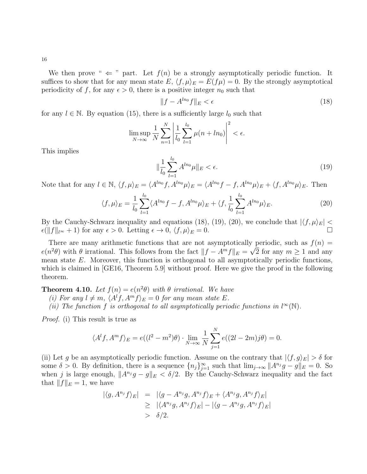We then prove "  $\Leftarrow$  " part. Let  $f(n)$  be a strongly asymptotically periodic function. It suffices to show that for any mean state  $E, \langle f, \mu \rangle_E = E(f\mu) = 0$ . By the strongly asymptotical periodicity of f, for any  $\epsilon > 0$ , there is a positive integer  $n_0$  such that

<span id="page-15-0"></span>
$$
||f - A^{ln_0}f||_E < \epsilon \tag{18}
$$

for any  $l \in \mathbb{N}$ . By equation [\(15\)](#page-14-3), there is a sufficiently large  $l_0$  such that

$$
\limsup_{N \to \infty} \frac{1}{N} \sum_{n=1}^{N} \left| \frac{1}{l_0} \sum_{l=1}^{l_0} \mu(n + l n_0) \right|^2 < \epsilon.
$$

This implies

<span id="page-15-1"></span>
$$
\|\frac{1}{l_0} \sum_{l=1}^{l_0} A^{ln_0} \mu\|_E < \epsilon. \tag{19}
$$

Note that for any  $l \in \mathbb{N}$ ,  $\langle f, \mu \rangle_E = \langle A^{ln_0} f, A^{ln_0} \mu \rangle_E = \langle A^{ln_0} f - f, A^{ln_0} \mu \rangle_E + \langle f, A^{ln_0} \mu \rangle_E$ . Then

<span id="page-15-2"></span>
$$
\langle f, \mu \rangle_E = \frac{1}{l_0} \sum_{l=1}^{l_0} \langle A^{ln_0} f - f, A^{ln_0} \mu \rangle_E + \langle f, \frac{1}{l_0} \sum_{l=1}^{l_0} A^{ln_0} \mu \rangle_E.
$$
 (20)

By the Cauchy-Schwarz inequality and equations [\(18\)](#page-15-0), [\(19\)](#page-15-1), [\(20\)](#page-15-2), we conclude that  $|\langle f, \mu \rangle_E|$  <  $\epsilon(\|f\|_{l^{\infty}} + 1)$  for any  $\epsilon > 0$ . Letting  $\epsilon \to 0$ ,  $\langle f, \mu \rangle_E = 0$ .

There are many arithmetic functions that are not asymptotically periodic, such as  $f(n) =$  $e(n^2\theta)$  with  $\theta$  irrational. This follows from the fact  $||f - A^m f||_E = \sqrt{2}$  for any  $m \ge 1$  and any mean state  $E$ . Moreover, this function is orthogonal to all asymptotically periodic functions, which is claimed in GE16, Theorem 5.9 without proof. Here we give the proof in the following theorem.

<span id="page-15-3"></span>**Theorem 4.10.** Let  $f(n) = e(n^2\theta)$  with  $\theta$  irrational. We have

(i) For any  $l \neq m$ ,  $\langle A^l f, A^m f \rangle_E = 0$  for any mean state E.

(ii) The function f is orthogonal to all asymptotically periodic functions in  $l^{\infty}(\mathbb{N})$ .

Proof. (i) This result is true as

$$
\langle A^{l}f, A^{m}f\rangle_{E} = e((l^{2}-m^{2})\theta) \cdot \lim_{N \to \infty} \frac{1}{N} \sum_{j=1}^{N} e((2l-2m)j\theta) = 0.
$$

(ii) Let g be an asymptotically periodic function. Assume on the contrary that  $|\langle f, g \rangle_E| > \delta$  for some  $\delta > 0$ . By definition, there is a sequence  $\{n_j\}_{j=1}^{\infty}$  such that  $\lim_{j\to\infty} ||A^{n_j}g - g||_E = 0$ . So when j is large enough,  $||A^{n_j}g - g||_E < \delta/2$ . By the Cauchy-Schwarz inequality and the fact that  $||f||_E = 1$ , we have

$$
\begin{array}{rcl} |\langle g, A^{n_j} f \rangle_E| &=| \langle g - A^{n_j} g, A^{n_j} f \rangle_E + \langle A^{n_j} g, A^{n_j} f \rangle_E | \\ &\geq & |\langle A^{n_j} g, A^{n_j} f \rangle_E | - |\langle g - A^{n_j} g, A^{n_j} f \rangle_E | \\ &> &\delta/2. \end{array}
$$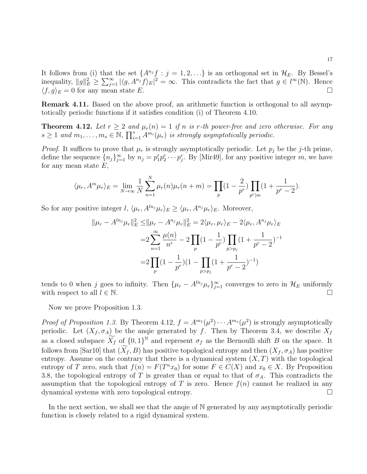It follows from (i) that the set  $\{A^{n_j}f : j = 1, 2, ...\}$  is an orthogonal set in  $\mathcal{H}_E$ . By Bessel's inequality,  $||g||_E^2 \ge \sum_{j=1}^{\infty} |\langle g, A^{n_j} f \rangle_E|^2 = \infty$ . This contradicts the fact that  $g \in l^{\infty}(\mathbb{N})$ . Hence  $\langle f, g \rangle_E = 0$  for any mean state E.

**Remark 4.11.** Based on the above proof, an arithmetic function is orthogonal to all asymptotically periodic functions if it satisfies condition (i) of Theorem [4.10.](#page-15-3)

<span id="page-16-0"></span>**Theorem 4.12.** Let  $r \geq 2$  and  $\mu_r(n) = 1$  if n is r-th power-free and zero otherwise. For any  $s \geq 1$  and  $m_1, \ldots, m_s \in \mathbb{N}$ ,  $\prod_{i=1}^s A^{m_i}(\mu_r)$  is strongly asymptotically periodic.

*Proof.* It suffices to prove that  $\mu_r$  is strongly asymptotically periodic. Let  $p_j$  be the j-th prime, define the sequence  $\{n_j\}_{j=1}^{\infty}$  by  $n_j = p_1^r p_2^r \cdots p_j^r$ . By [\[Mir49\]](#page-46-12), for any positive integer m, we have for any mean state  $E$ ,

$$
\langle \mu_r, A^m \mu_r \rangle_E = \lim_{N \to \infty} \frac{1}{N} \sum_{n=1}^N \mu_r(n) \mu_r(n+m) = \prod_p (1 - \frac{2}{p^r}) \prod_{p^r \mid m} (1 + \frac{1}{p^r - 2}).
$$

So for any positive integer  $l, \langle \mu_r, A^{ln_j} \mu_r \rangle_E \geq \langle \mu_r, A^{n_j} \mu_r \rangle_E$ . Moreover,

$$
\|\mu_r - A^{ln_j}\mu_r\|_E^2 \le \|\mu_r - A^{n_j}\mu_r\|_E^2 = 2\langle \mu_r, \mu_r \rangle_E - 2\langle \mu_r, A^{n_j}\mu_r \rangle_E
$$
  

$$
= 2\sum_{n=1}^{\infty} \frac{\mu(n)}{n^r} - 2\prod_p (1 - \frac{1}{p^r}) \prod_{p > p_j} (1 + \frac{1}{p^r - 2})^{-1}
$$
  

$$
= 2\prod_p (1 - \frac{1}{p^r})(1 - \prod_{p > p_j} (1 + \frac{1}{p^r - 2})^{-1})
$$

tends to 0 when j goes to infinity. Then  $\{\mu_r - A^{ln_j}\mu_r\}_{j=1}^{\infty}$  converges to zero in  $\mathcal{H}_E$  uniformly with respect to all  $l \in \mathbb{N}$ .

Now we prove Proposition [1.3.](#page-2-4)

*Proof of Proposition [1.3.](#page-2-4)* By Theorem [4.12,](#page-16-0)  $f = A^{m_1}(\mu^2) \cdots A^{m_s}(\mu^2)$  is strongly asymptotically periodic. Let  $(X_f, \sigma_A)$  be the anqie generated by f. Then by Theorem [3.4,](#page-9-0) we describe  $X_f$ as a closed subspace  $\widetilde{X}_f$  of  $\{0,1\}^{\mathbb{N}}$  and represent  $\sigma_f$  as the Bernoulli shift B on the space. It follows from [\[Sar10\]](#page-46-0) that  $(\widetilde{X}_f, B)$  has positive topological entropy and then  $(X_f, \sigma_A)$  has positive entropy. Assume on the contrary that there is a dynamical system  $(X, T)$  with the topological entropy of T zero, such that  $f(n) = F(T^n x_0)$  for some  $F \in C(X)$  and  $x_0 \in X$ . By Proposition [3.8,](#page-10-1) the topological entropy of T is greater than or equal to that of  $\sigma_A$ . This contradicts the assumption that the topological entropy of T is zero. Hence  $f(n)$  cannot be realized in any dynamical systems with zero topological entropy.

In the next section, we shall see that the anqie of N generated by any asymptotically periodic function is closely related to a rigid dynamical system.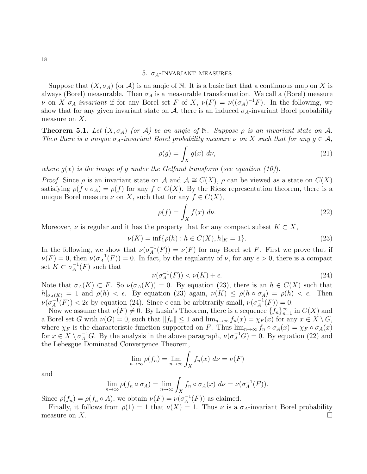### 5.  $\sigma_A$ -INVARIANT MEASURES

<span id="page-17-0"></span>Suppose that  $(X, \sigma_A)$  (or A) is an angie of N. It is a basic fact that a continuous map on X is always (Borel) measurable. Then  $\sigma_A$  is a measurable transformation. We call a (Borel) measure v on X  $\sigma_A$ -invariant if for any Borel set F of X,  $\nu(F) = \nu((\sigma_A)^{-1}F)$ . In the following, we show that for any given invariant state on  $A$ , there is an induced  $\sigma_A$ -invariant Borel probability measure on  $X$ .

<span id="page-17-1"></span>**Theorem 5.1.** Let  $(X, \sigma_A)$  (or A) be an angie of N. Suppose  $\rho$  is an invariant state on A. Then there is a unique  $\sigma_A$ -invariant Borel probability measure  $\nu$  on X such that for any  $g \in \mathcal{A}$ ,

<span id="page-17-5"></span>
$$
\rho(g) = \int_X g(x) \, d\nu,\tag{21}
$$

where  $q(x)$  is the image of q under the Gelfand transform (see equation [\(10\)](#page-6-1)).

*Proof.* Since  $\rho$  is an invariant state on A and  $\mathcal{A} \cong C(X)$ ,  $\rho$  can be viewed as a state on  $C(X)$ satisfying  $\rho(f \circ \sigma_A) = \rho(f)$  for any  $f \in C(X)$ . By the Riesz representation theorem, there is a unique Borel measure  $\nu$  on X, such that for any  $f \in C(X)$ ,

<span id="page-17-4"></span>
$$
\rho(f) = \int_X f(x) \, d\nu. \tag{22}
$$

Moreover,  $\nu$  is regular and it has the property that for any compact subset  $K \subset X$ ,

<span id="page-17-2"></span>
$$
\nu(K) = \inf \{ \rho(h) : h \in C(X), h|_{K} = 1 \}.
$$
\n(23)

In the following, we show that  $\nu(\sigma_A^{-1})$  $_{A}^{-1}(F)$  =  $\nu(F)$  for any Borel set F. First we prove that if  $\nu(F) = 0$ , then  $\nu(\sigma_A^{-1})$  $\chi_A^{-1}(F)$  = 0. In fact, by the regularity of  $\nu$ , for any  $\epsilon > 0$ , there is a compact set  $K \subset \sigma_A^{-1}$  $_{A}^{-1}(F)$  such that

<span id="page-17-3"></span>
$$
\nu(\sigma_A^{-1}(F)) < \nu(K) + \epsilon. \tag{24}
$$

Note that  $\sigma_A(K) \subset F$ . So  $\nu(\sigma_A(K)) = 0$ . By equation [\(23\)](#page-17-2), there is an  $h \in C(X)$  such that  $h|_{\sigma_A(K)} = 1$  and  $\rho(h) < \epsilon$ . By equation [\(23\)](#page-17-2) again,  $\nu(K) \leq \rho(h \circ \sigma_A) = \rho(h) < \epsilon$ . Then  $\nu(\sigma_A^{-1}$  $\chi_A^{-1}(F)$  < 2 $\epsilon$  by equation [\(24\)](#page-17-3). Since  $\epsilon$  can be arbitrarily small,  $\nu(\sigma_A^{-1})$  $_{A}^{-1}(F)) = 0.$ 

Now we assume that  $\nu(F) \neq 0$ . By Lusin's Theorem, there is a sequence  $\{f_n\}_{n=1}^{\infty}$  in  $C(X)$  and a Borel set G with  $\nu(G) = 0$ , such that  $||f_n|| \leq 1$  and  $\lim_{n\to\infty} f_n(x) = \chi_F(x)$  for any  $x \in X \setminus G$ , where  $\chi_F$  is the characteristic function supported on F. Thus  $\lim_{n\to\infty} f_n \circ \sigma_A(x) = \chi_F \circ \sigma_A(x)$ for  $x \in X \setminus \sigma_A^{-1}G$ . By the analysis in the above paragraph,  $\nu(\sigma_A^{-1}G) = 0$ . By equation [\(22\)](#page-17-4) and the Lebesgue Dominated Convergence Theorem,

$$
\lim_{n \to \infty} \rho(f_n) = \lim_{n \to \infty} \int_X f_n(x) \, d\nu = \nu(F)
$$

and

$$
\lim_{n \to \infty} \rho(f_n \circ \sigma_A) = \lim_{n \to \infty} \int_X f_n \circ \sigma_A(x) \, d\nu = \nu(\sigma_A^{-1}(F)).
$$

Since  $\rho(f_n) = \rho(f_n \circ A)$ , we obtain  $\nu(F) = \nu(\sigma_A^{-1})$  $_{A}^{-1}(F)$  as claimed.

Finally, it follows from  $\rho(1) = 1$  that  $\nu(X) = 1$ . Thus  $\nu$  is a  $\sigma_A$ -invariant Borel probability measure on X.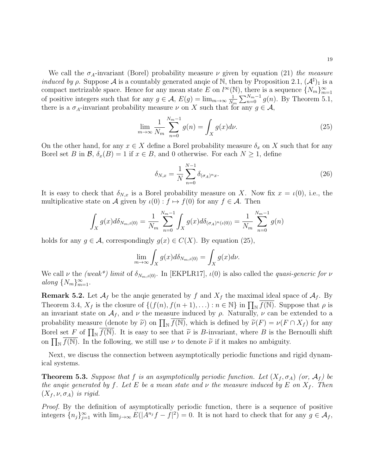We call the  $\sigma_A$ -invariant (Borel) probability measure  $\nu$  given by equation [\(21\)](#page-17-5) the measure *induced by*  $\rho$ *.* Suppose A is a countably generated angie of N, then by Proposition [2.1,](#page-7-2)  $(A^{\sharp})_1$  is a compact metrizable space. Hence for any mean state E on  $l^{\infty}(\mathbb{N})$ , there is a sequence  $\{N_m\}_{m=1}^{\infty}$ of positive integers such that for any  $g \in \mathcal{A}, E(g) = \lim_{m \to \infty} \frac{1}{N}$  $\frac{1}{N_m} \sum_{n=0}^{N_m-1} g(n)$ . By Theorem [5.1,](#page-17-1) there is a  $\sigma_A$ -invariant probability measure  $\nu$  on X such that for any  $g \in \mathcal{A}$ ,

<span id="page-18-1"></span>
$$
\lim_{m \to \infty} \frac{1}{N_m} \sum_{n=0}^{N_m - 1} g(n) = \int_X g(x) d\nu.
$$
 (25)

On the other hand, for any  $x \in X$  define a Borel probability measure  $\delta_x$  on X such that for any Borel set B in B,  $\delta_x(B) = 1$  if  $x \in B$ , and 0 otherwise. For each  $N \ge 1$ , define

$$
\delta_{N,x} = \frac{1}{N} \sum_{n=0}^{N-1} \delta_{(\sigma_A)^n x}.
$$
\n(26)

It is easy to check that  $\delta_{N,x}$  is a Borel probability measure on X. Now fix  $x = \iota(0)$ , i.e., the multiplicative state on A given by  $\iota(0) : f \mapsto f(0)$  for any  $f \in \mathcal{A}$ . Then

$$
\int_X g(x)d\delta_{N_m,\iota(0)} = \frac{1}{N_m} \sum_{n=0}^{N_m-1} \int_X g(x)d\delta_{(\sigma_A)^n(\iota(0))} = \frac{1}{N_m} \sum_{n=0}^{N_m-1} g(n)
$$

holds for any  $g \in \mathcal{A}$ , correspondingly  $g(x) \in C(X)$ . By equation [\(25\)](#page-18-1),

$$
\lim_{m \to \infty} \int_X g(x) d\delta_{N_m, \iota(0)} = \int_X g(x) d\nu.
$$

We call  $\nu$  the (weak\*) limit of  $\delta_{N_m,\iota(0)}$ . In [\[EKPLR17\]](#page-45-17),  $\iota(0)$  is also called the quasi-generic for  $\nu$ along  $\{N_m\}_{m=1}^{\infty}$ .

**Remark 5.2.** Let  $\mathcal{A}_f$  be the angle generated by f and  $X_f$  the maximal ideal space of  $\mathcal{A}_f$ . By Theorem [3.4,](#page-9-0)  $X_f$  is the closure of  $\{(f(n), f(n+1), \ldots) : n \in \mathbb{N}\}\$ in  $\prod_{\mathbb{N}} \overline{f(\mathbb{N})}$ . Suppose that  $\rho$  is an invariant state on  $\mathcal{A}_f$ , and  $\nu$  the measure induced by  $\rho$ . Naturally,  $\nu$  can be extended to a probability measure (denote by  $\tilde{\nu}$ ) on  $\prod_{N} \overline{f(N)}$ , which is defined by  $\tilde{\nu}(F) = \nu(F \cap X_f)$  for any<br>Regulate  $F$  of  $\Pi$ ,  $\overline{f(N)}$ , this agent agent that  $\tilde{\lambda}$  is R increment, where  $R$  is the Remayllistic Borel set F of  $\prod_{N} \overline{f(N)}$ . It is easy to see that  $\tilde{\nu}$  is B-invariant, where B is the Bernoulli shift on  $\prod_{\mathbb{N}} \overline{f(\mathbb{N})}$ . In the following, we still use  $\nu$  to denote  $\tilde{\nu}$  if it makes no ambiguity.

Next, we discuss the connection between asymptotically periodic functions and rigid dynamical systems.

<span id="page-18-0"></span>**Theorem 5.3.** Suppose that f is an asymptotically periodic function. Let  $(X_f, \sigma_A)$  (or,  $\mathcal{A}_f$ ) be the angie generated by f. Let E be a mean state and  $\nu$  the measure induced by E on  $X_f$ . Then  $(X_f, \nu, \sigma_A)$  is rigid.

Proof. By the definition of asymptotically periodic function, there is a sequence of positive integers  ${n_j}_{j=1}^{\infty}$  with  $\lim_{j\to\infty} E(|A^{n_j}f - f|^2) = 0$ . It is not hard to check that for any  $g \in \mathcal{A}_f$ ,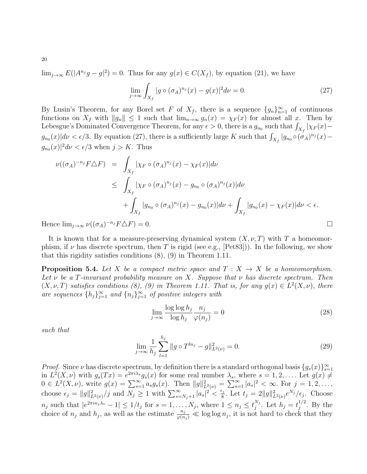$\lim_{j\to\infty} E(|A^{n_j}g - g|^2) = 0$ . Thus for any  $g(x) \in C(X_f)$ , by equation [\(21\)](#page-17-5), we have

<span id="page-19-1"></span>
$$
\lim_{j \to \infty} \int_{X_f} |g \circ (\sigma_A)^{n_j}(x) - g(x)|^2 d\nu = 0.
$$
 (27)

By Lusin's Theorem, for any Borel set F of  $X_f$ , there is a sequence  $\{g_n\}_{n=1}^{\infty}$  of continuous functions on  $X_f$  with  $||g_n|| \leq 1$  such that  $\lim_{n\to\infty} g_n(x) = \chi_F(x)$  for almost all x. Then by Lebesgue's Dominated Convergence Theorem, for any  $\epsilon > 0$ , there is a  $g_{n_0}$  such that  $\int_{X_f} |\chi_F(x)$  $g_{n_0}(x)|d\nu < \epsilon/3$ . By equation [\(27\)](#page-19-1), there is a sufficiently large K such that  $\int_{X_f} |g_{n_0} \circ (\sigma_A)^{n_j}(x)$  $g_{n_0}(x)|^2 d\nu < \epsilon/3$  when  $j > K$ . Thus

$$
\nu((\sigma_A)^{-n_j} F \triangle F) = \int_{X_f} |\chi_F \circ (\sigma_A)^{n_j}(x) - \chi_F(x)| d\nu
$$
  
\n
$$
\leq \int_{X_f} |\chi_F \circ (\sigma_A)^{n_j}(x) - g_{n_0} \circ (\sigma_A)^{n_j}(x)| d\nu
$$
  
\n
$$
+ \int_{X_f} |g_{n_0} \circ (\sigma_A)^{n_j}(x) - g_{n_0}(x)| d\nu + \int_{X_f} |g_{n_0}(x) - \chi_F(x)| d\nu < \epsilon.
$$

Hence  $\lim_{j\to\infty}\nu((\sigma_A)^{-n_j}F\Delta F)=0.$ 

It is known that for a measure-preserving dynamical system  $(X, \nu, T)$  with T a homeomorphism, if  $\nu$  has discrete spectrum, then T is rigid (see e.g., [\[Pet83\]](#page-46-9))). In the following, we show that this rigidity satisfies conditions [\(8\)](#page-5-0), [\(9\)](#page-5-1) in Theorem [1.11.](#page-5-2)

<span id="page-19-0"></span>**Proposition 5.4.** Let X be a compact metric space and  $T : X \rightarrow X$  be a homeomorphism. Let  $\nu$  be a T-invariant probability measure on X. Suppose that  $\nu$  has discrete spectrum. Then  $(X, \nu, T)$  satisfies conditions [\(8\)](#page-5-0), [\(9\)](#page-5-1) in Theorem [1.11.](#page-5-2) That is, for any  $g(x) \in L^2(X, \nu)$ , there are sequences  $\{h_j\}_{j=1}^{\infty}$  and  $\{n_j\}_{j=1}^{\infty}$  of positive integers with

<span id="page-19-2"></span>
$$
\lim_{j \to \infty} \frac{\log \log h_j}{\log h_j} \frac{n_j}{\varphi(n_j)} = 0
$$
\n(28)

such that

$$
\lim_{j \to \infty} \frac{1}{h_j} \sum_{l=1}^{h_j} \|g \circ T^{ln_j} - g\|_{L^2(\nu)}^2 = 0.
$$
\n(29)

*Proof.* Since  $\nu$  has discrete spectrum, by definition there is a standard orthogonal basis  $\{g_s(x)\}_{s=1}^{\infty}$ in  $L^2(X,\nu)$  with  $g_s(Tx) = e^{2\pi i \lambda_s} g_s(x)$  for some real number  $\lambda_s$ , where  $s = 1, 2, \ldots$  Let  $g(x) \neq$  $0 \in L^2(X, \nu)$ , write  $g(x) = \sum_{s=1}^{\infty} a_s g_s(x)$ . Then  $||g||^2_{L^2(\nu)} = \sum_{s=1}^{\infty} |a_s|^2 < \infty$ . For  $j = 1, 2, \ldots$ , choose  $\epsilon_j = ||g||^2_{L^2(\nu)}/j$  and  $N_j \geq 1$  with  $\sum_{s=N_j+1}^{\infty} |a_s|^2 < \frac{\epsilon_j}{8}$  $\frac{\varepsilon_j}{8}$ . Let  $t_j = 2||g||^2_{L^2(\nu)}e^{N_j}/\epsilon_j$ . Choose  $n_j$  such that  $|e^{2\pi i n_j \lambda_s} - 1| \leq 1/t_j$  for  $s = 1, ..., N_j$ , where  $1 \leq n_j \leq t_j^{N_j}$  $j^{N_j}$ . Let  $h_j = t_j^{1/2}$  $j^{\frac{1}{2}}$ . By the choice of  $n_j$  and  $h_j$ , as well as the estimate  $\frac{n_j}{\varphi(n_j)} \ll \log \log n_j$ , it is not hard to check that they

20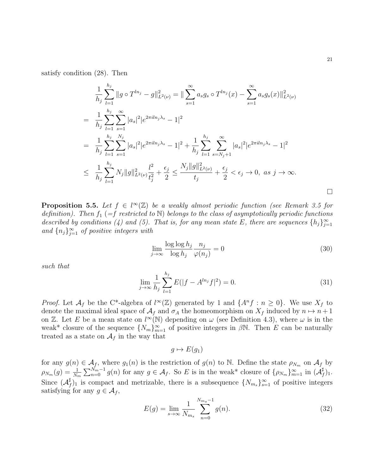satisfy condition [\(28\)](#page-19-2). Then

$$
\frac{1}{h_j} \sum_{l=1}^{h_j} \|g \circ T^{ln_j} - g\|_{L^2(\nu)}^2 = \|\sum_{s=1}^{\infty} a_s g_s \circ T^{ln_j}(x) - \sum_{s=1}^{\infty} a_s g_s(x)\|_{L^2(\nu)}^2
$$
\n
$$
= \frac{1}{h_j} \sum_{l=1}^{h_j} \sum_{s=1}^{\infty} |a_s|^2 |e^{2\pi i ln_j \lambda_s} - 1|^2
$$
\n
$$
= \frac{1}{h_j} \sum_{l=1}^{h_j} \sum_{s=1}^{N_j} |a_s|^2 |e^{2\pi i ln_j \lambda_s} - 1|^2 + \frac{1}{h_j} \sum_{l=1}^{h_j} \sum_{s=N_j+1}^{\infty} |a_s|^2 |e^{2\pi i ln_j \lambda_s} - 1|^2
$$
\n
$$
\leq \frac{1}{h_j} \sum_{l=1}^{h_j} N_j \|g\|_{L^2(\nu)}^2 \frac{l^2}{t_j^2} + \frac{\epsilon_j}{2} \leq \frac{N_j \|g\|_{L^2(\nu)}^2}{t_j} + \frac{\epsilon_j}{2} < \epsilon_j \to 0, \text{ as } j \to \infty.
$$

<span id="page-20-0"></span>**Proposition 5.5.** Let  $f \in l^{\infty}(\mathbb{Z})$  be a weakly almost periodic function (see Remark [3.5](#page-9-1) for definition). Then  $f_1$  (=f restricted to N) belongs to the class of asymptotically periodic functions described by conditions [\(4\)](#page-3-0) and [\(5\)](#page-3-1). That is, for any mean state E, there are sequences  $\{h_j\}_{j=1}^{\infty}$ and  ${n_j}_{j=1}^{\infty}$  of positive integers with

<span id="page-20-1"></span>
$$
\lim_{j \to \infty} \frac{\log \log h_j}{\log h_j} \frac{n_j}{\varphi(n_j)} = 0
$$
\n(30)

such that

$$
\lim_{j \to \infty} \frac{1}{h_j} \sum_{l=1}^{h_j} E(|f - A^{ln_j} f|^2) = 0.
$$
\n(31)

*Proof.* Let  $\mathcal{A}_f$  be the C<sup>\*</sup>-algebra of  $l^{\infty}(\mathbb{Z})$  generated by 1 and  $\{A^n f : n \geq 0\}$ . We use  $X_f$  to denote the maximal ideal space of  $A_f$  and  $\sigma_A$  the homeomorphism on  $X_f$  induced by  $n \mapsto n+1$ on Z. Let E be a mean state on  $l^{\infty}(\mathbb{N})$  depending on  $\omega$  (see Definition [4.3\)](#page-11-0), where  $\omega$  is in the weak\* closure of the sequence  ${N_m}_{m=1}^{\infty}$  of positive integers in  $\beta N$ . Then E can be naturally treated as a state on  $\mathcal{A}_f$  in the way that

 $g \mapsto E(q_1)$ 

for any  $g(n) \in \mathcal{A}_f$ , where  $g_1(n)$  is the restriction of  $g(n)$  to N. Define the state  $\rho_{N_m}$  on  $\mathcal{A}_f$  by  $\rho_{N_m}(g) = \frac{1}{N_m} \sum_{n=0}^{N_m-1} g(n)$  for any  $g \in \mathcal{A}_f$ . So E is in the weak\* closure of  $\{\rho_{N_m}\}_{m=1}^{\infty}$  in  $(\mathcal{A}_f^{\sharp})$  $f^{\sharp})_1.$ Since  $(\mathcal{A}^\sharp)$  $_{f}^{\sharp}$ )<sub>1</sub> is compact and metrizable, there is a subsequence  $\{N_{m_s}\}_{s=1}^{\infty}$  of positive integers satisfying for any  $g \in A_f$ ,

<span id="page-20-2"></span>
$$
E(g) = \lim_{s \to \infty} \frac{1}{N_{m_s}} \sum_{n=0}^{N_{m_s}-1} g(n).
$$
 (32)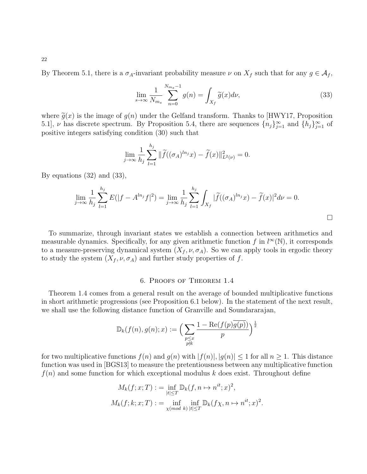By Theorem [5.1,](#page-17-1) there is a  $\sigma_A$ -invariant probability measure  $\nu$  on  $X_f$  such that for any  $g \in \mathcal{A}_f$ ,

<span id="page-21-1"></span>
$$
\lim_{s \to \infty} \frac{1}{N_{m_s}} \sum_{n=0}^{N_{m_s}-1} g(n) = \int_{X_f} \widetilde{g}(x) d\nu,
$$
\n(33)

where  $\tilde{q}(x)$  is the image of  $q(n)$  under the Gelfand transform. Thanks to [\[HWY17,](#page-45-4) Proposition 5.1],  $\nu$  has discrete spectrum. By Proposition [5.4,](#page-19-0) there are sequences  $\{n_j\}_{j=1}^{\infty}$  and  $\{h_j\}_{j=1}^{\infty}$  of positive integers satisfying condition [\(30\)](#page-20-1) such that

$$
\lim_{j \to \infty} \frac{1}{h_j} \sum_{l=1}^{h_j} \|\widetilde{f}((\sigma_A)^{ln_j} x) - \widetilde{f}(x)\|_{L^2(\nu)}^2 = 0.
$$

By equations [\(32\)](#page-20-2) and [\(33\)](#page-21-1),

$$
\lim_{j \to \infty} \frac{1}{h_j} \sum_{l=1}^{h_j} E(|f - A^{ln_j} f|^2) = \lim_{j \to \infty} \frac{1}{h_j} \sum_{l=1}^{h_j} \int_{X_f} |\widetilde{f}((\sigma_A)^{ln_j} x) - \widetilde{f}(x)|^2 d\nu = 0.
$$

To summarize, through invariant states we establish a connection between arithmetics and measurable dynamics. Specifically, for any given arithmetic function f in  $l^{\infty}(\mathbb{N})$ , it corresponds to a measure-preserving dynamical system  $(X_f, \nu, \sigma_A)$ . So we can apply tools in ergodic theory to study the system  $(X_f, \nu, \sigma_A)$  and further study properties of f.

### 6. Proofs of Theorem [1.4](#page-2-3)

<span id="page-21-0"></span>Theorem [1.4](#page-2-3) comes from a general result on the average of bounded multiplicative functions in short arithmetic progressions (see Proposition [6.1](#page-22-0) below). In the statement of the next result, we shall use the following distance function of Granville and Soundararajan,

$$
\mathbb{D}_{k}(f(n),g(n);x):=\Big(\sum_{\substack{p\leq x \\ p\nmid k}}\frac{1-\mathrm{Re}(f(p)\overline{g(p)})}{p}\Big)^{\frac{1}{2}}
$$

for two multiplicative functions  $f(n)$  and  $g(n)$  with  $|f(n)|, |g(n)| \leq 1$  for all  $n \geq 1$ . This distance function was used in [\[BGS13\]](#page-44-1) to measure the pretentiousness between any multiplicative function  $f(n)$  and some function for which exceptional modulus k does exist. Throughout define

$$
M_k(f; x; T) := \inf_{|t| \le T} \mathbb{D}_k(f, n \mapsto n^{it}; x)^2,
$$
  

$$
M_k(f; k; x; T) := \inf_{\chi \pmod{k}} \inf_{|t| \le T} \mathbb{D}_k(f\chi, n \mapsto n^{it}; x)^2
$$

.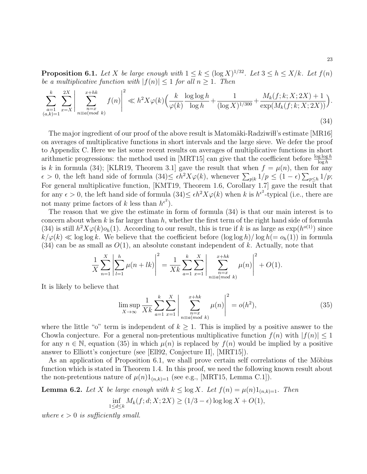<span id="page-22-0"></span>**Proposition 6.1.** Let X be large enough with  $1 \le k \le (\log X)^{1/32}$ . Let  $3 \le h \le X/k$ . Let  $f(n)$ be a multiplicative function with  $|f(n)| \leq 1$  for all  $n \geq 1$ . Then

<span id="page-22-1"></span>
$$
\sum_{\substack{a=1\\(a,k)=1}}^k \sum_{x=X}^{2X} \left| \sum_{\substack{n=x\\n\equiv a(mod\ k}}^{x+hk} f(n) \right|^2 \ll h^2 X \varphi(k) \Big( \frac{k}{\varphi(k)} \frac{\log \log h}{\log h} + \frac{1}{(\log X)^{1/300}} + \frac{M_k(f;k;X;2X) + 1}{\exp(M_k(f;k;X;2X))} \Big). \tag{34}
$$

The major ingredient of our proof of the above result is Matomäki-Radziwi l's estimate  $[MR16]$ on averages of multiplicative functions in short intervals and the large sieve. We defer the proof to Appendix C. Here we list some recent results on averages of multiplicative functions in short arithmetic progressions: the method used in [\[MRT15\]](#page-46-14) can give that the coefficient before  $\frac{\log \log h}{\log h}$ is k in formula [\(34\)](#page-22-1); [\[KLR19,](#page-45-5) Theorem 3.1] gave the result that when  $f = \mu(n)$ , then for any  $\epsilon > 0$ , the left hand side of formula  $(34) \leq \epsilon h^2 X \varphi(k)$  $(34) \leq \epsilon h^2 X \varphi(k)$ , whenever  $\sum_{p|k} 1/p \leq (1 - \epsilon) \sum_{p \leq h} 1/p$ ; For general multiplicative function, [\[KMT19,](#page-45-18) Theorem 1.6, Corollary 1.7] gave the result that for any  $\epsilon > 0$ , the left hand side of formula  $(34) \leq \epsilon h^2 X \varphi(k)$  $(34) \leq \epsilon h^2 X \varphi(k)$  when k is  $h^{\epsilon^2}$ -typical (i.e., there are not many prime factors of k less than  $h^{\epsilon^2}$ ).

The reason that we give the estimate in form of formula [\(34\)](#page-22-1) is that our main interest is to concern about when  $k$  is far larger than  $h$ , whether the first term of the right hand side of formula [\(34\)](#page-22-1) is still  $h^2 X \varphi(k) o_h(1)$ . According to our result, this is true if k is as large as  $\exp(h^{o(1)})$  since  $k/\varphi(k) \ll \log \log k$ . We believe that the coefficient before  $(\log \log h)/\log h (= o_h(1))$  in formula  $(34)$  can be as small as  $O(1)$ , an absolute constant independent of k. Actually, note that

$$
\frac{1}{X} \sum_{n=1}^{X} \left| \sum_{l=1}^{h} \mu(n+lk) \right|^2 = \frac{1}{Xk} \sum_{a=1}^{k} \sum_{x=1}^{X} \left| \sum_{\substack{n=x \\ n \equiv a \pmod{k}}}^{x+hk} \mu(n) \right|^2 + O(1).
$$

It is likely to believe that

<span id="page-22-2"></span>
$$
\limsup_{X \to \infty} \frac{1}{Xk} \sum_{a=1}^{k} \sum_{x=1}^{X} \left| \sum_{\substack{n=x \\ n \equiv a(mod \ k}}^{x+hk} \mu(n) \right|^2 = o(h^2),\tag{35}
$$

where the little "o" term is independent of  $k \geq 1$ . This is implied by a positive answer to the Chowla conjecture. For a general non-pretentious multiplicative function  $f(n)$  with  $|f(n)| \leq 1$ for any  $n \in \mathbb{N}$ , equation [\(35\)](#page-22-2) in which  $\mu(n)$  is replaced by  $f(n)$  would be implied by a positive answer to Elliott's conjecture (see [\[Ell92,](#page-45-19) Conjecture II], [\[MRT15\]](#page-46-14)).

As an application of Proposition [6.1,](#page-22-0) we shall prove certain self correlations of the Möbius function which is stated in Theorem [1.4.](#page-2-3) In this proof, we need the following known result about the non-pretentious nature of  $\mu(n)1_{(n,k)=1}$  (see e.g., [\[MRT15,](#page-46-14) Lemma C.1]).

<span id="page-22-3"></span>**Lemma 6.2.** Let X be large enough with  $k \leq \log X$ . Let  $f(n) = \mu(n)1_{(n,k)=1}$ . Then

$$
\inf_{1 \le d \le k} M_k(f; d; X; 2X) \ge (1/3 - \epsilon) \log \log X + O(1),
$$

where  $\epsilon > 0$  is sufficiently small.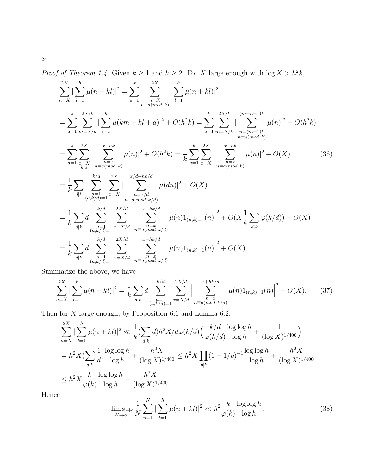*Proof of Theorem [1.4.](#page-2-3)* Given  $k \ge 1$  and  $h \ge 2$ . For X large enough with  $\log X > h^2 k$ ,

$$
\sum_{n=X}^{2X} |\sum_{l=1}^{h} \mu(n+kl)|^2 = \sum_{a=1}^{k} \sum_{\substack{n=X \ n \equiv a(mod \ k}}^{2X} |\sum_{l=1}^{h} \mu(n+kl)|^2
$$
  
\n
$$
= \sum_{a=1}^{k} \sum_{\substack{m=X/k \ k \geq 1}}^{2X/k} |\sum_{l=1}^{h} \mu(km+kl+a)|^2 + O(h^2k) = \sum_{a=1}^{k} \sum_{\substack{m=X/k \ n \equiv a(mod \ k}}^{2X/k} |\sum_{n=1}^{(m+h+1)k} \mu(n)|^2 + O(h^2k)
$$
  
\n
$$
= \sum_{a=1}^{k} \sum_{\substack{n=X \ k|x \ n \equiv a(mod \ k}}^{2X} |\sum_{n=1}^{x+hk} \mu(n)|^2 + O(h^2k) = \frac{1}{k} \sum_{a=1}^{k} \sum_{x=X}^{2X} |\sum_{\substack{n=x \ n \equiv a(mod \ k}}^{x+hk} \mu(n)|^2 + O(X)
$$
(36)  
\n
$$
= \frac{1}{k} \sum_{d|k} \sum_{\substack{a=1 \ (a,k/d)=1}}^{k/d} \sum_{x=X}^{2X} |\sum_{\substack{n=1 \ n \equiv a(mod \ k/d}}^{x/d+hk/d} \mu(dn)|^2 + O(X)
$$
  
\n
$$
= \frac{1}{k} \sum_{d|k} d \sum_{\substack{a=1 \ (a,k/d)=1}}^{k/d} \sum_{x=X/d}^{2X/d} |\sum_{\substack{n=1 \ n \equiv a(mod \ k/d}}^{x+hk/d} \mu(n)1_{(n,k)=1}(n)|^2 + O(X \frac{1}{k} \sum_{d|k} \varphi(k/d)) + O(X)
$$
  
\n
$$
= \frac{1}{k} \sum_{d|k} d \sum_{\substack{a=1 \ (a,k/d)=1}}^{k/d} \sum_{x=X/d}^{2X/d} |\sum_{n=1}^{x+hk/d} \mu(n)1_{(n,k)=1}(n)|^2 + O(X).
$$

Summarize the above, we have

$$
\sum_{n=X}^{2X} |\sum_{l=1}^h \mu(n+kl)|^2 = \frac{1}{k} \sum_{d|k} d \sum_{\substack{a=1 \ (a,k/d)=1}}^{k/d} \sum_{x=X/d}^{2X/d} |\sum_{\substack{n=x \ n\equiv a(mod \ k/d}}^{x+hk/d} \mu(n)1_{(n,k)=1}(n)|^2 + O(X). \tag{37}
$$

Then for  $X$  large enough, by Proposition [6.1](#page-22-0) and Lemma [6.2,](#page-22-3)

$$
\sum_{n=X}^{2X} |\sum_{l=1}^{h} \mu(n+kl)|^2 \ll \frac{1}{k} (\sum_{d|k} d) h^2 X/d\varphi(k/d) \left( \frac{k/d}{\varphi(k/d)} \frac{\log \log h}{\log h} + \frac{1}{(\log X)^{1/400}} \right)
$$
  
=  $h^2 X (\sum_{d|k} \frac{1}{d}) \frac{\log \log h}{\log h} + \frac{h^2 X}{(\log X)^{1/400}} \le h^2 X \prod_{p|k} (1 - 1/p)^{-1} \frac{\log \log h}{\log h} + \frac{h^2 X}{(\log X)^{1/400}}$   
 $\le h^2 X \frac{k}{\varphi(k)} \frac{\log \log h}{\log h} + \frac{h^2 X}{(\log X)^{1/400}}.$ 

Hence

$$
\limsup_{N \to \infty} \frac{1}{N} \sum_{n=1}^{N} |\sum_{l=1}^{h} \mu(n+kl)|^2 \ll h^2 \frac{k}{\varphi(k)} \frac{\log \log h}{\log h},
$$
\n(38)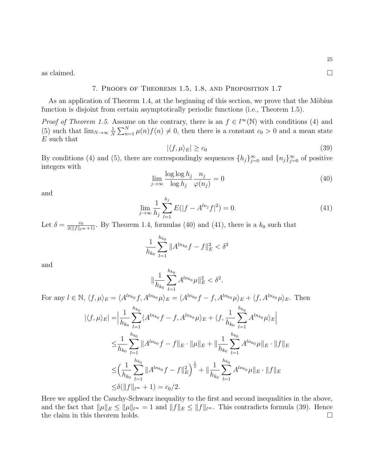<span id="page-24-0"></span>as claimed.  $\square$ 

## 7. Proofs of Theorems [1.5,](#page-3-2) [1.8,](#page-4-2) and Proposition [1.7](#page-3-3)

As an application of Theorem [1.4,](#page-2-3) at the beginning of this section, we prove that the Möbius function is disjoint from certain asymptotically periodic functions (i.e., Theorem [1.5\)](#page-3-2).

*Proof of Theorem [1.5.](#page-3-2)* Assume on the contrary, there is an  $f \in l^{\infty}(\mathbb{N})$  with conditions [\(4\)](#page-3-0) and [\(5\)](#page-3-1) such that  $\lim_{N\to\infty}\frac{1}{N}$  $\frac{1}{N}\sum_{n=1}^{N}\mu(n)f(n) \neq 0$ , then there is a constant  $c_0 > 0$  and a mean state E such that

<span id="page-24-3"></span>
$$
|\langle f, \mu \rangle_E| \ge c_0 \tag{39}
$$

By conditions [\(4\)](#page-3-0) and [\(5\)](#page-3-1), there are correspondingly sequences  $\{h_j\}_{j=0}^{\infty}$  and  $\{n_j\}_{j=0}^{\infty}$  of positive integers with

<span id="page-24-1"></span>
$$
\lim_{j \to \infty} \frac{\log \log h_j}{\log h_j} \frac{n_j}{\varphi(n_j)} = 0 \tag{40}
$$

and

<span id="page-24-2"></span>
$$
\lim_{j \to \infty} \frac{1}{h_j} \sum_{l=1}^{h_j} E(|f - A^{ln_j} f|^2) = 0.
$$
\n(41)

Let  $\delta = \frac{c_0}{2(||f||_{l^{\infty}}+1)}$ . By Theorem [1.4,](#page-2-3) formulas [\(40\)](#page-24-1) and [\(41\)](#page-24-2), there is a  $k_0$  such that

$$
\frac{1}{h_{k_0}}\sum_{l=1}^{h_{k_0}}\|A^{ln_{k_0}}f-f\|_E^2<\delta^2
$$

and

$$
\|\frac{1}{h_{k_0}}\sum_{l=1}^{h_{k_0}}A^{ln_{k_0}}\mu\|_E^2<\delta^2.
$$

For any  $l \in \mathbb{N}$ ,  $\langle f, \mu \rangle_E = \langle A^{ln_{k_0}} f, A^{ln_{k_0}} \mu \rangle_E = \langle A^{ln_{k_0}} f - f, A^{ln_{k_0}} \mu \rangle_E + \langle f, A^{ln_{k_0}} \mu \rangle_E$ . Then

$$
|\langle f, \mu \rangle_E| = \Big| \frac{1}{h_{k_0}} \sum_{l=1}^{h_{k_0}} \langle A^{ln_{k_0}} f - f, A^{ln_{k_0}} \mu \rangle_E + \langle f, \frac{1}{h_{k_0}} \sum_{l=1}^{h_{k_0}} A^{ln_{k_0}} \mu \rangle_E \Big|
$$
  

$$
\leq \frac{1}{h_{k_0}} \sum_{l=1}^{h_{k_0}} \|A^{ln_{k_0}} f - f\|_E \cdot \|\mu\|_E + \|\frac{1}{h_{k_0}} \sum_{l=1}^{h_{k_0}} A^{ln_{k_0}} \mu\|_E \cdot \|f\|_E
$$
  

$$
\leq \Big( \frac{1}{h_{k_0}} \sum_{l=1}^{h_{k_0}} \|A^{ln_{k_0}} f - f\|_E^2 \Big)^{\frac{1}{2}} + \|\frac{1}{h_{k_0}} \sum_{l=1}^{h_{k_0}} A^{ln_{k_0}} \mu\|_E \cdot \|f\|_E
$$
  

$$
\leq \delta (\|f\|_{l^{\infty}} + 1) = c_0/2.
$$

Here we applied the Cauchy-Schwarz inequality to the first and second inequalities in the above, and the fact that  $\|\mu\|_E \le \|\mu\|_{l^{\infty}} = 1$  and  $\|f\|_E \le \|f\|_{l^{\infty}}$ . This contradicts formula [\(39\)](#page-24-3). Hence the claim in this theorem holds.  $\square$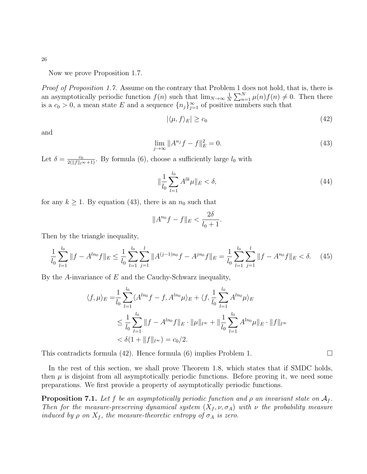26

Now we prove Proposition [1.7.](#page-3-3)

Proof of Proposition [1.7.](#page-3-3) Assume on the contrary that Problem 1 does not hold, that is, there is an asymptotically periodic function  $f(n)$  such that  $\lim_{N\to\infty}\frac{1}{N}$  $\frac{1}{N} \sum_{n=1}^{N} \mu(n) f(n) \neq 0$ . Then there is a  $c_0 > 0$ , a mean state E and a sequence  $\{n_j\}_{j=1}^{\infty}$  of positive numbers such that

<span id="page-25-2"></span>
$$
|\langle \mu, f \rangle_E| \ge c_0 \tag{42}
$$

and

<span id="page-25-1"></span>
$$
\lim_{j \to \infty} \|A^{n_j} f - f\|_E^2 = 0.
$$
\n(43)

Let  $\delta = \frac{c_0}{2(||f||_{l^{\infty}+1})}$ . By formula [\(6\)](#page-3-4), choose a sufficiently large  $l_0$  with

$$
\|\frac{1}{l_0} \sum_{l=1}^{l_0} A^{lk} \mu\|_E < \delta,\tag{44}
$$

for any  $k \geq 1$ . By equation [\(43\)](#page-25-1), there is an  $n_0$  such that

$$
||A^{n_0}f - f||_E < \frac{2\delta}{l_0 + 1}.
$$

Then by the triangle inequality,

$$
\frac{1}{l_0} \sum_{l=1}^{l_0} \|f - A^{ln_0}f\|_E \le \frac{1}{l_0} \sum_{l=1}^{l_0} \sum_{j=1}^l \|A^{(j-1)n_0}f - A^{jn_0}f\|_E = \frac{1}{l_0} \sum_{l=1}^{l_0} \sum_{j=1}^l \|f - A^{n_0}f\|_E < \delta. \tag{45}
$$

By the A-invariance of  $E$  and the Cauchy-Schwarz inequality,

$$
\langle f, \mu \rangle_E = \frac{1}{l_0} \sum_{l=1}^{l_0} \langle A^{ln_0} f - f, A^{ln_0} \mu \rangle_E + \langle f, \frac{1}{l_0} \sum_{l=1}^{l_0} A^{ln_0} \mu \rangle_E
$$
  

$$
\leq \frac{1}{l_0} \sum_{l=1}^{l_0} ||f - A^{ln_0} f||_E \cdot ||\mu||_{l^{\infty}} + ||\frac{1}{l_0} \sum_{l=1}^{l_0} A^{ln_0} \mu ||_E \cdot ||f||_{l^{\infty}}
$$
  

$$
< \delta (1 + ||f||_{l^{\infty}}) = c_0/2.
$$

This contradicts formula [\(42\)](#page-25-2). Hence formula [\(6\)](#page-3-4) implies Problem 1.  $\Box$ 

In the rest of this section, we shall prove Theorem [1.8,](#page-4-2) which states that if SMDC holds, then  $\mu$  is disjoint from all asymptotically periodic functions. Before proving it, we need some preparations. We first provide a property of asymptotically periodic functions.

<span id="page-25-0"></span>**Proposition 7.1.** Let f be an asymptotically periodic function and  $\rho$  an invariant state on  $\mathcal{A}_f$ . Then for the measure-preserving dynamical system  $(X_f, \nu, \sigma_A)$  with  $\nu$  the probability measure induced by  $\rho$  on  $X_f$ , the measure-theoretic entropy of  $\sigma_A$  is zero.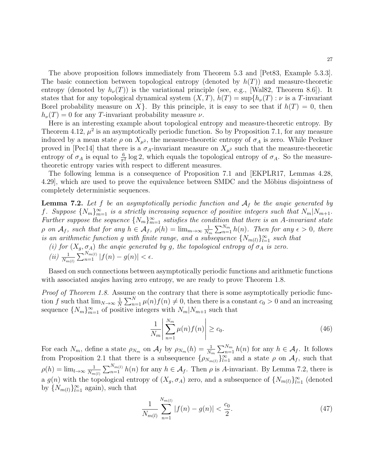The above proposition follows immediately from Theorem [5.3](#page-18-0) and [\[Pet83,](#page-46-9) Example 5.3.3]. The basic connection between topological entropy (denoted by  $h(T)$ ) and measure-theoretic entropy (denoted by  $h_{\nu}(T)$ ) is the variational principle (see, e.g., [\[Wal82,](#page-46-15) Theorem 8.6]). It states that for any topological dynamical system  $(X, T)$ ,  $h(T) = \sup\{h_{\nu}(T) : \nu \text{ is a } T\text{-invariant}\}$ Borel probability measure on X }. By this principle, it is easy to see that if  $h(T) = 0$ , then  $h_{\nu}(T) = 0$  for any T-invariant probability measure  $\nu$ .

Here is an interesting example about topological entropy and measure-theoretic entropy. By Theorem [4.12,](#page-16-0)  $\mu^2$  is an asymptotically periodic function. So by Proposition [7.1,](#page-25-0) for any measure induced by a mean state  $\rho$  on  $X_{\mu^2}$ , the measure-theoretic entropy of  $\sigma_A$  is zero. While Peckner proved in [\[Pec14\]](#page-46-16) that there is a  $\sigma_A$ -invariant measure on  $X_{\mu^2}$  such that the measure-theoretic entropy of  $\sigma_A$  is equal to  $\frac{6}{\pi^2} \log 2$ , which equals the topological entropy of  $\sigma_A$ . So the measuretheoretic entropy varies with respect to different measures.

The following lemma is a consequence of Proposition [7.1](#page-25-0) and [\[EKPLR17,](#page-45-17) Lemmas 4.28, 4.29], which are used to prove the equivalence between SMDC and the Möbius disjointness of completely deterministic sequences.

<span id="page-26-0"></span>**Lemma 7.2.** Let f be an asymptotically periodic function and  $A_f$  be the angie generated by f. Suppose  ${N_m}_{m=1}^{\infty}$  is a strictly increasing sequence of positive integers such that  $N_m|N_{m+1}$ . Further suppose the sequence  ${N_m}_{m=1}^{\infty}$  satisfies the condition that there is an A-invariant state  $\rho$  on  $\mathcal{A}_f$ , such that for any  $h \in \mathcal{A}_f$ ,  $\rho(h) = \lim_{m \to \infty} \frac{1}{N}$  $\frac{1}{N_m}\sum_{n=1}^{N_m}h(n)$ . Then for any  $\epsilon > 0$ , there is an arithmetic function g with finite range, and a subsequence  $\{N_{m(l)}\}_{l=1}^{\infty}$  such that

(i) for  $(X_g, \sigma_A)$  the angie generated by g, the topological entropy of  $\sigma_A$  is zero. (ii)  $\frac{1}{N_{m(l)}} \sum_{n=1}^{N_{m(l)}} |f(n) - g(n)| < \epsilon.$ 

Based on such connections between asymptotically periodic functions and arithmetic functions with associated anqies having zero entropy, we are ready to prove Theorem [1.8.](#page-4-2)

Proof of Theorem [1.8.](#page-4-2) Assume on the contrary that there is some asymptotically periodic function f such that  $\lim_{N\to\infty} \frac{1}{N}$  $\frac{1}{N}\sum_{n=1}^{N}\mu(n)f(n) \neq 0$ , then there is a constant  $c_0 > 0$  and an increasing sequence  $\{N_m\}_{m=1}^{\infty}$  of positive integers with  $N_m|N_{m+1}$  such that

<span id="page-26-2"></span>
$$
\frac{1}{N_m} \left| \sum_{n=1}^{N_m} \mu(n) f(n) \right| \ge c_0. \tag{46}
$$

For each  $N_m$ , define a state  $\rho_{N_m}$  on  $A_f$  by  $\rho_{N_m}(h) = \frac{1}{N_m} \sum_{n=1}^{N_m} h(n)$  for any  $h \in A_f$ . It follows from Proposition [2.1](#page-7-2) that there is a subsequence  $\{\rho_{N_{m(l)}}\}_{l=1}^{\infty}$  and a state  $\rho$  on  $\mathcal{A}_f$ , such that  $\rho(h) = \lim_{l \to \infty} \frac{1}{N}$  $\frac{1}{N_{m(l)}}\sum_{n=1}^{N_{m(l)}}h(n)$  for any  $h \in \mathcal{A}_f$ . Then  $\rho$  is A-invariant. By Lemma [7.2,](#page-26-0) there is a  $g(n)$  with the topological entropy of  $(X_g, \sigma_A)$  zero, and a subsequence of  $\{N_{m(l)}\}_{l=1}^{\infty}$  (denoted by  $\{N_{m(l)}\}_{l=1}^{\infty}$  again), such that

<span id="page-26-1"></span>
$$
\frac{1}{N_{m(l)}}\sum_{n=1}^{N_{m(l)}}|f(n)-g(n)|<\frac{c_0}{2}.\tag{47}
$$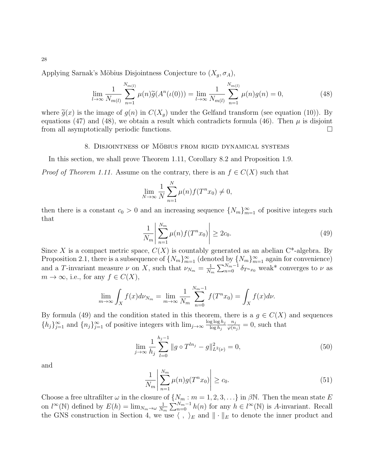Applying Sarnak's Möbius Disjointness Conjecture to  $(X_g, \sigma_A)$ ,

<span id="page-27-1"></span>
$$
\lim_{l \to \infty} \frac{1}{N_{m(l)}} \sum_{n=1}^{N_{m(l)}} \mu(n) \widetilde{g}(A^n(\iota(0))) = \lim_{l \to \infty} \frac{1}{N_{m(l)}} \sum_{n=1}^{N_{m(l)}} \mu(n) g(n) = 0,
$$
\n(48)

where  $\tilde{g}(x)$  is the image of  $g(n)$  in  $C(X_q)$  under the Gelfand transform (see equation [\(10\)](#page-6-1)). By equations [\(47\)](#page-26-1) and [\(48\)](#page-27-1), we obtain a result which contradicts formula [\(46\)](#page-26-2). Then  $\mu$  is disjoint from all asymptotically periodic functions.

### 8. DISJOINTNESS OF MÖBIUS FROM RIGID DYNAMICAL SYSTEMS

<span id="page-27-0"></span>In this section, we shall prove Theorem [1.11,](#page-5-2) Corollary [8.2](#page-30-1) and Proposition [1.9.](#page-4-3)

*Proof of Theorem [1.11.](#page-5-2)* Assume on the contrary, there is an  $f \in C(X)$  such that

$$
\lim_{N \to \infty} \frac{1}{N} \sum_{n=1}^{N} \mu(n) f(T^n x_0) \neq 0,
$$

then there is a constant  $c_0 > 0$  and an increasing sequence  $\{N_m\}_{m=1}^{\infty}$  of positive integers such that

<span id="page-27-2"></span>
$$
\frac{1}{N_m} \left| \sum_{n=1}^{N_m} \mu(n) f(T^n x_0) \right| \ge 2c_0. \tag{49}
$$

Since X is a compact metric space,  $C(X)$  is countably generated as an abelian  $C^*$ -algebra. By Proposition [2.1,](#page-7-2) there is a subsequence of  $\{N_m\}_{m=1}^{\infty}$  (denoted by  $\{N_m\}_{m=1}^{\infty}$  again for convenience) and a T-invariant measure  $\nu$  on X, such that  $\nu_{N_m} = \frac{1}{N_m}$  $\frac{1}{N_m} \sum_{n=0}^{N_m-1} \delta_{T^n x_0}$  weak\* converges to  $\nu$  as  $m \to \infty$ , i.e., for any  $f \in C(X)$ ,

$$
\lim_{m \to \infty} \int_X f(x) d\nu_{N_m} = \lim_{m \to \infty} \frac{1}{N_m} \sum_{n=0}^{N_m - 1} f(T^n x_0) = \int_X f(x) d\nu.
$$

By formula [\(49\)](#page-27-2) and the condition stated in this theorem, there is a  $g \in C(X)$  and sequences  $\{h_j\}_{j=1}^{\infty}$  and  $\{n_j\}_{j=1}^{\infty}$  of positive integers with  $\lim_{j\to\infty} \frac{\log \log h_j}{\log h_j}$  $\log h_j$  $\frac{n_j}{\varphi(n_j)} = 0$ , such that

<span id="page-27-4"></span>
$$
\lim_{j \to \infty} \frac{1}{h_j} \sum_{l=0}^{h_j - 1} \|g \circ T^{ln_j} - g\|_{L^2(\nu)}^2 = 0,
$$
\n(50)

and

<span id="page-27-3"></span>
$$
\frac{1}{N_m} \left| \sum_{n=1}^{N_m} \mu(n) g(T^n x_0) \right| \ge c_0. \tag{51}
$$

Choose a free ultrafilter  $\omega$  in the closure of  $\{N_m : m = 1, 2, 3, \ldots\}$  in  $\beta \mathbb{N}$ . Then the mean state E on  $l^{\infty}(\mathbb{N})$  defined by  $E(h) = \lim_{N_m \to \omega} \frac{1}{N_m}$  $\frac{1}{N_m} \sum_{n=0}^{N_m-1} h(n)$  for any  $h \in l^{\infty}(\mathbb{N})$  is A-invariant. Recall the GNS construction in Section 4, we use  $\langle , \rangle_E$  and  $\|\cdot\|_E$  to denote the inner product and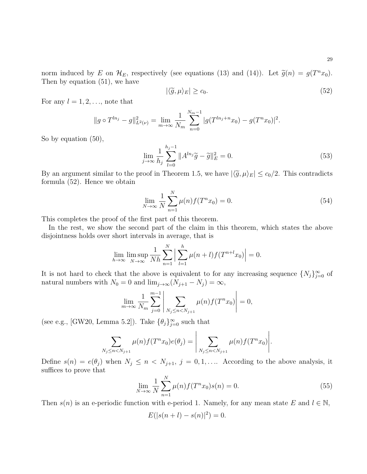norm induced by E on  $\mathcal{H}_E$ , respectively (see equations [\(13\)](#page-11-1) and [\(14\)](#page-12-1)). Let  $\tilde{g}(n) = g(T^n x_0)$ .<br>Then by equation (51), we have Then by equation [\(51\)](#page-27-3), we have

<span id="page-28-0"></span>
$$
|\langle \tilde{g}, \mu \rangle_E| \ge c_0. \tag{52}
$$

For any  $l = 1, 2, \ldots$ , note that

$$
||g \circ T^{ln_j} - g||_{L^2(\nu)}^2 = \lim_{m \to \infty} \frac{1}{N_m} \sum_{n=0}^{N_m-1} |g(T^{ln_j+n}x_0) - g(T^n x_0)|^2.
$$

So by equation [\(50\)](#page-27-4),

$$
\lim_{j \to \infty} \frac{1}{h_j} \sum_{l=0}^{h_j - 1} \|A^{ln_j}\tilde{g} - \tilde{g}\|_E^2 = 0.
$$
\n(53)

By an argument similar to the proof in Theorem [1.5,](#page-3-2) we have  $|\langle \tilde{g}, \mu \rangle_E| \leq c_0/2$ . This contradicts formula [\(52\)](#page-28-0). Hence we obtain

<span id="page-28-1"></span>
$$
\lim_{N \to \infty} \frac{1}{N} \sum_{n=1}^{N} \mu(n) f(T^n x_0) = 0.
$$
\n(54)

This completes the proof of the first part of this theorem.

In the rest, we show the second part of the claim in this theorem, which states the above disjointness holds over short intervals in average, that is

$$
\lim_{h \to \infty} \limsup_{N \to \infty} \frac{1}{Nh} \sum_{n=1}^{N} \left| \sum_{l=1}^{h} \mu(n+l) f(T^{n+l} x_0) \right| = 0.
$$

It is not hard to check that the above is equivalent to for any increasing sequence  $\{N_j\}_{j=0}^{\infty}$  of natural numbers with  $N_0 = 0$  and  $\lim_{j \to \infty} (N_{j+1} - N_j) = \infty$ ,

$$
\lim_{m \to \infty} \frac{1}{N_m} \sum_{j=0}^{m-1} \left| \sum_{N_j \le n < N_{j+1}} \mu(n) f(T^n x_0) \right| = 0,
$$

(see e.g., [\[GW20,](#page-45-16) Lemma 5.2]). Take  $\{\theta_j\}_{j=0}^{\infty}$  such that

$$
\sum_{N_j \le n < N_{j+1}} \mu(n) f(T^n x_0) e(\theta_j) = \left| \sum_{N_j \le n < N_{j+1}} \mu(n) f(T^n x_0) \right|.
$$

Define  $s(n) = e(\theta_j)$  when  $N_j \leq n \lt N_{j+1}, j = 0, 1, \ldots$  According to the above analysis, it suffices to prove that

<span id="page-28-2"></span>
$$
\lim_{N \to \infty} \frac{1}{N} \sum_{n=1}^{N} \mu(n) f(T^n x_0) s(n) = 0.
$$
\n(55)

Then  $s(n)$  is an e-periodic function with e-period 1. Namely, for any mean state E and  $l \in \mathbb{N}$ ,

$$
E(|s(n + l) - s(n)|^2) = 0.
$$

29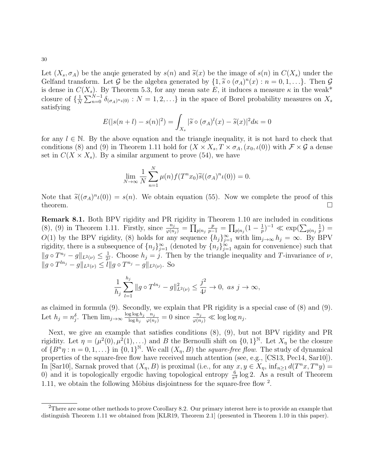30

Let  $(X_s, \sigma_A)$  be the angie generated by  $s(n)$  and  $\tilde{s}(x)$  be the image of  $s(n)$  in  $C(X_s)$  under the Gelfand transform. Let G be the algebra generated by  $\{1, \tilde{s} \circ (\sigma_A)^n(x) : n = 0, 1, ...\}$ . Then G<br>is dense in  $C(X)$ . By Theorem 5.3, for any mean sate E it induces a measure  $\kappa$  in the weak\* is dense in  $C(X_s)$ . By Theorem [5.3,](#page-18-0) for any mean sate E, it induces a measure  $\kappa$  in the weak\* closure of  $\{\frac{1}{\lambda}\}$  $\frac{1}{N}\sum_{n=0}^{N-1} \delta_{(\sigma_A)^n \iota(0)}$  :  $N=1,2,\ldots\}$  in the space of Borel probability measures on  $X_s$ satisfying

$$
E(|s(n+l) - s(n)|^2) = \int_{X_s} |\widetilde{s} \circ (\sigma_A)^l(x) - \widetilde{s}(x)|^2 d\kappa = 0
$$

for any  $l \in \mathbb{N}$ . By the above equation and the triangle inequality, it is not hard to check that conditions [\(8\)](#page-5-0) and [\(9\)](#page-5-1) in Theorem [1.11](#page-5-2) hold for  $(X \times X_s, T \times \sigma_A, (x_0, \iota(0))$  with  $\mathcal{F} \times \mathcal{G}$  a dense set in  $C(X \times X_s)$ . By a similar argument to prove [\(54\)](#page-28-1), we have

$$
\lim_{N \to \infty} \frac{1}{N} \sum_{n=1}^{N} \mu(n) f(T^n x_0) \widetilde{s}((\sigma_A)^n \iota(0)) = 0.
$$

Note that  $\tilde{s}((\sigma_A)^n \iota(0)) = s(n)$ . We obtain equation [\(55\)](#page-28-2). Now we complete the proof of this theorem theorem.  $\Box$ 

<span id="page-29-0"></span>Remark 8.1. Both BPV rigidity and PR rigidity in Theorem [1.10](#page-4-1) are included in conditions [\(8\)](#page-5-0), [\(9\)](#page-5-1) in Theorem [1.11.](#page-5-2) Firstly, since  $\frac{n_j}{\varphi(n_j)} = \prod_{p|n_j}$  $\frac{p}{p-1} = \prod_{p|n_j} (1 - \frac{1}{p})$  $(\frac{1}{p})^{-1} \ll \exp(\sum_{p|n_j}$ 1  $(\frac{1}{p}) =$ O(1) by the BPV rigidity, [\(8\)](#page-5-0) holds for any sequence  $\{h_j\}_{j=1}^{\infty}$  with  $\lim_{j\to\infty} h_j = \infty$ . By BPV rigidity, there is a subsequence of  $\{n_j\}_{j=1}^{\infty}$  (denoted by  $\{n_j\}_{j=1}^{\infty}$  again for convenience) such that  $||g \circ T^{n_j} - g||_{L^2(\nu)} \leq \frac{1}{2^j}$  $\frac{1}{2^j}$ . Choose  $h_j = j$ . Then by the triangle inequality and T-invariance of  $\nu$ ,  $||g \circ T^{ln_j} - g||_{L^2(\nu)} \leq l||g \circ T^{n_j} - g||_{L^2(\nu)}$ . So

$$
\frac{1}{h_j} \sum_{l=1}^{h_j} \|g \circ T^{ln_j} - g\|_{L^2(\nu)}^2 \le \frac{j^2}{4^j} \to 0, \text{ as } j \to \infty,
$$

as claimed in formula [\(9\)](#page-5-1). Secondly, we explain that PR rigidity is a special case of [\(8\)](#page-5-0) and [\(9\)](#page-5-1). Let  $h_j = n_j^{\delta}$ . Then  $\lim_{j \to \infty} \frac{\log \log h_j}{\log h_j}$  $\log h_j$  $\frac{n_j}{\varphi(n_j)} = 0$  since  $\frac{n_j}{\varphi(n_j)} \ll \log \log n_j$ .

Next, we give an example that satisfies conditions [\(8\)](#page-5-0), [\(9\)](#page-5-1), but not BPV rigidity and PR rigidity. Let  $\eta = (\mu^2(0), \mu^2(1), \ldots)$  and B the Bernoulli shift on  $\{0, 1\}^{\mathbb{N}}$ . Let  $X_{\eta}$  be the closure of  $\{B^n\eta : n = 0, 1, \ldots\}$  in  $\{0, 1\}^{\mathbb{N}}$ . We call  $(X_{\eta}, B)$  the square-free flow. The study of dynamical properties of the square-free flow have received much attention (see, e.g., [\[CS13,](#page-45-20) [Pec14,](#page-46-16) [Sar10\]](#page-46-0)). In [\[Sar10\]](#page-46-0), Sarnak proved that  $(X_{\eta}, B)$  is proximal (i.e., for any  $x, y \in X_{\eta}$ ,  $\inf_{n \geq 1} d(T^{n}x, T^{n}y) =$ 0) and it is topologically ergodic having topological entropy  $\frac{6}{\pi^2} \log 2$ . As a result of Theorem [1.11,](#page-5-2) we obtain the following Möbius disjointness for the square-free flow  $2$ .

<span id="page-29-1"></span> $^{2}$ There are some other methods to prove Corollary [8.2.](#page-30-1) Our primary interest here is to provide an example that distinguish Theorem [1.11](#page-5-2) we obtained from [\[KLR19,](#page-45-5) Theorem 2.1] (presented in Theorem [1.10](#page-4-1) in this paper).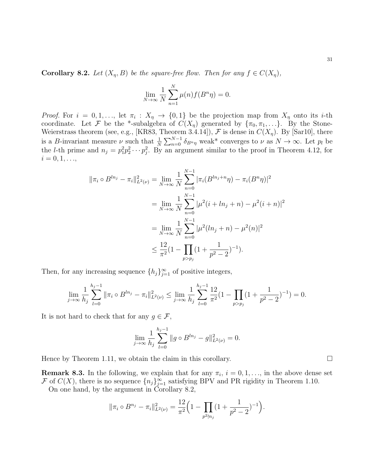<span id="page-30-1"></span>**Corollary 8.2.** Let  $(X_n, B)$  be the square-free flow. Then for any  $f \in C(X_n)$ ,

$$
\lim_{N \to \infty} \frac{1}{N} \sum_{n=1}^{N} \mu(n) f(B^n \eta) = 0.
$$

*Proof.* For  $i = 0, 1, \ldots$ , let  $\pi_i : X_{\eta} \to \{0, 1\}$  be the projection map from  $X_{\eta}$  onto its *i*-th coordinate. Let F be the \*-subalgebra of  $C(X_{\eta})$  generated by  $\{\pi_0, \pi_1, \ldots\}$ . By the Stone-Weierstrass theorem (see, e.g., [\[KR83,](#page-45-12) Theorem 3.4.14]),  $\mathcal F$  is dense in  $C(X_{\eta})$ . By [\[Sar10\]](#page-46-0), there is a B-invariant measure  $\nu$  such that  $\frac{1}{N} \sum_{n=0}^{N-1} \delta_{B^n \eta}$  weak\* converges to  $\nu$  as  $N \to \infty$ . Let  $p_l$  be the *l*-th prime and  $n_j = p_1^2 p_2^2 \cdots p_j^2$ . By an argument similar to the proof in Theorem [4.12,](#page-16-0) for  $i = 0, 1, ...,$ 

$$
\|\pi_i \circ B^{ln_j} - \pi_i\|_{L^2(\nu)}^2 = \lim_{N \to \infty} \frac{1}{N} \sum_{n=0}^{N-1} |\pi_i(B^{ln_j+n}\eta) - \pi_i(B^n\eta)|^2
$$
  

$$
= \lim_{N \to \infty} \frac{1}{N} \sum_{n=0}^{N-1} |\mu^2(i + ln_j + n) - \mu^2(i + n)|^2
$$
  

$$
= \lim_{N \to \infty} \frac{1}{N} \sum_{n=0}^{N-1} |\mu^2(ln_j + n) - \mu^2(n)|^2
$$
  

$$
\leq \frac{12}{\pi^2} (1 - \prod_{p > p_j} (1 + \frac{1}{p^2 - 2})^{-1}).
$$

Then, for any increasing sequence  $\{h_j\}_{j=1}^{\infty}$  of positive integers,

$$
\lim_{j \to \infty} \frac{1}{h_j} \sum_{l=0}^{h_j - 1} \|\pi_i \circ B^{ln_j} - \pi_i\|_{L^2(\nu)}^2 \le \lim_{j \to \infty} \frac{1}{h_j} \sum_{l=0}^{h_j - 1} \frac{12}{\pi^2} (1 - \prod_{p > p_j} (1 + \frac{1}{p^2 - 2})^{-1}) = 0.
$$

It is not hard to check that for any  $g \in \mathcal{F}$ ,

$$
\lim_{j \to \infty} \frac{1}{h_j} \sum_{l=0}^{h_j - 1} \|g \circ B^{ln_j} - g\|_{L^2(\nu)}^2 = 0.
$$

Hence by Theorem [1.11,](#page-5-2) we obtain the claim in this corollary.  $\Box$ 

<span id="page-30-0"></span>**Remark 8.3.** In the following, we explain that for any  $\pi_i$ ,  $i = 0, 1, \ldots$ , in the above dense set F of  $C(X)$ , there is no sequence  $\{n_j\}_{j=1}^{\infty}$  satisfying BPV and PR rigidity in Theorem [1.10.](#page-4-1)

On one hand, by the argument in Corollary [8.2,](#page-30-1)

$$
\|\pi_i \circ B^{n_j} - \pi_i\|_{L^2(\nu)}^2 = \frac{12}{\pi^2} \Big(1 - \prod_{p^2 \nmid n_j} \left(1 + \frac{1}{p^2 - 2}\right)^{-1}\Big).
$$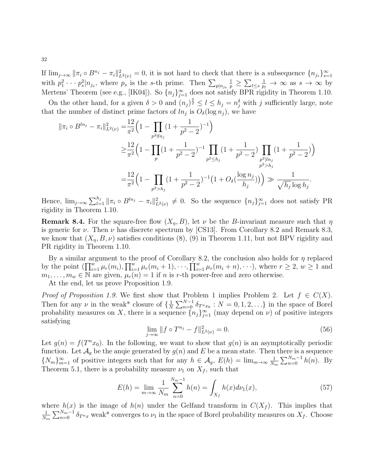If  $\lim_{j\to\infty} ||\pi_i \circ B^{n_j} - \pi_i||^2_{L^2(\nu)} = 0$ , it is not hard to check that there is a subsequence  $\{n_{j_s}\}_{s=1}^{\infty}$ with  $p_1^2 \cdots p_s^2 | n_{j_s}$ , where  $p_s$  is the s-th prime. Then  $\sum_{p | n_{j_s}}$  $\frac{1}{p} \geq \sum_{l \leq s}$  $\frac{1}{p_l} \to \infty$  as  $s \to \infty$  by Mertens' Theorem (see e.g., [\[IK04\]](#page-45-14)). So  $\{n_j\}_{j=1}^{\infty}$  does not satisfy BPR rigidity in Theorem [1.10.](#page-4-1)

On the other hand, for a given  $\delta > 0$  and  $(n_j)^{\frac{\delta}{2}} \leq l \leq h_j = n_j^{\delta}$  with j sufficiently large, note that the number of distinct prime factors of  $ln_j$  is  $O_\delta(\log n_j)$ , we have

$$
\begin{split} \|\pi_i \circ B^{ln_j} - \pi_i\|_{L^2(\nu)}^2 &= \frac{12}{\pi^2} \Big( 1 - \prod_{p^2 \nmid ln_j} \left( 1 + \frac{1}{p^2 - 2} \right)^{-1} \Big) \\ &\geq \frac{12}{\pi^2} \Big( 1 - \prod_p \left( 1 + \frac{1}{p^2 - 2} \right)^{-1} \prod_{p^2 \leq h_j} \left( 1 + \frac{1}{p^2 - 2} \right) \prod_{\substack{p^2 \mid ln_j \\ p^2 > h_j}} \left( 1 + \frac{1}{p^2 - 2} \right) \\ &= \frac{12}{\pi^2} \Big( 1 - \prod_{p^2 > h_j} \left( 1 + \frac{1}{p^2 - 2} \right)^{-1} \left( 1 + O_\delta(\frac{\log n_j}{h_j}) \right) \Big) \gg \frac{1}{\sqrt{h_j} \log h_j} .\end{split}
$$

Hence,  $\lim_{j\to\infty}\sum_{l=1}^{h_j} \|\pi_i \circ B^{ln_j} - \pi_i\|_{L^2(\nu)}^2 \neq 0$ . So the sequence  $\{n_j\}_{j=1}^{\infty}$  does not satisfy PR rigidity in Theorem [1.10.](#page-4-1)

<span id="page-31-0"></span>**Remark 8.4.** For the square-free flow  $(X_n, B)$ , let  $\nu$  be the B-invariant measure such that  $\eta$ is generic for  $\nu$ . Then  $\nu$  has discrete spectrum by [\[CS13\]](#page-45-20). From Corollary [8.2](#page-30-1) and Remark [8.3,](#page-30-0) we know that  $(X_{\eta}, B, \nu)$  satisfies conditions  $(8)$ ,  $(9)$  in Theorem [1.11,](#page-5-2) but not BPV rigidity and PR rigidity in Theorem [1.10.](#page-4-1)

By a similar argument to the proof of Corollary [8.2,](#page-30-1) the conclusion also holds for  $\eta$  replaced by the point  $(\prod_{i=1}^w \mu_r(m_i), \prod_{i=1}^w \mu_r(m_i+1), \cdots, \prod_{i=1}^w \mu_r(m_i+n), \cdots)$ , where  $r \geq 2$ ,  $w \geq 1$  and  $m_1, \ldots, m_w \in \mathbb{N}$  are given,  $\mu_r(n) = 1$  if n is r-th power-free and zero otherwise.

At the end, let us prove Proposition [1.9.](#page-4-3)

*Proof of Proposition [1.9.](#page-4-3)* We first show that Problem 1 implies Problem 2. Let  $f \in C(X)$ . Then for any  $\nu$  in the weak<sup>\*</sup> closure of  $\{\frac{1}{N}\}$  $\frac{1}{N} \sum_{n=0}^{N-1} \delta_{T^n x_0} : N = 0, 1, 2, \ldots$  in the space of Borel probability measures on X, there is a sequence  $\{n_j\}_{j=1}^{\infty}$  (may depend on  $\nu$ ) of positive integers satisfying

<span id="page-31-1"></span>
$$
\lim_{j \to \infty} ||f \circ T^{n_j} - f||_{L^2(\nu)}^2 = 0.
$$
\n(56)

Let  $g(n) = f(T^n x_0)$ . In the following, we want to show that  $g(n)$  is an asymptotically periodic function. Let  $\mathcal{A}_g$  be the angle generated by  $g(n)$  and E be a mean state. Then there is a sequence  ${N_m}_{m=1}^{\infty}$  of positive integers such that for any  $h \in \mathcal{A}_g$ ,  $E(h) = \lim_{m \to \infty} \frac{1}{N_h}$  $\frac{1}{N_m} \sum_{n=0}^{N_m-1} h(n)$ . By Theorem 5.1, there is a probability measure  $\nu_1$  on  $X_f$ , such that

<span id="page-31-2"></span>
$$
E(h) = \lim_{m \to \infty} \frac{1}{N_m} \sum_{n=0}^{N_m - 1} h(n) = \int_{X_f} h(x) d\nu_1(x),
$$
\n(57)

where  $h(x)$  is the image of  $h(n)$  under the Gelfand transform in  $C(X_f)$ . This implies that 1  $\frac{1}{N_m}\sum_{n=0}^{N_m-1}\delta_{T^nx}$  weak\* converges to  $\nu_1$  in the space of Borel probability measures on  $X_f$ . Choose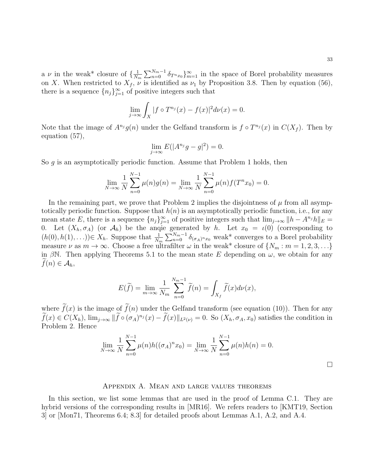a  $\nu$  in the weak\* closure of  $\{\frac{1}{N}\}$  $\frac{1}{N_m} \sum_{n=0}^{N_m-1} \delta_{T^n x_0} \}_{m=1}^{\infty}$  in the space of Borel probability measures on X. When restricted to  $X_f$ ,  $\nu$  is identified as  $\nu_1$  by Proposition [3.8.](#page-10-1) Then by equation [\(56\)](#page-31-1), there is a sequence  $\{n_j\}_{j=1}^{\infty}$  of positive integers such that

$$
\lim_{j \to \infty} \int_X |f \circ T^{n_j}(x) - f(x)|^2 d\nu(x) = 0.
$$

Note that the image of  $A^{n_j}g(n)$  under the Gelfand transform is  $f \circ T^{n_j}(x)$  in  $C(X_f)$ . Then by equation [\(57\)](#page-31-2),

$$
\lim_{j \to \infty} E(|A^{n_j}g - g|^2) = 0.
$$

So g is an asymptotically periodic function. Assume that Problem 1 holds, then

$$
\lim_{N \to \infty} \frac{1}{N} \sum_{n=0}^{N-1} \mu(n)g(n) = \lim_{N \to \infty} \frac{1}{N} \sum_{n=0}^{N-1} \mu(n)f(T^n x_0) = 0.
$$

In the remaining part, we prove that Problem 2 implies the disjointness of  $\mu$  from all asymptotically periodic function. Suppose that  $h(n)$  is an asymptotically periodic function, i.e., for any mean state E, there is a sequence  ${n_j}_{j=1}^{\infty}$  of positive integers such that  $\lim_{j\to\infty} ||h - A^{n_j}h||_E =$ 0. Let  $(X_h, \sigma_A)$  (or  $\mathcal{A}_h$ ) be the angle generated by h. Let  $x_0 = \iota(0)$  (corresponding to  $(h(0), h(1), \ldots) \in X_h$ . Suppose that  $\frac{1}{N_m} \sum_{n=0}^{N_m-1} \delta_{(\sigma_A)^n x_0}$  weak\* converges to a Borel probability measure  $\nu$  as  $m \to \infty$ . Choose a free ultrafilter  $\omega$  in the weak\* closure of  $\{N_m : m = 1, 2, 3, \ldots\}$ in βN. Then applying Theorems [5.1](#page-17-1) to the mean state E depending on  $\omega$ , we obtain for any  $f(n) \in \mathcal{A}_h$ ,

$$
E(\widetilde{f}) = \lim_{m \to \infty} \frac{1}{N_m} \sum_{n=0}^{N_m - 1} \widetilde{f}(n) = \int_{X_f} \widetilde{f}(x) d\nu(x),
$$

where  $\tilde{f}(x)$  is the image of  $\tilde{f}(n)$  under the Gelfand transform (see equation [\(10\)](#page-6-1)). Then for any  $f(x) \in C(X_h)$ ,  $\lim_{j\to\infty} ||\tilde{f} \circ (\sigma_A)^{n_j}(x) - \tilde{f}(x)||_{L^2(\nu)} = 0$ . So  $(X_h, \sigma_A, x_0)$  satisfies the condition in Problem 2. Hence

$$
\lim_{N \to \infty} \frac{1}{N} \sum_{n=0}^{N-1} \mu(n) h((\sigma_A)^n x_0) = \lim_{N \to \infty} \frac{1}{N} \sum_{n=0}^{N-1} \mu(n) h(n) = 0.
$$

 $\Box$ 

### Appendix A. Mean and large values theorems

In this section, we list some lemmas that are used in the proof of Lemma [C.1.](#page-37-0) They are hybrid versions of the corresponding results in [\[MR16\]](#page-46-13). We refers readers to [\[KMT19,](#page-45-18) Section 3] or [\[Mon71,](#page-46-17) Theorems 6.4; 8.3] for detailed proofs about Lemmas [A.1,](#page-33-0) [A.2,](#page-33-1) and [A.4.](#page-33-2)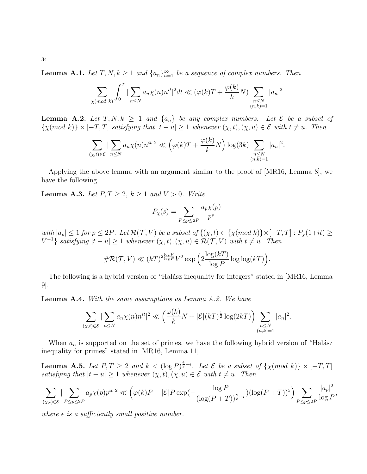<span id="page-33-0"></span>**Lemma A.1.** Let  $T, N, k \geq 1$  and  $\{a_n\}_{n=1}^{\infty}$  be a sequence of complex numbers. Then

$$
\sum_{\chi \pmod{k}} \int_0^T |\sum_{n \le N} a_n \chi(n) n^{it}|^2 dt \ll (\varphi(k)T + \frac{\varphi(k)}{k}N) \sum_{\substack{n \le N \\ (n,k)=1}} |a_n|^2
$$

<span id="page-33-1"></span>**Lemma A.2.** Let T, N,  $k \geq 1$  and  $\{a_n\}$  be any complex numbers. Let  $\mathcal{E}$  be a subset of  $\{\chi(mod\;k)\}\times[-T,T]$  satisfying that  $|t-u|\geq 1$  whenever  $(\chi,t),(\chi,u)\in\mathcal{E}$  with  $t\neq u$ . Then

$$
\sum_{(\chi,t)\in\mathcal{E}}|\sum_{n\leq N}a_n\chi(n)n^{it}|^2\ll \left(\varphi(k)T+\frac{\varphi(k)}{k}N\right)\log(3k)\sum_{\substack{n\leq N\\(n,k)=1}}|a_n|^2.
$$

Applying the above lemma with an argument similar to the proof of [\[MR16,](#page-46-13) Lemma 8], we have the following.

<span id="page-33-3"></span>**Lemma A.3.** Let  $P, T \geq 2, k \geq 1$  and  $V > 0$ . Write

$$
P_{\chi}(s) = \sum_{P \le p \le 2P} \frac{a_p \chi(p)}{p^s}
$$

with  $|a_p| \leq 1$  for  $p \leq 2P$ . Let  $\mathcal{R}(\mathcal{T}, V)$  be a subset of  $\{(\chi, t) \in \{\chi \text{ (mod } k)\} \times [-T, T] : P_{\chi}(1+it) \geq 1\}$  $V^{-1}$  satisfying  $|t - u| \geq 1$  whenever  $(\chi, t), (\chi, u) \in \mathcal{R}(\mathcal{T}, V)$  with  $t \neq u$ . Then

$$
\#\mathcal{R}(\mathcal{T}, V) \ll (kT)^{2\frac{\log V}{\log P}} V^2 \exp\left(2\frac{\log(kT)}{\log P}\log\log(kT)\right).
$$

The following is a hybrid version of "Halász inequality for integers" stated in [\[MR16,](#page-46-13) Lemma 9].

<span id="page-33-2"></span>**Lemma A.4.** With the same assumptions as Lemma [A.2.](#page-33-1) We have

$$
\sum_{(\chi,t)\in\mathcal{E}}|\sum_{n\leq N}a_n\chi(n)n^{it}|^2\ll \left(\frac{\varphi(k)}{k}N+|\mathcal{E}|(kT)^{\frac{1}{2}}\log(2kT)\right)\sum_{\substack{n\leq N\\(n,k)=1}}|a_n|^2.
$$

When  $a_n$  is supported on the set of primes, we have the following hybrid version of "Halász" inequality for primes" stated in [\[MR16,](#page-46-13) Lemma 11].

<span id="page-33-4"></span>**Lemma A.5.** Let  $P, T \geq 2$  and  $k < (\log P)^{\frac{4}{3} - \epsilon}$ . Let  $\mathcal{E}$  be a subset of  $\{\chi(mod\ k)\} \times [-T, T]$ satisfying that  $|t - u| \geq 1$  whenever  $(\chi, t), (\chi, u) \in \mathcal{E}$  with  $t \neq u$ . Then

$$
\sum_{(\chi,t)\in\mathcal{E}}|\sum_{P\leq p\leq 2P}a_p\chi(p)p^{it}|^2\ll \left(\varphi(k)P+|\mathcal{E}|P\exp\left(-\frac{\log P}{(\log(P+T))^{\frac{2}{3}+\epsilon}}\right)(\log(P+T))^5\right)\sum_{P\leq p\leq 2P}\frac{|a_p|^2}{\log P},
$$

 $\overline{2}$ 

where  $\epsilon$  is a sufficiently small positive number.

34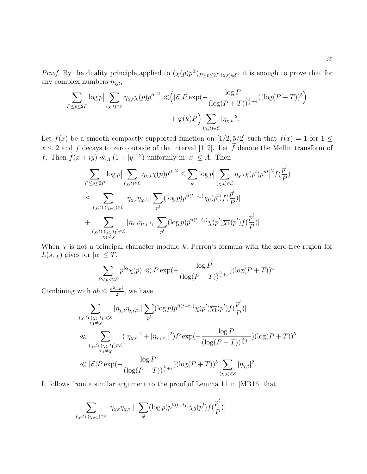*Proof.* By the duality principle applied to  $(\chi(p)p^{it})_{P \leq p \leq 2P, (\chi,t) \in \mathcal{E}}$ , it is enough to prove that for any complex numbers  $\eta_{\chi,t}$ ,

$$
\sum_{P \le p \le 2P} \log p \Big| \sum_{(\chi, t) \in \mathcal{E}} \eta_{\chi, t} \chi(p) p^{it} \Big|^2 \ll \Big( |\mathcal{E}| P \exp\Big( - \frac{\log P}{(\log(P + T))^{\frac{2}{3} + \epsilon}} \Big) (\log(P + T))^5 \Big) + \varphi(k) P \Big) \sum_{(\chi, t) \in \mathcal{E}} |\eta_{\chi, t}|^2.
$$

Let  $f(x)$  be a smooth compactly supported function on  $[1/2, 5/2]$  such that  $f(x) = 1$  for  $1 \le$  $x \leq 2$  and f decays to zero outside of the interval [1, 2]. Let  $\tilde{f}$  denote the Mellin transform of f. Then  $\tilde{f}(x+iy) \ll_A (1+|y|^{-2})$  uniformly in  $|x| \leq A$ . Then

$$
\sum_{P \leq p \leq 2P} \log p \Big| \sum_{(\chi,t) \in \mathcal{E}} \eta_{\chi,t} \chi(p) p^{it} \Big|^2 \leq \sum_{p^l} \log p \Big| \sum_{(\chi,t) \in \mathcal{E}} \eta_{\chi,t} \chi(p^l) p^{ilt} \Big|^2 f(\frac{p^l}{P})
$$
  

$$
\leq \sum_{(\chi,t),(\chi,t_1) \in \mathcal{E}} |\eta_{\chi,t} \eta_{\chi,t_1}| \sum_{p^l} (\log p) p^{il(t-t_1)} \chi_0(p^l) f(\frac{p^l}{P})|
$$
  
+ 
$$
\sum_{(\chi,t),(\chi_1,t_1) \in \mathcal{E}} |\eta_{\chi,t} \eta_{\chi_1,t_1}| \sum_{p^l} (\log p) p^{il(t-t_1)} \chi(p^l) \overline{\chi_1}(p^l) f(\frac{p^l}{P})|.
$$

When  $\chi$  is not a principal character modulo k, Perron's formula with the zero-free region for  $L(s, \chi)$  gives for  $|\alpha| \leq T$ ,

$$
\sum_{P < p < 2P} p^{i\alpha} \chi(p) \ll P \exp\left(-\frac{\log P}{(\log(P+T))^{\frac{2}{3}+\epsilon}}\right) (\log(P+T))^4.
$$

Combining with  $ab \leq \frac{a^2 + b^2}{2}$  $\frac{+b^2}{2}$ , we have

$$
\sum_{\substack{(\chi,t),(\chi_1,t_1)\in \mathcal{E}\\ \chi_1 \neq \chi}} |\eta_{\chi,t}\eta_{\chi_1,t_1}| \sum_{p^l} (\log p) p^{il(t-t_1)} \chi(p^l) \overline{\chi_1}(p^l) f(\frac{p^l}{P})|
$$
\n
$$
\ll \sum_{\substack{(\chi,t),(\chi_1,t_1)\in \mathcal{E}\\ \chi_1 \neq \chi}} (|\eta_{\chi,t}|^2 + |\eta_{\chi_1,t_1}|^2) P \exp\left(-\frac{\log P}{(\log(P+T))^\frac{2}{3}+\epsilon}\right) (\log(P+T))^\frac{5}{3}
$$
\n
$$
\ll |\mathcal{E}| P \exp\left(-\frac{\log P}{(\log(P+T))^\frac{2}{3}+\epsilon}\right) (\log(P+T))^\frac{5}{3}\sum_{(\chi,t)\in \mathcal{E}} |\eta_{\chi,t}|^2.
$$

It follows from a similar argument to the proof of Lemma 11 in [\[MR16\]](#page-46-13) that

$$
\sum_{(\chi,t),(\chi,t_1)\in\mathcal{E}} |\eta_{\chi,t}\eta_{\chi,t_1}| \Big| \sum_{p^l} (\log p) p^{il(t-t_1)} \chi_0(p^l) f(\frac{p^l}{P}) \Big|
$$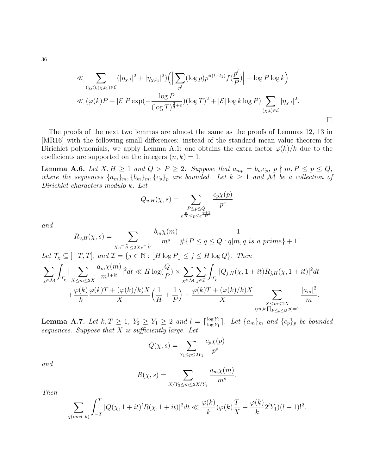$$
\ll \sum_{(\chi,t),(\chi,t_1)\in\mathcal{E}} (|\eta_{\chi,t}|^2 + |\eta_{\chi,t_1}|^2) \left( \left| \sum_{p^l} (\log p) p^{il(t-t_1)} f(\frac{p^l}{P}) \right| + \log P \log k \right)
$$
  

$$
\ll (\varphi(k)P + |\mathcal{E}|P \exp(-\frac{\log P}{(\log T)^{\frac{2}{3}+\epsilon}})(\log T)^2 + |\mathcal{E}| \log k \log P) \sum_{(\chi,t)\in\mathcal{E}} |\eta_{\chi,t}|^2.
$$

The proofs of the next two lemmas are almost the same as the proofs of Lemmas 12, 13 in [\[MR16\]](#page-46-13) with the following small differences: instead of the standard mean value theorem for Dirichlet polynomials, we apply Lemma [A.1;](#page-33-0) one obtains the extra factor  $\varphi(k)/k$  due to the coefficients are supported on the integers  $(n, k) = 1$ .

<span id="page-35-0"></span>**Lemma A.6.** Let  $X, H \ge 1$  and  $Q > P \ge 2$ . Suppose that  $a_{mp} = b_m c_p$ ,  $p \nmid m, P \le p \le Q$ , where the sequences  ${a_m}_m, {b_m}_m, {c_p}_p$  are bounded. Let  $k \geq 1$  and M be a collection of Dirichlet characters modulo k. Let

$$
Q_{v,H}(\chi,s) = \sum_{\substack{P \le p \le Q \\ e^{\frac{v}{H}} \le p \le e^{\frac{v+1}{H}}}} \frac{c_p \chi(p)}{p^s}
$$

and

$$
R_{v,H}(\chi, s) = \sum_{Xe^{-\frac{v}{H}} \le 2Xe^{-\frac{v}{H}}} \frac{b_m\chi(m)}{m^s} \frac{1}{\#\{P \le q \le Q : q|m, q \text{ is a prime}\} + 1}.
$$
  
Let  $\mathcal{T}_{\chi} \subseteq [-T, T]$ , and  $\mathcal{T} = \{j \in \mathbb{N} : \lfloor H \log P \rfloor \le j \le H \log Q\}$ . Then  

$$
\sum_{\chi \in \mathcal{M}} \int_{\mathcal{T}_{\chi}} |\sum_{X \le m \le 2X} \frac{a_m\chi(m)}{m^{1+it}}|^2 dt \ll H \log(\frac{Q}{P}) \times \sum_{\chi \in \mathcal{M}} \sum_{j \in \mathcal{I}} \int_{\mathcal{T}_{\chi}} |Q_{j,H}(\chi, 1 + it) R_{j,H}(\chi, 1 + it)|^2 dt
$$

$$
+ \frac{\varphi(k)}{k} \frac{\varphi(k)T + (\varphi(k)/k)X}{X} \left(\frac{1}{H} + \frac{1}{P}\right) + \frac{\varphi(k)T + (\varphi(k)/k)X}{X} \sum_{\substack{X \le m \le 2X \\ (m, k] \prod_{P \le p \le Q} p} \frac{|a_m|^2}{m}.
$$

<span id="page-35-1"></span>**Lemma A.7.** Let  $k, T \geq 1$ ,  $Y_2 \geq Y_1 \geq 2$  and  $l = \lceil \frac{\log Y_2}{\log Y_1} \rceil$  $\frac{\log Y_2}{\log Y_1}$ . Let  $\{a_m\}_m$  and  $\{c_p\}_p$  be bounded sequences. Suppose that  $X$  is sufficiently large. Let

$$
Q(\chi, s) = \sum_{Y_1 \le p \le 2Y_1} \frac{c_p \chi(p)}{p^s}
$$

and

$$
R(\chi, s) = \sum_{X/Y_2 \le m \le 2X/Y_2} \frac{a_m \chi(m)}{m^s}
$$

.

Then

$$
\sum_{\chi (mod \ k)} \int_{-T}^{T} |Q(\chi, 1+it)^{l} R(\chi, 1+it)|^{2} dt \ll \frac{\varphi(k)}{k} (\varphi(k) \frac{T}{X} + \frac{\varphi(k)}{k} 2^{l} Y_{1}) (l+1)!^{2}.
$$

36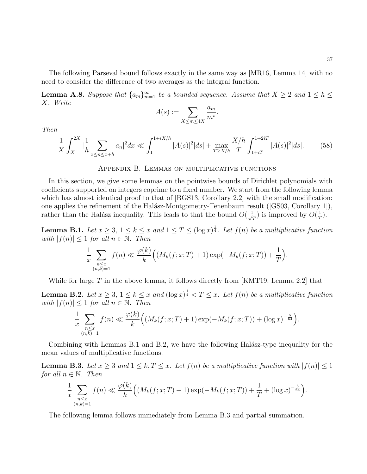The following Parseval bound follows exactly in the same way as [\[MR16,](#page-46-13) Lemma 14] with no need to consider the difference of two averages as the integral function.

**Lemma A.8.** Suppose that  $\{a_m\}_{m=1}^{\infty}$  be a bounded sequence. Assume that  $X \ge 2$  and  $1 \le h \le 3$ X. Write

$$
A(s) := \sum_{X \le m \le 4X} \frac{a_m}{m^s}
$$

Then

<span id="page-36-3"></span>
$$
\frac{1}{X} \int_{X}^{2X} |\frac{1}{h} \sum_{x \le n \le x+h} a_n|^2 dx \ll \int_{1}^{1+iX/h} |A(s)|^2 |ds| + \max_{T \ge X/h} \frac{X/h}{T} \int_{1+iT}^{1+2iT} |A(s)|^2 |ds|.
$$
 (58)

.

#### Appendix B. Lemmas on multiplicative functions

In this section, we give some lemmas on the pointwise bounds of Dirichlet polynomials with coefficients supported on integers coprime to a fixed number. We start from the following lemma which has almost identical proof to that of [\[BGS13,](#page-44-1) Corollary 2.2] with the small modification: one applies the refinement of the Halász-Montgometry-Tenenbaum result ( $(GS03, Corollary 1)$ ), rather than the Halász inequality. This leads to that the bound  $O(\frac{1}{\sqrt{2}})$  $\frac{1}{T}$ ) is improved by  $O(\frac{1}{T})$  $\frac{1}{T}$ .

<span id="page-36-0"></span>**Lemma B.1.** Let  $x \geq 3$ ,  $1 \leq k \leq x$  and  $1 \leq T \leq (\log x)^{\frac{1}{4}}$ . Let  $f(n)$  be a multiplicative function with  $|f(n)| \leq 1$  for all  $n \in \mathbb{N}$ . Then

$$
\frac{1}{x}\sum_{\substack{n\leq x\\(n,k)=1}}f(n)\ll \frac{\varphi(k)}{k}\Big((M_k(f;x;T)+1)\exp(-M_k(f;x;T))+\frac{1}{T}\Big).
$$

While for large  $T$  in the above lemma, it follows directly from [\[KMT19,](#page-45-18) Lemma 2.2] that

<span id="page-36-1"></span>**Lemma B.2.** Let  $x \geq 3$ ,  $1 \leq k \leq x$  and  $(\log x)^{\frac{1}{4}} < T \leq x$ . Let  $f(n)$  be a multiplicative function with  $|f(n)| \leq 1$  for all  $n \in \mathbb{N}$ . Then

$$
\frac{1}{x} \sum_{\substack{n \leq x \\ (n,k)=1}} f(n) \ll \frac{\varphi(k)}{k} \Big( \big(M_k(f;x;T) + 1\big) \exp\big(-M_k(f;x;T)\big) + (\log x)^{-\frac{5}{64}} \Big).
$$

Combining with Lemmas [B.1](#page-36-0) and [B.2,](#page-36-1) we have the following Halász-type inequality for the mean values of multiplicative functions.

<span id="page-36-2"></span>**Lemma B.3.** Let  $x \geq 3$  and  $1 \leq k, T \leq x$ . Let  $f(n)$  be a multiplicative function with  $|f(n)| \leq 1$ for all  $n \in \mathbb{N}$ . Then

$$
\frac{1}{x} \sum_{\substack{n \le x \\ (n,k)=1}} f(n) \ll \frac{\varphi(k)}{k} \Big( \big(M_k(f;x;T) + 1\big) \exp(-M_k(f;x;T)) + \frac{1}{T} + (\log x)^{-\frac{5}{64}} \Big).
$$

The following lemma follows immediately from Lemma [B.3](#page-36-2) and partial summation.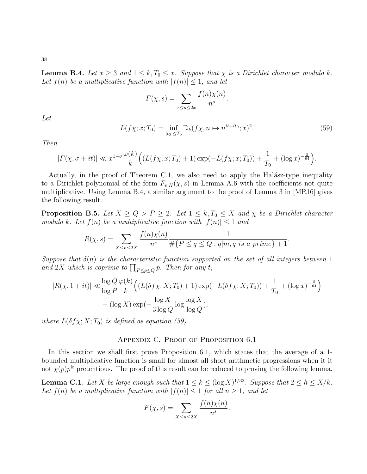<span id="page-37-1"></span>**Lemma B.4.** Let  $x \geq 3$  and  $1 \leq k, T_0 \leq x$ . Suppose that  $\chi$  is a Dirichlet character modulo k. Let  $f(n)$  be a multiplicative function with  $|f(n)| \leq 1$ , and let

$$
F(\chi, s) = \sum_{x \le n \le 2x} \frac{f(n)\chi(n)}{n^s}.
$$

Let

<span id="page-37-2"></span>
$$
L(f\chi; x; T_0) = \inf_{|t_0| \le T_0} \mathbb{D}_k(f\chi, n \mapsto n^{it + it_0}; x)^2.
$$
 (59)

Then

$$
|F(\chi, \sigma + it)| \ll x^{1-\sigma} \frac{\varphi(k)}{k} \Big( (L(f\chi; x; T_0) + 1) \exp(-L(f\chi; x; T_0)) + \frac{1}{T_0} + (\log x)^{-\frac{5}{64}} \Big).
$$

Actually, in the proof of Theorem [C.1,](#page-37-0) we also need to apply the Halász-type inequality to a Dirichlet polynomial of the form  $F_{v,H}(\chi, s)$  in Lemma [A.6](#page-35-0) with the coefficients not quite multiplicative. Using Lemma [B.4,](#page-37-1) a similar argument to the proof of Lemma 3 in [\[MR16\]](#page-46-13) gives the following result.

<span id="page-37-3"></span>**Proposition B.5.** Let  $X \ge Q > P \ge 2$ . Let  $1 \le k, T_0 \le X$  and  $\chi$  be a Dirichlet character modulo k. Let  $f(n)$  be a multiplicative function with  $|f(n)| \leq 1$  and

$$
R(\chi, s) = \sum_{X \le n \le 2X} \frac{f(n)\chi(n)}{n^s} \frac{1}{\#\{P \le q \le Q : q|m, q \text{ is a prime}\} + 1}.
$$

Suppose that  $\delta(n)$  is the characteristic function supported on the set of all integers between 1 and 2X which is coprime to  $\prod_{P \leq p \leq Q} p$ . Then for any t,

$$
|R(\chi, 1+it)| \ll \frac{\log Q}{\log P} \frac{\varphi(k)}{k} \Big( (L(\delta f \chi; X; T_0) + 1) \exp(-L(\delta f \chi; X; T_0)) + \frac{1}{T_0} + (\log x)^{-\frac{5}{64}} \Big) + (\log X) \exp(-\frac{\log X}{3 \log Q} \log \frac{\log X}{\log Q}),
$$

where  $L(\delta f \chi; X; T_0)$  is defined as equation [\(59\)](#page-37-2).

### Appendix C. Proof of Proposition [6.1](#page-22-0)

In this section we shall first prove Proposition [6.1,](#page-22-0) which states that the average of a 1 bounded multiplicative function is small for almost all short arithmetic progressions when it it not  $\chi(p)p^{it}$  pretentious. The proof of this result can be reduced to proving the following lemma.

<span id="page-37-0"></span>**Lemma C.1.** Let X be large enough such that  $1 \le k \le (\log X)^{1/32}$ . Suppose that  $2 \le h \le X/k$ . Let  $f(n)$  be a multiplicative function with  $|f(n)| \leq 1$  for all  $n \geq 1$ , and let

$$
F(\chi, s) = \sum_{X \le n \le 2X} \frac{f(n)\chi(n)}{n^s}.
$$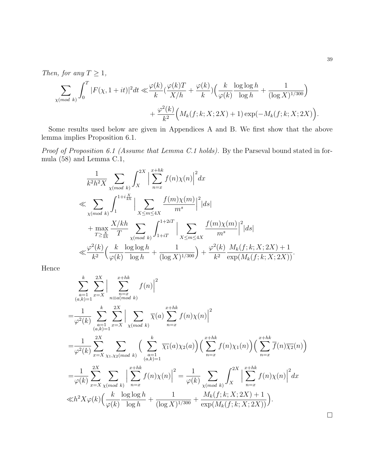Then, for any  $T \geq 1$ ,

$$
\sum_{\chi \pmod{k}} \int_0^T |F(\chi, 1+it)|^2 dt \ll \frac{\varphi(k)}{k} \left(\frac{\varphi(k)T}{X/h} + \frac{\varphi(k)}{k}\right) \left(\frac{k}{\varphi(k)} \frac{\log \log h}{\log h} + \frac{1}{(\log X)^{1/300}}\right) + \frac{\varphi^2(k)}{k^2} \left(M_k(f; k; X; 2X) + 1\right) \exp(-M_k(f; k; X; 2X)\right).
$$

Some results used below are given in Appendices A and B. We first show that the above lemma implies Proposition [6.1.](#page-22-0)

Proof of Proposition [6.1](#page-22-0) (Assume that Lemma [C.1](#page-37-0) holds). By the Parseval bound stated in formula [\(58\)](#page-36-3) and Lemma [C.1,](#page-37-0)

$$
\frac{1}{k^{2}h^{2}X} \sum_{\chi (mod \ k)} \int_{X}^{2X} \Big| \sum_{n=x}^{x+hk} f(n)\chi(n) \Big|^{2} dx
$$
  
\n
$$
\ll \sum_{\chi (mod \ k)} \int_{1}^{1+i\frac{X}{kh}} \Big| \sum_{X \leq m \leq 4X} \frac{f(m)\chi(m)}{m^{s}} \Big|^{2} |ds|
$$
  
\n
$$
+ \max_{T \geq \frac{X}{kh}} \frac{X/kh}{T} \sum_{\chi (mod \ k)} \int_{1+iT}^{1+2iT} \Big| \sum_{X \leq m \leq 4X} \frac{f(m)\chi(m)}{m^{s}} \Big|^{2} |ds|
$$
  
\n
$$
\ll \frac{\varphi^{2}(k)}{k^{2}} \Big( \frac{k}{\varphi(k)} \frac{\log \log h}{\log h} + \frac{1}{(\log X)^{1/300}} \Big) + \frac{\varphi^{2}(k)}{k^{2}} \frac{M_{k}(f;k;X;2X) + 1}{\exp(M_{k}(f;k;X;2X))}.
$$

Hence

$$
\sum_{\substack{a=1 \ a,k=1}}^{k} \sum_{x=X}^{2X} \Big| \sum_{\substack{n=x \ a \text{mod } k}}^{x+hk} f(n) \Big|^2
$$
\n
$$
= \frac{1}{\varphi^2(k)} \sum_{\substack{a=1 \ a,k=1}}^{k} \sum_{x=X}^{2X} \Big| \sum_{\chi \pmod{k}} \overline{\chi}(a) \sum_{n=x}^{x+hk} f(n) \chi(n) \Big|^2
$$
\n
$$
= \frac{1}{\varphi^2(k)} \sum_{x=X}^{2X} \sum_{\chi_1, \chi_2 \pmod{k}} \Big( \sum_{\substack{a=1 \ a,k=1}}^{k} \overline{\chi_1}(a) \chi_2(a) \Big) \Big( \sum_{n=x}^{x+hk} f(n) \chi_1(n) \Big) \Big( \sum_{n=x}^{x+hk} \overline{f}(n) \overline{\chi_2}(n) \Big)
$$
\n
$$
= \frac{1}{\varphi(k)} \sum_{x=X}^{2X} \sum_{\chi \pmod{k}} \Big| \sum_{n=x}^{x+hk} f(n) \chi(n) \Big|^2 = \frac{1}{\varphi(k)} \sum_{\chi \pmod{k}} \int_X^{2X} \Big| \sum_{n=x}^{x+hk} f(n) \chi(n) \Big|^2 dx
$$
\n
$$
\ll h^2 X \varphi(k) \Big( \frac{k}{\varphi(k)} \frac{\log \log h}{\log h} + \frac{1}{(\log X)^{1/300}} + \frac{M_k(f; k; X; 2X) + 1}{\exp(M_k(f; k; X; 2X))} \Big).
$$

 $\Box$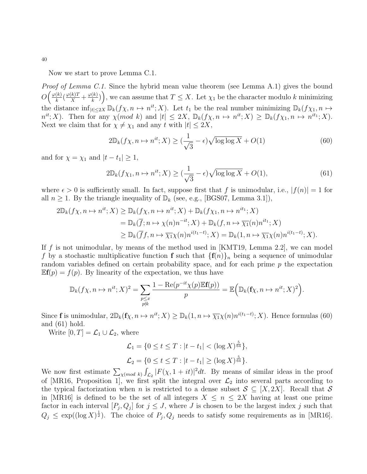Now we start to prove Lemma [C.1.](#page-37-0)

Proof of Lemma [C.1.](#page-37-0) Since the hybrid mean value theorem (see Lemma [A.1\)](#page-33-0) gives the bound  $O\left(\frac{\varphi(k)}{k}\right)$  $\frac{(k)}{k}(\frac{\varphi(k)T}{X}+\frac{\varphi(k)}{k})$  $\left(\frac{k}{k}\right)$ ), we can assume that  $T \leq X$ . Let  $\chi_1$  be the character modulo k minimizing the distance  $\inf_{|t|\leq 2X} \mathbb{D}_k(f\chi, n \mapsto n^{it}; X)$ . Let  $t_1$  be the real number minimizing  $\mathbb{D}_k(f\chi_1, n \mapsto n^{it}; X)$ .  $n^{it}$ ; X). Then for any  $\chi(mod k)$  and  $|t| \leq 2X$ ,  $\mathbb{D}_k(f\chi,n \mapsto n^{it};X) \geq \mathbb{D}_k(f\chi,n \mapsto n^{it};X)$ . Next we claim that for  $\chi \neq \chi_1$  and any t with  $|t| \leq 2X$ ,

<span id="page-39-0"></span>
$$
2\mathbb{D}_k(f\chi, n \mapsto n^{it}; X) \ge \left(\frac{1}{\sqrt{3}} - \epsilon\right) \sqrt{\log \log X} + O(1) \tag{60}
$$

and for  $\chi = \chi_1$  and  $|t - t_1| \geq 1$ ,

<span id="page-39-1"></span>
$$
2\mathbb{D}_k(f\chi_1, n \mapsto n^{it}; X) \ge \left(\frac{1}{\sqrt{3}} - \epsilon\right) \sqrt{\log \log X} + O(1),\tag{61}
$$

where  $\epsilon > 0$  is sufficiently small. In fact, suppose first that f is unimodular, i.e.,  $|f(n)| = 1$  for all  $n \geq 1$ . By the triangle inequality of  $\mathbb{D}_k$  (see, e.g., [\[BGS07,](#page-45-22) Lemma 3.1]),

$$
2\mathbb{D}_k(f\chi,n\mapsto n^{it};X) \geq \mathbb{D}_k(f\chi,n\mapsto n^{it};X) + \mathbb{D}_k(f\chi,n\mapsto n^{it};X)
$$
  
=  $\mathbb{D}_k(\overline{f};n\mapsto \chi(n)n^{-it};X) + \mathbb{D}_k(f,n\mapsto \overline{\chi_1}(n)n^{it*};X)$   
 $\geq \mathbb{D}_k(\overline{f}f,n\mapsto \overline{\chi_1}\chi(n)n^{i(t_1-t)};X) = \mathbb{D}_k(1,n\mapsto \overline{\chi_1}\chi(n)n^{i(t_1-t)};X).$ 

If f is not unimodular, by means of the method used in [\[KMT19,](#page-45-18) Lemma 2.2], we can model f by a stochastic multiplicative function **f** such that  $\{f(n)\}_n$  being a sequence of unimodular random variables defined on certain probability space, and for each prime  $p$  the expectation  $\mathbb{E}f(p) = f(p)$ . By linearity of the expectation, we thus have

$$
\mathbb{D}_{k}(f\chi,n\mapsto n^{it};X)^{2}=\sum_{\substack{p\leq x \\ p\nmid k}}\frac{1-{\rm Re}(p^{-it}\chi(p)\mathbb{E}\mathbf{f}(p))}{p}=\mathbb{E}\Big(\mathbb{D}_{k}(\mathbf{f}\chi,n\mapsto n^{it};X)^{2}\Big).
$$

Since **f** is unimodular,  $2\mathbb{D}_k(f\chi, n \mapsto n^{it}; X) \ge \mathbb{D}_k(1, n \mapsto \overline{\chi_1}\chi(n)n^{i(t_1-t)}; X)$ . Hence formulas [\(60\)](#page-39-0) and [\(61\)](#page-39-1) hold.

Write  $[0, T] = \mathcal{L}_1 \cup \mathcal{L}_2$ , where

$$
\mathcal{L}_1 = \{0 \le t \le T : |t - t_1| < (\log X)^{\frac{5}{64}}\},
$$
  

$$
\mathcal{L}_2 = \{0 \le t \le T : |t - t_1| \ge (\log X)^{\frac{5}{64}}\}.
$$

We now first estimate  $\sum_{\chi (mod k)} \int_{\mathcal{L}_2} |F(\chi, 1+it)|^2 dt$ . By means of similar ideas in the proof of [\[MR16,](#page-46-13) Proposition 1], we first split the integral over  $\mathcal{L}_2$  into several parts according to the typical factorization when n is restricted to a dense subset  $S \subseteq [X, 2X]$ . Recall that S in [\[MR16\]](#page-46-13) is defined to be the set of all integers  $X \leq n \leq 2X$  having at least one prime factor in each interval  $[P_j, Q_j]$  for  $j \leq J$ , where J is chosen to be the largest index j such that  $Q_j \le \exp((\log X)^{\frac{1}{2}})$ . The choice of  $P_j, Q_j$  needs to satisfy some requirements as in [\[MR16\]](#page-46-13).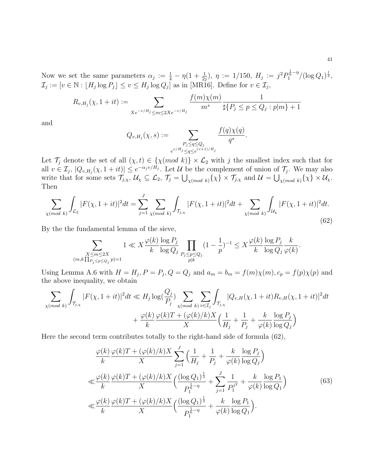Now we set the same parameters  $\alpha_j := \frac{1}{4} - \eta(1 + \frac{1}{2j}), \ \eta := 1/150, \ H_j := j^2 P_1^{\frac{1}{6}-\eta}/(\log Q_1)^{\frac{1}{3}},$  $\mathcal{I}_j := [v \in \mathbb{N} : \lfloor H_j \log P_j \rfloor \le v \le H_j \log Q_j]$  as in [\[MR16\]](#page-46-13). Define for  $v \in \mathcal{I}_j$ ,

$$
R_{v,H_j}(\chi, 1+it) := \sum_{Xe^{-v/H_j} \le m \le 2Xe^{-v/H_j}} \frac{f(m)\chi(m)}{m^s} \frac{1}{\sharp\{P_j \le p \le Q_j : p|m\} + 1}
$$

and

$$
Q_{v,H_j}(\chi, s) := \sum_{\substack{P_j \le q \le Q_j \\ e^{v/H_j} \le q \le e^{(v+1)/H_j}}} \frac{f(q)\chi(q)}{q^s}.
$$

Let  $\mathcal{T}_j$  denote the set of all  $(\chi, t) \in {\{\chi(mod\ k)\}} \times \mathcal{L}_2$  with j the smallest index such that for all  $v \in \mathcal{I}_j$ ,  $|Q_{v,H_j}(\chi, 1+it)| \leq e^{-\alpha_j v/H_j}$ . Let  $\mathcal U$  be the complement of union of  $\mathcal T_j$ . We may also write that for some sets  $\mathcal{T}_{j,\chi}, \mathcal{U}_{\chi} \subseteq \mathcal{L}_2, \mathcal{T}_j = \bigcup_{\chi (mod \ k)} {\{\chi\}} \times \mathcal{T}_{j,\chi}$  and  $\mathcal{U} = \bigcup_{\chi (mod \ k)} {\{\chi\}} \times \mathcal{U}_{\chi}$ . Then

<span id="page-40-0"></span>
$$
\sum_{\chi \pmod{k}} \int_{\mathcal{L}_2} |F(\chi, 1+it)|^2 dt = \sum_{j=1}^J \sum_{\chi \pmod{k}} \int_{\mathcal{T}_{j,\chi}} |F(\chi, 1+it)|^2 dt + \sum_{\chi \pmod{k}} \int_{\mathcal{U}_{\chi}} |F(\chi, 1+it)|^2 dt.
$$
\n(62)

By the the fundamental lemma of the sieve,

$$
\sum_{\substack{X\leq m\leq 2X\\(m,k\prod_{P_j\leq p\leq Q_j}p)=1}}1\ll X\frac{\varphi(k)}{k}\frac{\log P_j}{\log Q_j}\prod_{\substack{P_j\leq p\leq Q_j\\p\mid k}}(1-\frac{1}{p})^{-1}\leq X\frac{\varphi(k)}{k}\frac{\log P_j}{\log Q_j}\frac{k}{\varphi(k)}.
$$

Using Lemma [A.6](#page-35-0) with  $H = H_j$ ,  $P = P_j$ ,  $Q = Q_j$  and  $a_m = b_m = f(m)\chi(m)$ ,  $c_p = f(p)\chi(p)$  and the above inequality, we obtain

$$
\sum_{\chi \pmod{k}} \int_{\mathcal{T}_{j,x}} |F(\chi, 1+it)|^2 dt \ll H_j \log(\frac{Q_j}{P_j}) \sum_{\chi \pmod{k}} \sum_{v \in \mathcal{I}_j} \int_{\mathcal{T}_{j,x}} |Q_{v,H}(\chi, 1+it) R_{v,H}(\chi, 1+it)|^2 dt + \frac{\varphi(k)}{k} \frac{\varphi(k)T + (\varphi(k)/k)X}{X} \Big(\frac{1}{H_j} + \frac{1}{P_j} + \frac{k}{\varphi(k)} \frac{\log P_j}{\log Q_j}\Big)
$$

Here the second term contributes totally to the right-hand side of formula [\(62\)](#page-40-0),

<span id="page-40-1"></span>
$$
\frac{\varphi(k)}{k} \frac{\varphi(k)T + (\varphi(k)/k)X}{X} \sum_{j=1}^{J} \left( \frac{1}{H_j} + \frac{1}{P_j} + \frac{k}{\varphi(k)} \frac{\log P_j}{\log Q_j} \right)
$$
  

$$
\ll \frac{\varphi(k)}{k} \frac{\varphi(k)T + (\varphi(k)/k)X}{X} \left( \frac{(\log Q_1)^{\frac{1}{3}}}{P_1^{\frac{1}{6}-\eta}} + \sum_{j=1}^{J} \frac{1}{P_1^{j^2}} + \frac{k}{\varphi(k)} \frac{\log P_1}{\log Q_1} \right)
$$
  

$$
\ll \frac{\varphi(k)}{k} \frac{\varphi(k)T + (\varphi(k)/k)X}{X} \left( \frac{(\log Q_1)^{\frac{1}{3}}}{P_1^{\frac{1}{6}-\eta}} + \frac{k}{\varphi(k)} \frac{\log P_1}{\log Q_1} \right).
$$
(63)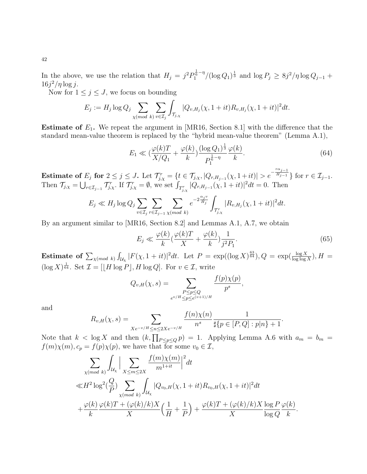In the above, we use the relation that  $H_j = j^2 P_1^{\frac{1}{6}-\eta}/(\log Q_1)^{\frac{1}{3}}$  and  $\log P_j \geq 8j^2/\eta \log Q_{j-1}$  +  $16j^2/\eta \log j$ .

Now for  $1 \leq j \leq J$ , we focus on bounding

$$
E_j := H_j \log Q_j \sum_{\chi \pmod{k}} \sum_{v \in \mathcal{I}_j} \int_{\mathcal{T}_{j,\chi}} |Q_{v,H_j}(\chi, 1+it) R_{v,H_j}(\chi, 1+it)|^2 dt.
$$

**Estimate of**  $E_1$ **.** We repeat the argument in [\[MR16,](#page-46-13) Section 8.1] with the difference that the standard mean-value theorem is replaced by the "hybrid mean-value theorem" (Lemma [A.1\)](#page-33-0),

<span id="page-41-0"></span>
$$
E_1 \ll \left(\frac{\varphi(k)T}{X/Q_1} + \frac{\varphi(k)}{k}\right) \frac{(\log Q_1)^{\frac{1}{3}}}{P_1^{\frac{1}{6}-\eta}} \frac{\varphi(k)}{k}.
$$
\n(64)

**Estimate of**  $E_j$  for  $2 \le j \le J$ . Let  $\mathcal{T}_{j,\chi}^r = \{t \in \mathcal{T}_{j,\chi}, |Q_{r,H_{j-1}}(\chi, 1+it)| > e^{-\frac{r\alpha_{j-1}}{H_{j-1}}}$  $\overline{H_{j-1}}$ } for  $r \in \mathcal{I}_{j-1}$ . Then  $\mathcal{T}_{j,\chi} = \bigcup_{r \in \mathcal{I}_{j-1}} \mathcal{T}_{j,\chi}^r$ . If  $\mathcal{T}_{j,\chi}^r = \emptyset$ , we set  $\int_{\mathcal{T}_{j,\chi}^r} |Q_{r,H_{j-1}}(\chi, 1+it)|^2 dt = 0$ . Then

$$
E_j \ll H_j \log Q_j \sum_{v \in \mathcal{I}_j} \sum_{r \in \mathcal{I}_{j-1}} \sum_{\chi \pmod{k}} e^{-2\frac{\alpha_j v}{H_j}} \int_{\mathcal{T}_{j,\chi}^r} |R_{v,H_j}(\chi, 1+it)|^2 dt.
$$

By an argument similar to [\[MR16,](#page-46-13) Section 8.2] and Lemmas [A.1,](#page-33-0) [A.7,](#page-35-1) we obtain

<span id="page-41-1"></span>
$$
E_j \ll \frac{\varphi(k)}{k} \left(\frac{\varphi(k)T}{X} + \frac{\varphi(k)}{k}\right) \frac{1}{j^2 P_1}.\tag{65}
$$

.

**Estimate of**  $\sum_{\chi (mod \ k)} \int_{\mathcal{U}_{\chi}} |F(\chi, 1 + it)|^2 dt$ . Let  $P = \exp((\log X)^{\frac{63}{64}}), Q = \exp(\frac{\log X}{\log \log X}), H =$  $(\log X)^{\frac{1}{64}}$ . Set  $\mathcal{I} = \left[ \left| H \log P \right|, H \log Q \right]$ . For  $v \in \mathcal{I}$ , write

$$
Q_{v,H}(\chi,s) = \sum_{\substack{P \le p \le Q \\ e^{v/H} \le p \le e^{(v+1)/H}}} \frac{f(p)\chi(p)}{p^s},
$$

and

$$
R_{v,H}(\chi,s) = \sum_{Xe^{-v/H} \le n \le 2Xe^{-v/H}} \frac{f(n)\chi(n)}{n^s} \frac{1}{\sharp\{p \in [P,Q] : p|n\} + 1}.
$$

Note that  $k < \log X$  and then  $(k, \prod_{P \le p \le Q} p) = 1$ . Applying Lemma [A.6](#page-35-0) with  $a_m = b_m =$  $f(m)\chi(m), c_p = f(p)\chi(p)$ , we have that for some  $v_0 \in \mathcal{I}$ ,

$$
\sum_{\chi \pmod{k}} \int_{\mathcal{U}_{\chi}} \Big| \sum_{X \le m \le 2X} \frac{f(m)\chi(m)}{m^{1+it}} \Big|^2 dt
$$
  

$$
\ll H^2 \log^2(\frac{Q}{P}) \sum_{\chi \pmod{k}} \int_{\mathcal{U}_{\chi}} |Q_{v_0,H}(\chi, 1+it) R_{v_0,H}(\chi, 1+it)|^2 dt
$$
  

$$
+ \frac{\varphi(k)}{k} \frac{\varphi(k)T + (\varphi(k)/k)X}{X} \Big( \frac{1}{H} + \frac{1}{P} \Big) + \frac{\varphi(k)T + (\varphi(k)/k)X}{X} \log P \frac{\varphi(k)}{\log Q}.
$$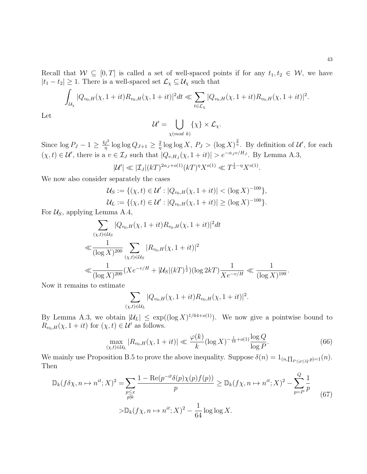$$
\int_{\mathcal{U}_{\chi}} |Q_{v_0,H}(\chi, 1+it) R_{v_0,H}(\chi, 1+it)|^2 dt \ll \sum_{t \in \mathcal{L}_{\chi}} |Q_{v_0,H}(\chi, 1+it) R_{v_0,H}(\chi, 1+it)|^2.
$$

Let

$$
\mathcal{U}' = \bigcup_{\chi \pmod{k}} \{\chi\} \times \mathcal{L}_{\chi}.
$$

Since  $\log P_J - 1 \geq \frac{4j^2}{n}$  $\frac{j^2}{\eta} \log \log Q_{J+1} \geq \frac{2}{\eta}$  $\frac{2}{\eta} \log \log X$ ,  $P_J > (\log X)^{\frac{2}{\eta}}$ . By definition of  $\mathcal{U}'$ , for each  $(\chi, t) \in \mathcal{U}'$ , there is a  $v \in \mathcal{I}_J$  such that  $|Q_{v,H_J}(\chi, 1+it)| > e^{-\alpha_J v/H_J}$ . By Lemma [A.3,](#page-33-3)

$$
|\mathcal{U}'| \ll |\mathcal{I}_J|(k)^{2\alpha_J + o(1)} (k)^\eta X^{o(1)} \ll T^{\frac{1}{2} - \eta} X^{o(1)}.
$$

We now also consider separately the cases

$$
\mathcal{U}_S := \{ (\chi, t) \in \mathcal{U}' : |Q_{v_0, H}(\chi, 1 + it)| < (\log X)^{-100} \},
$$
  

$$
\mathcal{U}_L := \{ (\chi, t) \in \mathcal{U}' : |Q_{v_0, H}(\chi, 1 + it)| \geq (\log X)^{-100} \}.
$$

For  $\mathcal{U}_S$ , applying Lemma [A.4,](#page-33-2)

$$
\sum_{(\chi,t)\in\mathcal{U}_S} |Q_{v_0,H}(\chi, 1+it) R_{v_0,H}(\chi, 1+it)|^2 dt
$$
\n
$$
\ll \frac{1}{(\log X)^{200}} \sum_{(\chi,t)\in\mathcal{U}_S} |R_{v_0,H}(\chi, 1+it)|^2
$$
\n
$$
\ll \frac{1}{(\log X)^{200}} (Xe^{-v/H} + |\mathcal{U}_S|(kT)^{\frac{1}{2}})(\log 2kT) \frac{1}{Xe^{-v/H}} \ll \frac{1}{(\log X)^{199}}.
$$

Now it remains to estimate

<span id="page-42-1"></span>
$$
\sum_{(\chi,t)\in\mathcal{U}_L} |Q_{v_0,H}(\chi,1+it)R_{v_0,H}(\chi,1+it)|^2.
$$

By Lemma [A.3,](#page-33-3) we obtain  $|\mathcal{U}_L| \leq \exp((\log X)^{1/64+o(1)})$ . We now give a pointwise bound to  $R_{v_0,H}(\chi, 1 + it)$  for  $(\chi, t) \in \mathcal{U}'$  as follows.

<span id="page-42-0"></span>
$$
\max_{(\chi,t)\in\mathcal{U}_L} |R_{v_0,H}(\chi,1+it)| \ll \frac{\varphi(k)}{k} (\log X)^{-\frac{1}{16}+o(1)} \frac{\log Q}{\log P}.
$$
 (66)

We mainly use Proposition [B.5](#page-37-3) to prove the above inequality. Suppose  $\delta(n) = 1_{(n,\prod_{P \le p \le Q} p)=1}(n)$ . Then

$$
\mathbb{D}_{k}(f\delta\chi,n\mapsto n^{it};X)^{2} = \sum_{\substack{p\leq x\\p\nmid k}}\frac{1-\text{Re}(p^{-it}\delta(p)\chi(p)f(p))}{p} \geq \mathbb{D}_{k}(f\chi,n\mapsto n^{it};X)^{2} - \sum_{p=P}^{Q}\frac{1}{p}
$$
\n
$$
> \mathbb{D}_{k}(f\chi,n\mapsto n^{it};X)^{2} - \frac{1}{64}\log\log X.
$$
\n(67)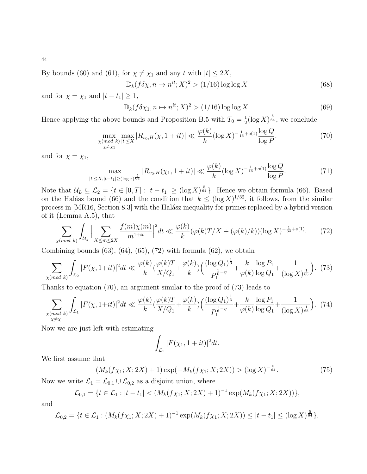By bounds [\(60\)](#page-39-0) and [\(61\)](#page-39-1), for  $\chi \neq \chi_1$  and any t with  $|t| \leq 2X$ ,

<span id="page-43-6"></span>
$$
\mathbb{D}_k(f\delta\chi, n \mapsto n^{it}; X)^2 > (1/16)\log\log X \tag{68}
$$

and for  $\chi = \chi_1$  and  $|t - t_1| \geq 1$ ,

<span id="page-43-5"></span>
$$
\mathbb{D}_k(f\delta\chi_1, n \mapsto n^{it}; X)^2 > (1/16)\log\log X. \tag{69}
$$

Hence applying the above bounds and Proposition [B.5](#page-37-3) with  $T_0 = \frac{1}{2}$  $\frac{1}{2}(\log X)^{\frac{5}{64}}$ , we conclude

<span id="page-43-1"></span>
$$
\max_{\substack{\chi(\text{mod }k) \, |t| \le X \\ \chi \ne \chi_1}} \max_{|k| \le X} |R_{v_0, H}(\chi, 1 + it)| \ll \frac{\varphi(k)}{k} (\log X)^{-\frac{1}{16} + o(1)} \frac{\log Q}{\log P}.
$$
 (70)

and for  $\chi = \chi_1$ ,

$$
\max_{|t| \le X, |t-t_1| \ge (\log x)^{\frac{5}{64}}} |R_{v_0, H}(\chi_1, 1+it)| \ll \frac{\varphi(k)}{k} (\log X)^{-\frac{1}{16} + o(1)} \frac{\log Q}{\log P}.
$$
 (71)

Note that  $\mathcal{U}_L \subseteq \mathcal{L}_2 = \{t \in [0,T] : |t - t_1| \geq (\log X)^{\frac{5}{64}}\}.$  Hence we obtain formula [\(66\)](#page-42-0). Based on the Halász bound [\(66\)](#page-42-0) and the condition that  $k \leq (\log X)^{1/32}$ , it follows, from the similar process in [\[MR16,](#page-46-13) Section 8.3] with the Halász inequality for primes replaced by a hybrid version of it (Lemma [A.5\)](#page-33-4), that

<span id="page-43-0"></span>
$$
\sum_{\chi(mod\ k} \int_{\mathcal{U}_{\chi}} \Big| \sum_{X \le m \le 2X} \frac{f(m)\chi(m)}{m^{1+it}} \Big|^2 dt \ll \frac{\varphi(k)}{k} (\varphi(k)T/X + (\varphi(k)/k))(\log X)^{-\frac{1}{64} + o(1)}.
$$
 (72)

Combining bounds  $(63)$ ,  $(64)$ ,  $(65)$ ,  $(72)$  with formula  $(62)$ , we obtain

<span id="page-43-2"></span>
$$
\sum_{\chi \pmod{k}} \int_{\mathcal{L}_2} |F(\chi, 1+it)|^2 dt \ll \frac{\varphi(k)}{k} \left(\frac{\varphi(k)T}{X/Q_1} + \frac{\varphi(k)}{k}\right) \left(\frac{(\log Q_1)^{\frac{1}{3}}}{P_1^{\frac{1}{6}-\eta}} + \frac{k}{\varphi(k)} \frac{\log P_1}{\log Q_1} + \frac{1}{(\log X)^{\frac{1}{65}}}\right). (73)
$$

Thanks to equation [\(70\)](#page-43-1), an argument similar to the proof of [\(73\)](#page-43-2) leads to

<span id="page-43-3"></span>
$$
\sum_{\substack{\chi \pmod{k} \\ \chi \neq \chi_1}} \int_{\mathcal{L}_1} |F(\chi, 1+it)|^2 dt \ll \frac{\varphi(k)}{k} \left(\frac{\varphi(k)T}{X/Q_1} + \frac{\varphi(k)}{k}\right) \left(\frac{(\log Q_1)^{\frac{1}{3}}}{P_1^{\frac{1}{6}-\eta}} + \frac{k}{\varphi(k)} \frac{\log P_1}{\log Q_1} + \frac{1}{(\log X)^{\frac{1}{65}}}\right). (74)
$$

Now we are just left with estimating

$$
\int_{\mathcal{L}_1} |F(\chi_1, 1+it)|^2 dt.
$$

We first assume that

<span id="page-43-4"></span>
$$
(M_k(f\chi_1; X; 2X) + 1) \exp(-M_k(f\chi_1; X; 2X)) > (\log X)^{-\frac{5}{64}}.
$$
\n(75)

Now we write  $\mathcal{L}_1 = \mathcal{L}_{0,1} \cup \mathcal{L}_{0,2}$  as a disjoint union, where

$$
\mathcal{L}_{0,1} = \{ t \in \mathcal{L}_1 : |t - t_1| < (M_k(f\chi_1; X; 2X) + 1)^{-1} \exp(M_k(f\chi_1; X; 2X)) \},
$$

and

$$
\mathcal{L}_{0,2} = \{ t \in \mathcal{L}_1 : (M_k(f\chi_1; X; 2X) + 1)^{-1} \exp(M_k(f\chi_1; X; 2X)) \leq |t - t_1| \leq (\log X)^{\frac{5}{64}} \}.
$$

44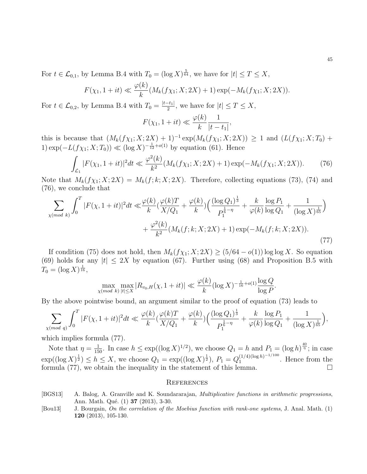For  $t \in \mathcal{L}_{0,1}$ , by Lemma [B.4](#page-37-1) with  $T_0 = (\log X)^{\frac{5}{64}}$ , we have for  $|t| \le T \le X$ ,

$$
F(\chi_1, 1+it) \ll \frac{\varphi(k)}{k} (M_k(f\chi_1; X; 2X) + 1) \exp(-M_k(f\chi_1; X; 2X)).
$$

For  $t \in \mathcal{L}_{0,2}$ , by Lemma [B.4](#page-37-1) with  $T_0 = \frac{|t-t_1|}{2}$  $\frac{-t_1}{2}$ , we have for  $|t| \leq T \leq X$ ,

$$
F(\chi_1, 1+it) \ll \frac{\varphi(k)}{k} \frac{1}{|t-t_1|},
$$

this is because that  $(M_k(f\chi_1; X; 2X) + 1)^{-1} \exp(M_k(f\chi_1; X; 2X)) \geq 1$  and  $(L(f\chi_1; X; T_0) +$ 1) exp( $-L(f\chi_1; X; T_0)$ ) ≪ (log X)<sup>- $\frac{1}{12}+o(1)$ </sup> by equation [\(61\)](#page-39-1). Hence

<span id="page-44-2"></span>
$$
\int_{\mathcal{L}_1} |F(\chi_1, 1+it)|^2 dt \ll \frac{\varphi^2(k)}{k^2} (M_k(f\chi_1; X; 2X) + 1) \exp(-M_k(f\chi_1; X; 2X)). \tag{76}
$$

Note that  $M_k(f\chi_1; X; 2X) = M_k(f; k; X; 2X)$ . Therefore, collecting equations [\(73\)](#page-43-2), [\(74\)](#page-43-3) and [\(76\)](#page-44-2), we conclude that

$$
\sum_{\chi \pmod{k}} \int_0^T |F(\chi, 1+it)|^2 dt \ll \frac{\varphi(k)}{k} \left(\frac{\varphi(k)T}{X/Q_1} + \frac{\varphi(k)}{k}\right) \left(\frac{(\log Q_1)^{\frac{1}{3}}}{P_1^{\frac{1}{6}-\eta}} + \frac{k}{\varphi(k)} \frac{\log P_1}{\log Q_1} + \frac{1}{(\log X)^{\frac{1}{65}}} \right) + \frac{\varphi^2(k)}{k^2} (M_k(f; k; X; 2X) + 1) \exp(-M_k(f; k; X; 2X)).
$$
\n(77)

If condition [\(75\)](#page-43-4) does not hold, then  $M_k(f\chi_1; X; 2X) \geq (5/64 - o(1)) \log \log X$ . So equation [\(69\)](#page-43-5) holds for any  $|t| < 2X$  by equation [\(67\)](#page-42-1). Further using [\(68\)](#page-43-6) and Proposition [B.5](#page-37-3) with  $T_0 = (\log X)^{\frac{1}{16}},$ 

$$
\max_{\chi \pmod{k}} \max_{|t| \le X} |R_{v_0, H}(\chi, 1 + it)| \ll \frac{\varphi(k)}{k} (\log X)^{-\frac{1}{16} + o(1)} \frac{\log Q}{\log P}
$$

<span id="page-44-3"></span>.

By the above pointwise bound, an argument similar to the proof of equation [\(73\)](#page-43-2) leads to

$$
\sum_{\chi (mod \ q)} \int_0^T |F(\chi, 1+it)|^2 dt \ll \frac{\varphi(k)}{k} \left(\frac{\varphi(k)T}{X/Q_1} + \frac{\varphi(k)}{k}\right) \left(\frac{(\log Q_1)^{\frac{1}{3}}}{P_1^{\frac{1}{6}-\eta}} + \frac{k}{\varphi(k)} \frac{\log P_1}{\log Q_1} + \frac{1}{(\log X)^{\frac{1}{65}}}\right),
$$

which implies formula [\(77\)](#page-44-3).

Note that  $\eta = \frac{1}{150}$ . In case  $h \le \exp((\log X)^{1/2})$ , we choose  $Q_1 = h$  and  $P_1 = (\log h)^{\frac{40}{\eta}}$ ; in case  $\exp((\log X)^{\frac{1}{2}}) \leq h \leq X$ , we choose  $Q_1 = \exp((\log X)^{\frac{1}{2}})$ ,  $P_1 = Q_1^{(1/4)(\log h)^{-1/100}}$  $\int_1^{(1/4)(\log n)^{-1/2}}$ . Hence from the formula [\(77\)](#page-44-3), we obtain the inequality in the statement of this lemma.  $\square$ 

#### **REFERENCES**

- <span id="page-44-1"></span>[BGS13] A. Balog, A. Granville and K. Soundararajan, Multiplicative functions in arithmetic progressions, Ann. Math. Qué. (1) **37** (2013), 3-30.
- <span id="page-44-0"></span>[Bou13] J. Bourgain, On the correlation of the Moebius function with rank-one systems, J. Anal. Math. (1) 120 (2013), 105-130.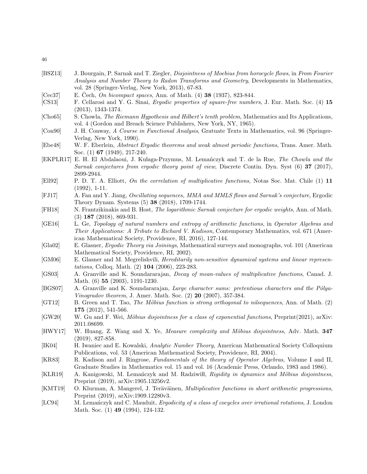- <span id="page-45-0"></span>[BSZ13] J. Bourgain, P. Sarnak and T. Ziegler, *Disjointness of Moebius from horocycle flows*, in From Fourier Analysis and Number Theory to Radon Transforms and Geometry, Developments in Mathematics, vol. 28 (Springer-Verlag, New York, 2013), 67-83.
- <span id="page-45-15"></span>[Cec37] E. Čech, On bicompact spaces, Ann. of Math.  $(4)$  38 (1937), 823-844.
- <span id="page-45-20"></span>[CS13] F. Cellarosi and Y. G. Sinai, *Ergodic properties of square-free numbers*, J. Eur. Math. Soc. (4) 15 (2013), 1343-1374.
- <span id="page-45-6"></span>[Cho65] S. Chowla, The Riemann Hypothesis and Hilbert's tenth problem, Mathematics and Its Applications, vol. 4 (Gordon and Breach Science Publishers, New York, NY, 1965).
- <span id="page-45-11"></span>[Con90] J. H. Conway, A Course in Functional Analysis, Gratuate Texts in Mathematics, vol. 96 (Springer-Verlag, New York, 1990).
- <span id="page-45-8"></span>[Ebe48] W. F. Eberlein, Abstract Ergodic theorems and weak almost periodic functions, Trans. Amer. Math. Soc. (1) 67 (1949), 217-240.
- <span id="page-45-17"></span>[EKPLR17] E. H. El Abdalaoui, J. Kulaga-Przymus, M. Lemanczyk and T. de la Rue, The Chowla and the Sarnak conjectures from ergodic theory point of view, Discrete Contin. Dyn. Syst (6) 37 (2017), 2899-2944.
- <span id="page-45-19"></span>[Ell92] P. D. T. A. Elliott, On the correlation of multiplicative functions, Notas Soc. Mat. Chile (1) 11 (1992), 1-11.
- <span id="page-45-1"></span>[FJ17] A. Fan and Y. Jiang, Oscillating sequences, MMA and MMLS flows and Sarnak's conjecture, Ergodic Theory Dynam. Systems (5) 38 (2018), 1709-1744.
- <span id="page-45-2"></span>[FH18] N. Frantzikinakis and B. Host, The logarithmic Sarnak conjecture for ergodic weights, Ann. of Math. (3) 187 (2018), 869-931.
- <span id="page-45-7"></span>[GE16] L. Ge, Topology of natural numbers and entropy of arithmetic functions, in Operator Algebras and Their Applications: A Tribute to Richard V. Kadison, Contemporary Mathematics, vol. 671 (American Mathematical Society, Providence, RI, 2016), 127-144.
- <span id="page-45-13"></span>[Gla02] E. Glasner, Ergodic Theory via Joinings, Mathematical surveys and monographs, vol. 101 (American Mathematical Society, Providence, RI, 2002).
- <span id="page-45-9"></span>[GM06] E. Glasner and M. Megrelishvili, Hereditarily non-sensitive dynamical systems and linear representations, Colloq. Math. (2) 104 (2006), 223-283.
- <span id="page-45-21"></span>[GS03] A. Granville and K. Soundararajan, Decay of mean-values of multiplicative functions, Canad. J. Math. (6) 55 (2003), 1191-1230.
- <span id="page-45-22"></span>[BGS07] A. Granville and K. Soundararajan, Large character sums: pretentious characters and the Pólya-Vinogradov theorem, J. Amer. Math. Soc. (2) 20 (2007), 357-384.
- <span id="page-45-3"></span>[GT12] B. Green and T. Tao, The Möbius function is strong orthogonal to nilsequences, Ann. of Math. (2) 175 (2012), 541-566.
- <span id="page-45-16"></span>[GW20] W. Gu and F. Wei, Möbius disjointness for a class of exponential functions, Preprint(2021), arXiv: 2011.08699.
- <span id="page-45-4"></span>[HWY17] W. Huang, Z. Wang and X. Ye, *Measure complexity and Möbius disjointness*, Adv. Math. 347 (2019), 827-858.
- <span id="page-45-14"></span>[IK04] H. Iwaniec and E. Kowalski, Analytic Number Theory, American Mathematical Society Colloquium Publications, vol. 53 (American Mathematical Society, Providence, RI, 2004).
- <span id="page-45-12"></span>[KR83] R. Kadison and J. Ringrose, Fundamentals of the theory of Operator Algebras, Volume I and II, Graduate Studies in Mathematics vol. 15 and vol. 16 (Academic Press, Orlando, 1983 and 1986).
- <span id="page-45-5"></span>[KLR19] A. Kanigowski, M. Lemańczyk and M. Radziwiłł, Rigidity in dynamics and Möbius disjointness, Preprint (2019), arXiv:1905.13256v2.
- <span id="page-45-18"></span>[KMT19] O. Klurman, A. Mangerel, J. Teräväinen, *Multiplicative functions in short arithmetic progressions*, Preprint (2019), arXiv:1909.12280v3.
- <span id="page-45-10"></span>[LC94] M. Lemanczyk and C. Mauduit, *Ergodicity of a class of cocycles over irrational rotations*, J. London Math. Soc. (1) **49** (1994), 124-132.